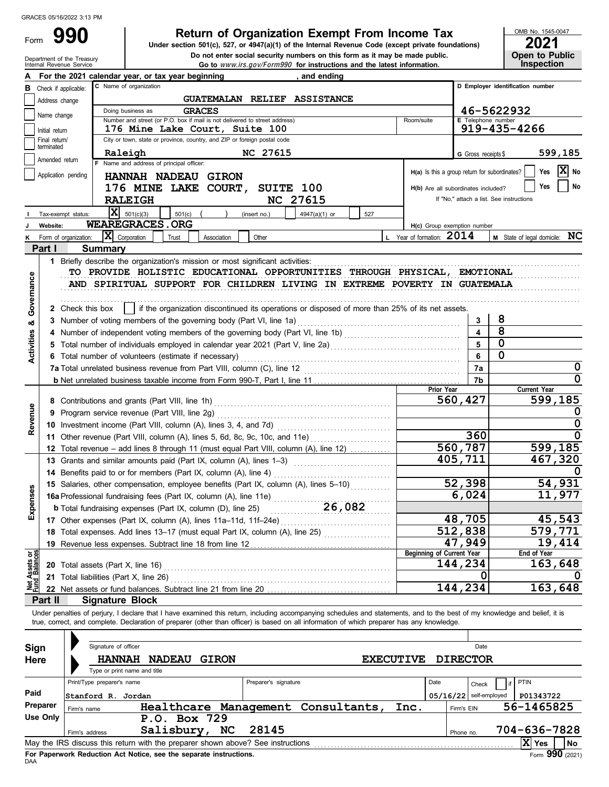Form

# **990** Return of Organization Exempt From Income Tax <br>
Under section 501(c) 527 or 4947(a)(1) of the Internal Revenue Code (except private foundations) 2021

Internal Revenue Service **Go to** www.irs.gov/Form990 **for instructions and the latest information.** Department of the Treasury Do not enter social security numbers on this form as it may be made public. **Under section 501(c), 527, or 4947(a)(1) of the Internal Revenue Code (except private foundations)** OMB No. 1545-0047

| ____ |                       |
|------|-----------------------|
|      | <b>Open to Public</b> |
|      | <b>Inspection</b>     |

|                                |                            | For the 2021 calendar year, or tax year beginning<br>, and ending                                                                                                          |                                                          |                          |                                          |  |  |  |  |  |  |  |  |  |  |
|--------------------------------|----------------------------|----------------------------------------------------------------------------------------------------------------------------------------------------------------------------|----------------------------------------------------------|--------------------------|------------------------------------------|--|--|--|--|--|--|--|--|--|--|
| в                              | Check if applicable:       | C Name of organization                                                                                                                                                     |                                                          |                          | D Employer identification number         |  |  |  |  |  |  |  |  |  |  |
|                                | Address change             | <b>GUATEMALAN RELIEF ASSISTANCE</b>                                                                                                                                        |                                                          |                          |                                          |  |  |  |  |  |  |  |  |  |  |
|                                | Name change                | Doing business as<br><b>GRACES</b>                                                                                                                                         |                                                          |                          | 46-5622932                               |  |  |  |  |  |  |  |  |  |  |
|                                |                            | Number and street (or P.O. box if mail is not delivered to street address)                                                                                                 | Room/suite                                               | E Telephone number       |                                          |  |  |  |  |  |  |  |  |  |  |
|                                | Initial return             | 176 Mine Lake Court, Suite 100<br>City or town, state or province, country, and ZIP or foreign postal code                                                                 |                                                          |                          | 919-435-4266                             |  |  |  |  |  |  |  |  |  |  |
|                                | Final retum/<br>terminated |                                                                                                                                                                            |                                                          |                          |                                          |  |  |  |  |  |  |  |  |  |  |
|                                | Amended return             | NC 27615<br>Raleigh<br>F Name and address of principal officer:                                                                                                            |                                                          | G Gross receipts \$      | 599,185                                  |  |  |  |  |  |  |  |  |  |  |
|                                |                            | Application pending                                                                                                                                                        | H(a) Is this a group return for subordinates?            |                          | X No<br>Yes                              |  |  |  |  |  |  |  |  |  |  |
|                                |                            | HANNAH NADEAU GIRON<br>176 MINE LAKE COURT, SUITE 100                                                                                                                      | H(b) Are all subordinates included?                      |                          | Yes<br>No                                |  |  |  |  |  |  |  |  |  |  |
|                                |                            | NC 27615                                                                                                                                                                   |                                                          |                          | If "No," attach a list. See instructions |  |  |  |  |  |  |  |  |  |  |
|                                |                            | <b>RALEIGH</b><br> x                                                                                                                                                       |                                                          |                          |                                          |  |  |  |  |  |  |  |  |  |  |
|                                |                            | 501(c)(3)<br>501(c)<br>4947(a)(1) or<br>527<br>Tax-exempt status:<br>(insert no.)<br><b>WEAREGRACES.ORG</b>                                                                |                                                          |                          |                                          |  |  |  |  |  |  |  |  |  |  |
|                                | Website:                   | X Corporation                                                                                                                                                              | H(c) Group exemption number<br>L Year of formation: 2014 |                          | M State of legal domicile: NC            |  |  |  |  |  |  |  |  |  |  |
|                                | Part I                     | Form of organization:<br>Other<br>Trust<br>Association                                                                                                                     |                                                          |                          |                                          |  |  |  |  |  |  |  |  |  |  |
|                                |                            | Summary                                                                                                                                                                    |                                                          |                          |                                          |  |  |  |  |  |  |  |  |  |  |
|                                |                            | 1 Briefly describe the organization's mission or most significant activities:<br>TO PROVIDE HOLISTIC EDUCATIONAL OPPORTUNITIES THROUGH PHYSICAL, EMOTIONAL                 |                                                          |                          |                                          |  |  |  |  |  |  |  |  |  |  |
|                                |                            | AND SPIRITUAL SUPPORT FOR CHILDREN LIVING IN EXTREME POVERTY IN GUATEMALA                                                                                                  |                                                          |                          |                                          |  |  |  |  |  |  |  |  |  |  |
| Governance                     |                            |                                                                                                                                                                            |                                                          |                          |                                          |  |  |  |  |  |  |  |  |  |  |
|                                |                            |                                                                                                                                                                            |                                                          |                          |                                          |  |  |  |  |  |  |  |  |  |  |
|                                |                            | if the organization discontinued its operations or disposed of more than 25% of its net assets.<br>2 Check this box                                                        |                                                          |                          | 8                                        |  |  |  |  |  |  |  |  |  |  |
| න්                             |                            | 3 Number of voting members of the governing body (Part VI, line 1a)                                                                                                        |                                                          | 3                        | 8                                        |  |  |  |  |  |  |  |  |  |  |
| Activities                     |                            |                                                                                                                                                                            |                                                          |                          | 0                                        |  |  |  |  |  |  |  |  |  |  |
|                                |                            |                                                                                                                                                                            |                                                          |                          |                                          |  |  |  |  |  |  |  |  |  |  |
|                                |                            | 6 Total number of volunteers (estimate if necessary)                                                                                                                       |                                                          | 6                        | 0<br>O                                   |  |  |  |  |  |  |  |  |  |  |
|                                |                            |                                                                                                                                                                            |                                                          | 7a                       | 0                                        |  |  |  |  |  |  |  |  |  |  |
|                                |                            |                                                                                                                                                                            | Prior Year                                               | 7b                       | <b>Current Year</b>                      |  |  |  |  |  |  |  |  |  |  |
|                                |                            | 8 Contributions and grants (Part VIII, line 1h)                                                                                                                            |                                                          | 560,427                  | 599,185                                  |  |  |  |  |  |  |  |  |  |  |
|                                | 9                          | Program service revenue (Part VIII, line 2g)                                                                                                                               |                                                          |                          | O                                        |  |  |  |  |  |  |  |  |  |  |
| Revenue                        |                            | 10 Investment income (Part VIII, column (A), lines 3, 4, and 7d)                                                                                                           |                                                          |                          | 0                                        |  |  |  |  |  |  |  |  |  |  |
|                                |                            | 11 Other revenue (Part VIII, column (A), lines 5, 6d, 8c, 9c, 10c, and 11e)                                                                                                |                                                          | 360                      | O                                        |  |  |  |  |  |  |  |  |  |  |
|                                |                            | 12 Total revenue - add lines 8 through 11 (must equal Part VIII, column (A), line 12)                                                                                      |                                                          | 560,787                  | 599,185                                  |  |  |  |  |  |  |  |  |  |  |
|                                |                            | 13 Grants and similar amounts paid (Part IX, column (A), lines 1-3)<br><u> 1986 - Johann Stoff, Amerikaansk politiker (</u>                                                |                                                          | 405,711                  | 467,320                                  |  |  |  |  |  |  |  |  |  |  |
|                                |                            | 14 Benefits paid to or for members (Part IX, column (A), line 4)                                                                                                           |                                                          |                          | $\Omega$                                 |  |  |  |  |  |  |  |  |  |  |
|                                |                            | 15 Salaries, other compensation, employee benefits (Part IX, column (A), lines 5-10)                                                                                       |                                                          | 52,398                   | 54,931                                   |  |  |  |  |  |  |  |  |  |  |
| <b>Sesued</b> :                |                            | 16a Professional fundraising fees (Part IX, column (A), line 11e)                                                                                                          |                                                          | 6,024                    | 11,977                                   |  |  |  |  |  |  |  |  |  |  |
|                                |                            | 26,082<br><b>b</b> Total fundraising expenses (Part IX, column (D), line 25)                                                                                               |                                                          |                          |                                          |  |  |  |  |  |  |  |  |  |  |
| ΔŇ                             |                            | 17 Other expenses (Part IX, column (A), lines 11a-11d, 11f-24e)                                                                                                            |                                                          | 48,705                   | 45,543                                   |  |  |  |  |  |  |  |  |  |  |
|                                |                            | 18 Total expenses. Add lines 13-17 (must equal Part IX, column (A), line 25)                                                                                               |                                                          | 512,838                  | 579,771                                  |  |  |  |  |  |  |  |  |  |  |
|                                |                            | 19 Revenue less expenses. Subtract line 18 from line 12                                                                                                                    |                                                          | 47,949                   | 19,414                                   |  |  |  |  |  |  |  |  |  |  |
|                                |                            |                                                                                                                                                                            | Beginning of Current Year                                |                          | End of Year                              |  |  |  |  |  |  |  |  |  |  |
| Net Assets or<br>Fund Balances |                            | <b>20</b> Total assets (Part X, line 16)                                                                                                                                   |                                                          | 144,234                  | 163,648                                  |  |  |  |  |  |  |  |  |  |  |
|                                |                            | 21 Total liabilities (Part X, line 26)                                                                                                                                     |                                                          | O                        |                                          |  |  |  |  |  |  |  |  |  |  |
|                                |                            |                                                                                                                                                                            |                                                          | 144,234                  | 163,648                                  |  |  |  |  |  |  |  |  |  |  |
|                                | Part II                    | <b>Signature Block</b>                                                                                                                                                     |                                                          |                          |                                          |  |  |  |  |  |  |  |  |  |  |
|                                |                            | Under penalties of periury, I declare that I have examined this return, including accompanying schedules and statements, and to the best of my knowledge and belief, it is |                                                          |                          |                                          |  |  |  |  |  |  |  |  |  |  |
|                                |                            | true, correct, and complete. Declaration of preparer (other than officer) is based on all information of which preparer has any knowledge.                                 |                                                          |                          |                                          |  |  |  |  |  |  |  |  |  |  |
|                                |                            |                                                                                                                                                                            |                                                          |                          |                                          |  |  |  |  |  |  |  |  |  |  |
| Sign                           |                            | Signature of officer                                                                                                                                                       |                                                          | Date                     |                                          |  |  |  |  |  |  |  |  |  |  |
| Here                           |                            | <b>EXECUTIVE</b><br><b>HANNAH NADEAU</b><br><b>GIRON</b>                                                                                                                   |                                                          | <b>DIRECTOR</b>          |                                          |  |  |  |  |  |  |  |  |  |  |
|                                |                            | Type or print name and title                                                                                                                                               |                                                          |                          |                                          |  |  |  |  |  |  |  |  |  |  |
|                                |                            | Preparer's signature<br>Print/Type preparer's name                                                                                                                         | Date                                                     | Check                    | <b>PTIN</b>                              |  |  |  |  |  |  |  |  |  |  |
| Paid                           |                            | Stanford R. Jordan                                                                                                                                                         |                                                          | $05/16/22$ self-employed | P01343722                                |  |  |  |  |  |  |  |  |  |  |
|                                | Preparer                   | Healthcare Management Consultants<br>Firm's name                                                                                                                           | Inc.                                                     | Firm's EIN               | 56-1465825                               |  |  |  |  |  |  |  |  |  |  |
|                                | <b>Use Only</b>            | P.O. Box 729                                                                                                                                                               |                                                          |                          |                                          |  |  |  |  |  |  |  |  |  |  |
|                                |                            | Salisbury,<br>28145<br>NC<br>Firm's address                                                                                                                                |                                                          | Phone no.                | 704-636-7828                             |  |  |  |  |  |  |  |  |  |  |
|                                |                            | May the IRS discuss this return with the preparer shown above? See instructions                                                                                            |                                                          |                          | $ X $ Yes<br>No                          |  |  |  |  |  |  |  |  |  |  |

| Sign<br><b>Here</b> |                                                                                       | Signature of officer<br><b>HANNAH</b><br>Type or print name and title           | <b>NADEAU</b> | <b>GIRON</b> |     |                                           |                          | <b>EXECUTIVE</b> |      |           | Date<br><b>DIRECTOR</b>  |                                 |    |  |
|---------------------|---------------------------------------------------------------------------------------|---------------------------------------------------------------------------------|---------------|--------------|-----|-------------------------------------------|--------------------------|------------------|------|-----------|--------------------------|---------------------------------|----|--|
|                     |                                                                                       | Print/Type preparer's name                                                      |               |              |     | Preparer's signature                      |                          |                  | Date |           | Check                    | PTIN                            |    |  |
| Paid                |                                                                                       | Stanford R. Jordan                                                              |               |              |     |                                           | $05/16/22$ self-employed |                  |      |           |                          | P01343722                       |    |  |
| Preparer            | Firm's name                                                                           |                                                                                 |               |              |     | Healthcare Management Consultants<br>Inc. |                          |                  |      |           | 56-1465825<br>Firm's EIN |                                 |    |  |
| Use Only            |                                                                                       |                                                                                 | P.O. Box 729  |              |     |                                           |                          |                  |      |           |                          |                                 |    |  |
|                     |                                                                                       | Firm's address                                                                  | Salisbury,    |              | NC. | 28145                                     |                          |                  |      | Phone no. |                          | 704-636-7828                    |    |  |
|                     |                                                                                       | May the IRS discuss this return with the preparer shown above? See instructions |               |              |     |                                           |                          |                  |      |           |                          | $\vert \mathbf{x} \vert$<br>Yes | No |  |
| <b>DAA</b>          | Form 990 (2021)<br>For Paperwork Reduction Act Notice, see the separate instructions. |                                                                                 |               |              |     |                                           |                          |                  |      |           |                          |                                 |    |  |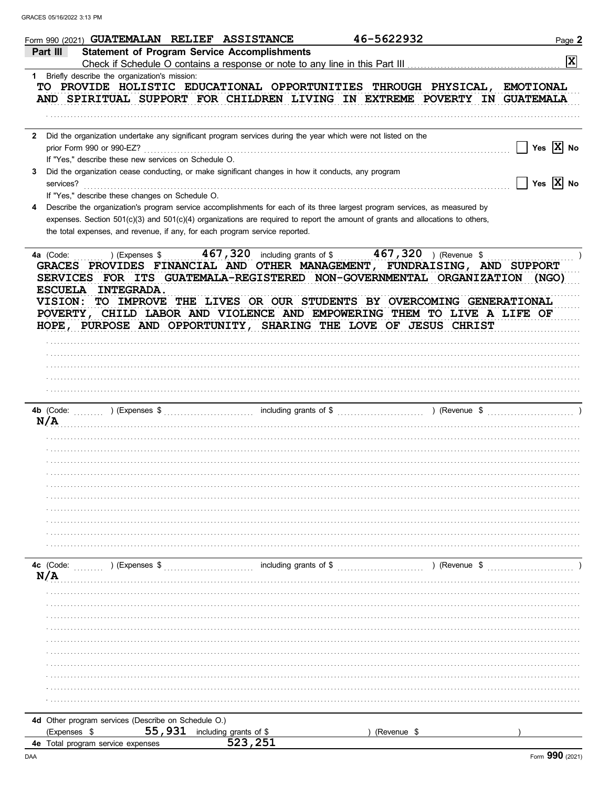|                                                      | Form 990 (2021) GUATEMALAN RELIEF ASSISTANCE                                                                                                                                                                  | 46-5622932                                             | Page 2                                                                                                                                                                                                                                        |
|------------------------------------------------------|---------------------------------------------------------------------------------------------------------------------------------------------------------------------------------------------------------------|--------------------------------------------------------|-----------------------------------------------------------------------------------------------------------------------------------------------------------------------------------------------------------------------------------------------|
| Part III                                             | <b>Statement of Program Service Accomplishments</b>                                                                                                                                                           |                                                        |                                                                                                                                                                                                                                               |
|                                                      |                                                                                                                                                                                                               |                                                        | $ \mathbf{x} $                                                                                                                                                                                                                                |
| 1 Briefly describe the organization's mission:       |                                                                                                                                                                                                               |                                                        |                                                                                                                                                                                                                                               |
|                                                      | TO PROVIDE HOLISTIC EDUCATIONAL OPPORTUNITIES THROUGH PHYSICAL, EMOTIONAL<br>AND SPIRITUAL SUPPORT FOR CHILDREN LIVING IN EXTREME POVERTY IN GUATEMALA                                                        |                                                        |                                                                                                                                                                                                                                               |
|                                                      |                                                                                                                                                                                                               |                                                        |                                                                                                                                                                                                                                               |
| $\overline{2}$                                       | Did the organization undertake any significant program services during the year which were not listed on the                                                                                                  |                                                        |                                                                                                                                                                                                                                               |
| prior Form 990 or 990-EZ?                            |                                                                                                                                                                                                               |                                                        | Yes $\overline{X}$ No                                                                                                                                                                                                                         |
| If "Yes," describe these new services on Schedule O. |                                                                                                                                                                                                               |                                                        |                                                                                                                                                                                                                                               |
| 3<br>services?                                       | Did the organization cease conducting, or make significant changes in how it conducts, any program                                                                                                            |                                                        | $\Box$ Yes $\overline{X}$ No                                                                                                                                                                                                                  |
| If "Yes," describe these changes on Schedule O.      |                                                                                                                                                                                                               |                                                        |                                                                                                                                                                                                                                               |
|                                                      | Describe the organization's program service accomplishments for each of its three largest program services, as measured by                                                                                    |                                                        |                                                                                                                                                                                                                                               |
|                                                      | expenses. Section 501(c)(3) and 501(c)(4) organizations are required to report the amount of grants and allocations to others,<br>the total expenses, and revenue, if any, for each program service reported. |                                                        |                                                                                                                                                                                                                                               |
|                                                      |                                                                                                                                                                                                               |                                                        |                                                                                                                                                                                                                                               |
| 4a (Code:<br>) (Expenses \$<br>ESCUELA INTEGRADA.    | GRACES PROVIDES FINANCIAL AND OTHER MANAGEMENT, FUNDRAISING, AND SUPPORT<br>SERVICES FOR ITS GUATEMALA-REGISTERED NON-GOVERNMENTAL ORGANIZATION (NGO)                                                         | 467, 320 including grants of \$ 467, 320 ) (Revenue \$ |                                                                                                                                                                                                                                               |
|                                                      | VISION: TO IMPROVE THE LIVES OR OUR STUDENTS BY OVERCOMING GENERATIONAL<br>POVERTY, CHILD LABOR AND VIOLENCE AND EMPOWERING THEM TO LIVE A LIFE OF                                                            |                                                        |                                                                                                                                                                                                                                               |
|                                                      | HOPE, PURPOSE AND OPPORTUNITY, SHARING THE LOVE OF JESUS CHRIST                                                                                                                                               |                                                        |                                                                                                                                                                                                                                               |
|                                                      |                                                                                                                                                                                                               |                                                        |                                                                                                                                                                                                                                               |
|                                                      |                                                                                                                                                                                                               |                                                        |                                                                                                                                                                                                                                               |
|                                                      |                                                                                                                                                                                                               |                                                        |                                                                                                                                                                                                                                               |
|                                                      |                                                                                                                                                                                                               |                                                        |                                                                                                                                                                                                                                               |
|                                                      |                                                                                                                                                                                                               |                                                        |                                                                                                                                                                                                                                               |
| 4b (Code:                                            |                                                                                                                                                                                                               |                                                        | ) (Expenses $\frac{1}{2}$ (Expenses $\frac{1}{2}$ molume of $\frac{1}{2}$ molume of $\frac{1}{2}$ molecular molecule molecule molecule molecule molecule molecule molecule molecule molecule molecule molecule molecule molecule molecule mol |
| N/A                                                  |                                                                                                                                                                                                               |                                                        |                                                                                                                                                                                                                                               |
|                                                      |                                                                                                                                                                                                               |                                                        |                                                                                                                                                                                                                                               |
|                                                      |                                                                                                                                                                                                               |                                                        |                                                                                                                                                                                                                                               |
|                                                      |                                                                                                                                                                                                               |                                                        |                                                                                                                                                                                                                                               |
|                                                      |                                                                                                                                                                                                               |                                                        |                                                                                                                                                                                                                                               |
|                                                      |                                                                                                                                                                                                               |                                                        |                                                                                                                                                                                                                                               |
|                                                      |                                                                                                                                                                                                               |                                                        |                                                                                                                                                                                                                                               |
|                                                      |                                                                                                                                                                                                               |                                                        |                                                                                                                                                                                                                                               |
|                                                      |                                                                                                                                                                                                               |                                                        |                                                                                                                                                                                                                                               |
|                                                      |                                                                                                                                                                                                               |                                                        |                                                                                                                                                                                                                                               |
|                                                      |                                                                                                                                                                                                               |                                                        |                                                                                                                                                                                                                                               |
| 4c (Code:<br>) (Expenses \$                          | including grants of \$                                                                                                                                                                                        |                                                        | ) (Revenue \$                                                                                                                                                                                                                                 |
| N/A                                                  |                                                                                                                                                                                                               |                                                        |                                                                                                                                                                                                                                               |
|                                                      |                                                                                                                                                                                                               |                                                        |                                                                                                                                                                                                                                               |
|                                                      |                                                                                                                                                                                                               |                                                        |                                                                                                                                                                                                                                               |
|                                                      |                                                                                                                                                                                                               |                                                        |                                                                                                                                                                                                                                               |
|                                                      |                                                                                                                                                                                                               |                                                        |                                                                                                                                                                                                                                               |
|                                                      |                                                                                                                                                                                                               |                                                        |                                                                                                                                                                                                                                               |
|                                                      |                                                                                                                                                                                                               |                                                        |                                                                                                                                                                                                                                               |
|                                                      |                                                                                                                                                                                                               |                                                        |                                                                                                                                                                                                                                               |
|                                                      |                                                                                                                                                                                                               |                                                        |                                                                                                                                                                                                                                               |
|                                                      |                                                                                                                                                                                                               |                                                        |                                                                                                                                                                                                                                               |
|                                                      |                                                                                                                                                                                                               |                                                        |                                                                                                                                                                                                                                               |
| 4d Other program services (Describe on Schedule O.)  |                                                                                                                                                                                                               |                                                        |                                                                                                                                                                                                                                               |
| (Expenses \$                                         | 55,931<br>including grants of \$                                                                                                                                                                              | (Revenue \$                                            |                                                                                                                                                                                                                                               |
| 4e Total program service expenses                    | 523,251                                                                                                                                                                                                       |                                                        |                                                                                                                                                                                                                                               |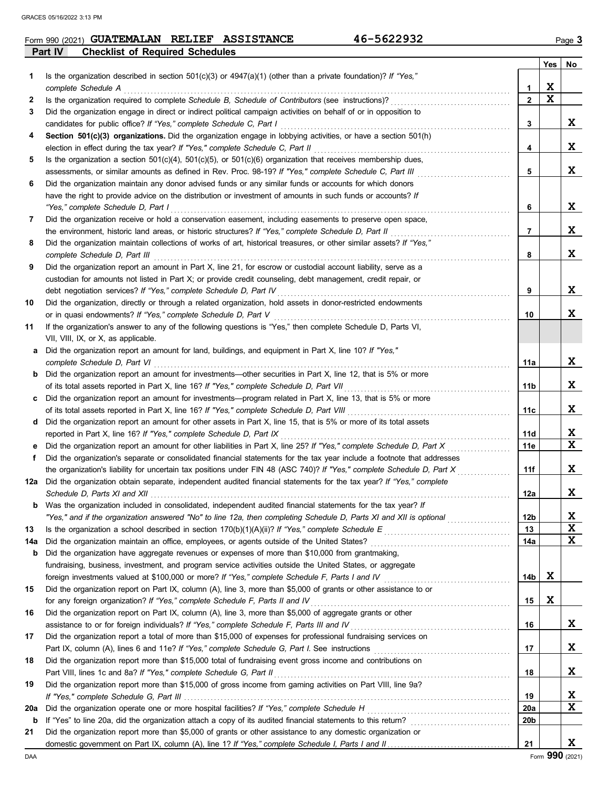#### **Part IV Checklist of Required Schedules** Form 990 (2021) Page **3 GUATEMALAN RELIEF ASSISTANCE 46-5622932**

|     |                                                                                                                                                                                                                                                   |                 | Yes         | No     |
|-----|---------------------------------------------------------------------------------------------------------------------------------------------------------------------------------------------------------------------------------------------------|-----------------|-------------|--------|
| 1   | Is the organization described in section $501(c)(3)$ or $4947(a)(1)$ (other than a private foundation)? If "Yes,"                                                                                                                                 |                 |             |        |
|     | complete Schedule A                                                                                                                                                                                                                               | 1               | X           |        |
| 2   | Is the organization required to complete Schedule B, Schedule of Contributors (see instructions)?                                                                                                                                                 | $\mathbf{2}$    | $\mathbf x$ |        |
| 3   | Did the organization engage in direct or indirect political campaign activities on behalf of or in opposition to                                                                                                                                  |                 |             |        |
|     | candidates for public office? If "Yes," complete Schedule C, Part I                                                                                                                                                                               | 3               |             | X      |
| 4   | Section 501(c)(3) organizations. Did the organization engage in lobbying activities, or have a section 501(h)                                                                                                                                     |                 |             |        |
|     | election in effect during the tax year? If "Yes," complete Schedule C, Part II                                                                                                                                                                    | 4               |             | X      |
| 5   | Is the organization a section $501(c)(4)$ , $501(c)(5)$ , or $501(c)(6)$ organization that receives membership dues,                                                                                                                              |                 |             |        |
|     | assessments, or similar amounts as defined in Rev. Proc. 98-19? If "Yes," complete Schedule C, Part III                                                                                                                                           | 5               |             | X      |
| 6   | Did the organization maintain any donor advised funds or any similar funds or accounts for which donors                                                                                                                                           |                 |             |        |
|     | have the right to provide advice on the distribution or investment of amounts in such funds or accounts? If                                                                                                                                       |                 |             |        |
|     | "Yes," complete Schedule D, Part I                                                                                                                                                                                                                | 6               |             | X      |
| 7   | Did the organization receive or hold a conservation easement, including easements to preserve open space,                                                                                                                                         |                 |             |        |
|     | the environment, historic land areas, or historic structures? If "Yes," complete Schedule D, Part II                                                                                                                                              | 7               |             | X      |
| 8   | Did the organization maintain collections of works of art, historical treasures, or other similar assets? If "Yes,"                                                                                                                               |                 |             |        |
|     | complete Schedule D, Part III                                                                                                                                                                                                                     | 8               |             | X      |
| 9   | Did the organization report an amount in Part X, line 21, for escrow or custodial account liability, serve as a                                                                                                                                   |                 |             |        |
|     | custodian for amounts not listed in Part X; or provide credit counseling, debt management, credit repair, or                                                                                                                                      |                 |             |        |
|     | debt negotiation services? If "Yes," complete Schedule D, Part IV                                                                                                                                                                                 | 9               |             | X      |
| 10  | Did the organization, directly or through a related organization, hold assets in donor-restricted endowments                                                                                                                                      |                 |             |        |
|     | or in quasi endowments? If "Yes," complete Schedule D, Part V                                                                                                                                                                                     | 10              |             | X      |
| 11  | If the organization's answer to any of the following questions is "Yes," then complete Schedule D, Parts VI,                                                                                                                                      |                 |             |        |
|     | VII, VIII, IX, or X, as applicable.                                                                                                                                                                                                               |                 |             |        |
|     | a Did the organization report an amount for land, buildings, and equipment in Part X, line 10? If "Yes,"                                                                                                                                          |                 |             |        |
|     | complete Schedule D, Part VI                                                                                                                                                                                                                      | 11a             |             | X      |
|     | <b>b</b> Did the organization report an amount for investments—other securities in Part X, line 12, that is 5% or more                                                                                                                            |                 |             |        |
|     | of its total assets reported in Part X, line 16? If "Yes," complete Schedule D, Part VII                                                                                                                                                          | 11b             |             | X.     |
|     | c Did the organization report an amount for investments—program related in Part X, line 13, that is 5% or more                                                                                                                                    |                 |             |        |
|     | of its total assets reported in Part X, line 16? If "Yes," complete Schedule D, Part VIII [[[[[[[[[[[[[[[[[[[[                                                                                                                                    | 11c             |             | X      |
|     | d Did the organization report an amount for other assets in Part X, line 15, that is 5% or more of its total assets                                                                                                                               |                 |             |        |
|     | reported in Part X, line 16? If "Yes," complete Schedule D, Part IX                                                                                                                                                                               | 11d             |             | X<br>X |
|     | e Did the organization report an amount for other liabilities in Part X, line 25? If "Yes," complete Schedule D, Part X                                                                                                                           | 11e             |             |        |
| f   | Did the organization's separate or consolidated financial statements for the tax year include a footnote that addresses<br>the organization's liability for uncertain tax positions under FIN 48 (ASC 740)? If "Yes," complete Schedule D, Part X | 11f             |             | X      |
| 12a | Did the organization obtain separate, independent audited financial statements for the tax year? If "Yes," complete                                                                                                                               |                 |             |        |
|     |                                                                                                                                                                                                                                                   | 12a             |             | X      |
| b   | Was the organization included in consolidated, independent audited financial statements for the tax year? If                                                                                                                                      |                 |             |        |
|     | "Yes," and if the organization answered "No" to line 12a, then completing Schedule D, Parts XI and XII is optional                                                                                                                                | 12 <sub>b</sub> |             | X      |
| 13  |                                                                                                                                                                                                                                                   | 13              |             | X      |
| 14a |                                                                                                                                                                                                                                                   | 14a             |             | X      |
| b   | Did the organization have aggregate revenues or expenses of more than \$10,000 from grantmaking,                                                                                                                                                  |                 |             |        |
|     | fundraising, business, investment, and program service activities outside the United States, or aggregate                                                                                                                                         |                 |             |        |
|     |                                                                                                                                                                                                                                                   | 14b             | X           |        |
| 15  | Did the organization report on Part IX, column (A), line 3, more than \$5,000 of grants or other assistance to or                                                                                                                                 |                 |             |        |
|     | for any foreign organization? If "Yes," complete Schedule F, Parts II and IV                                                                                                                                                                      | 15              | $\mathbf x$ |        |
| 16  | Did the organization report on Part IX, column (A), line 3, more than \$5,000 of aggregate grants or other                                                                                                                                        |                 |             |        |
|     | assistance to or for foreign individuals? If "Yes," complete Schedule F, Parts III and IV [[[[[[[[[[[[[[[[[[[                                                                                                                                     | 16              |             | X      |
| 17  | Did the organization report a total of more than \$15,000 of expenses for professional fundraising services on                                                                                                                                    |                 |             |        |
|     |                                                                                                                                                                                                                                                   | 17              |             | X      |
| 18  | Did the organization report more than \$15,000 total of fundraising event gross income and contributions on                                                                                                                                       |                 |             |        |
|     | Part VIII, lines 1c and 8a? If "Yes," complete Schedule G, Part II                                                                                                                                                                                | 18              |             | X      |
| 19  | Did the organization report more than \$15,000 of gross income from gaming activities on Part VIII, line 9a?                                                                                                                                      |                 |             |        |
|     |                                                                                                                                                                                                                                                   | 19              |             | X      |
| 20a |                                                                                                                                                                                                                                                   | 20a             |             | X      |
| b   |                                                                                                                                                                                                                                                   | 20 <sub>b</sub> |             |        |
| 21  | Did the organization report more than \$5,000 of grants or other assistance to any domestic organization or                                                                                                                                       |                 |             |        |
|     |                                                                                                                                                                                                                                                   | 21              |             | X      |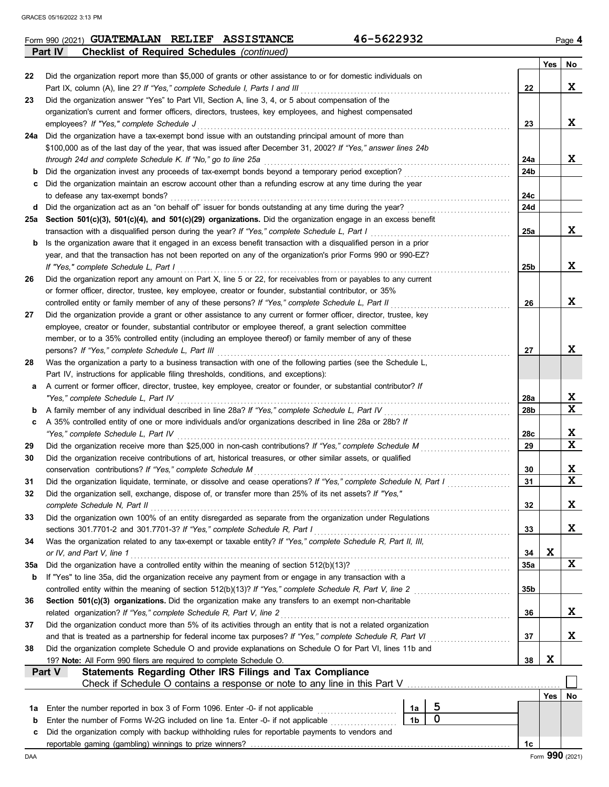**Part IV Checklist of Required Schedules** *(continued)*

|             |                                                                                                                                                                                                                   |                 | Yes | No.             |
|-------------|-------------------------------------------------------------------------------------------------------------------------------------------------------------------------------------------------------------------|-----------------|-----|-----------------|
| 22          | Did the organization report more than \$5,000 of grants or other assistance to or for domestic individuals on                                                                                                     |                 |     |                 |
|             | Part IX, column (A), line 2? If "Yes," complete Schedule I, Parts I and III                                                                                                                                       | 22              |     | X               |
| 23          | Did the organization answer "Yes" to Part VII, Section A, line 3, 4, or 5 about compensation of the                                                                                                               |                 |     |                 |
|             | organization's current and former officers, directors, trustees, key employees, and highest compensated                                                                                                           |                 |     |                 |
|             | employees? If "Yes," complete Schedule J                                                                                                                                                                          | 23              |     | X               |
| 24a         | Did the organization have a tax-exempt bond issue with an outstanding principal amount of more than                                                                                                               |                 |     |                 |
|             | \$100,000 as of the last day of the year, that was issued after December 31, 2002? If "Yes," answer lines 24b                                                                                                     |                 |     |                 |
|             | through 24d and complete Schedule K. If "No," go to line 25a                                                                                                                                                      | 24a             |     | X               |
| b           | Did the organization invest any proceeds of tax-exempt bonds beyond a temporary period exception?                                                                                                                 | 24b             |     |                 |
| с           | Did the organization maintain an escrow account other than a refunding escrow at any time during the year                                                                                                         |                 |     |                 |
|             | to defease any tax-exempt bonds?<br>Did the organization act as an "on behalf of" issuer for bonds outstanding at any time during the year?                                                                       | 24c<br>24d      |     |                 |
| d<br>25a    | Section 501(c)(3), 501(c)(4), and 501(c)(29) organizations. Did the organization engage in an excess benefit                                                                                                      |                 |     |                 |
|             | transaction with a disqualified person during the year? If "Yes," complete Schedule L, Part I                                                                                                                     | 25a             |     | X               |
| b           | Is the organization aware that it engaged in an excess benefit transaction with a disqualified person in a prior                                                                                                  |                 |     |                 |
|             | year, and that the transaction has not been reported on any of the organization's prior Forms 990 or 990-EZ?                                                                                                      |                 |     |                 |
|             | If "Yes," complete Schedule L, Part I                                                                                                                                                                             | 25b             |     | X               |
| 26          | Did the organization report any amount on Part X, line 5 or 22, for receivables from or payables to any current                                                                                                   |                 |     |                 |
|             | or former officer, director, trustee, key employee, creator or founder, substantial contributor, or 35%                                                                                                           |                 |     |                 |
|             | controlled entity or family member of any of these persons? If "Yes," complete Schedule L, Part II                                                                                                                | 26              |     | X               |
| 27          | Did the organization provide a grant or other assistance to any current or former officer, director, trustee, key                                                                                                 |                 |     |                 |
|             | employee, creator or founder, substantial contributor or employee thereof, a grant selection committee                                                                                                            |                 |     |                 |
|             | member, or to a 35% controlled entity (including an employee thereof) or family member of any of these                                                                                                            |                 |     |                 |
|             | persons? If "Yes," complete Schedule L, Part III                                                                                                                                                                  | 27              |     | X               |
| 28          | Was the organization a party to a business transaction with one of the following parties (see the Schedule L,                                                                                                     |                 |     |                 |
|             | Part IV, instructions for applicable filing thresholds, conditions, and exceptions):                                                                                                                              |                 |     |                 |
| а           | A current or former officer, director, trustee, key employee, creator or founder, or substantial contributor? If                                                                                                  |                 |     |                 |
|             | "Yes," complete Schedule L, Part IV                                                                                                                                                                               | 28a             |     | X               |
| b           | A family member of any individual described in line 28a? If "Yes," complete Schedule L, Part IV                                                                                                                   | 28b             |     | $\mathbf x$     |
| c           | A 35% controlled entity of one or more individuals and/or organizations described in line 28a or 28b? If                                                                                                          |                 |     |                 |
|             | "Yes," complete Schedule L, Part IV                                                                                                                                                                               | 28c             |     | X               |
| 29          |                                                                                                                                                                                                                   | 29              |     | $\mathbf x$     |
| 30          | Did the organization receive contributions of art, historical treasures, or other similar assets, or qualified                                                                                                    |                 |     |                 |
|             | conservation contributions? If "Yes," complete Schedule M                                                                                                                                                         | 30              |     | X               |
| 31          | Did the organization liquidate, terminate, or dissolve and cease operations? If "Yes," complete Schedule N, Part I                                                                                                | 31              |     | $\mathbf x$     |
| 32          | Did the organization sell, exchange, dispose of, or transfer more than 25% of its net assets? If "Yes,"                                                                                                           |                 |     |                 |
|             | complete Schedule N, Part II                                                                                                                                                                                      | 32              |     | X               |
| 33          | Did the organization own 100% of an entity disregarded as separate from the organization under Regulations                                                                                                        |                 |     |                 |
|             | sections 301.7701-2 and 301.7701-3? If "Yes," complete Schedule R, Part I                                                                                                                                         | 33              |     | X               |
| 34          | Was the organization related to any tax-exempt or taxable entity? If "Yes," complete Schedule R, Part II, III,                                                                                                    |                 |     |                 |
|             | or IV, and Part V, line 1                                                                                                                                                                                         | 34              | X   |                 |
| <b>35a</b>  |                                                                                                                                                                                                                   | 35a             |     | X               |
| b           | If "Yes" to line 35a, did the organization receive any payment from or engage in any transaction with a                                                                                                           | 35 <sub>b</sub> |     |                 |
| 36          | controlled entity within the meaning of section 512(b)(13)? If "Yes," complete Schedule R, Part V, line 2<br>Section 501(c)(3) organizations. Did the organization make any transfers to an exempt non-charitable |                 |     |                 |
|             | related organization? If "Yes," complete Schedule R, Part V, line 2                                                                                                                                               | 36              |     | X               |
| 37          | Did the organization conduct more than 5% of its activities through an entity that is not a related organization                                                                                                  |                 |     |                 |
|             | and that is treated as a partnership for federal income tax purposes? If "Yes," complete Schedule R, Part VI                                                                                                      | 37              |     | X               |
| 38          | Did the organization complete Schedule O and provide explanations on Schedule O for Part VI, lines 11b and                                                                                                        |                 |     |                 |
|             | 19? Note: All Form 990 filers are required to complete Schedule O.                                                                                                                                                | 38              | X   |                 |
|             | <b>Statements Regarding Other IRS Filings and Tax Compliance</b><br>Part V                                                                                                                                        |                 |     |                 |
|             | Check if Schedule O contains a response or note to any line in this Part V [11] Check if Schedule O contains a response or note to any line in this Part V                                                        |                 |     |                 |
|             |                                                                                                                                                                                                                   |                 | Yes | No              |
| 1а          | 5<br>Enter the number reported in box 3 of Form 1096. Enter -0- if not applicable<br>1a                                                                                                                           |                 |     |                 |
| $\mathbf b$ | $\overline{0}$<br>1 <sub>b</sub><br>Enter the number of Forms W-2G included on line 1a. Enter -0- if not applicable                                                                                               |                 |     |                 |
| с           | Did the organization comply with backup withholding rules for reportable payments to vendors and                                                                                                                  |                 |     |                 |
|             |                                                                                                                                                                                                                   | 1c              |     |                 |
| DAA         |                                                                                                                                                                                                                   |                 |     | Form 990 (2021) |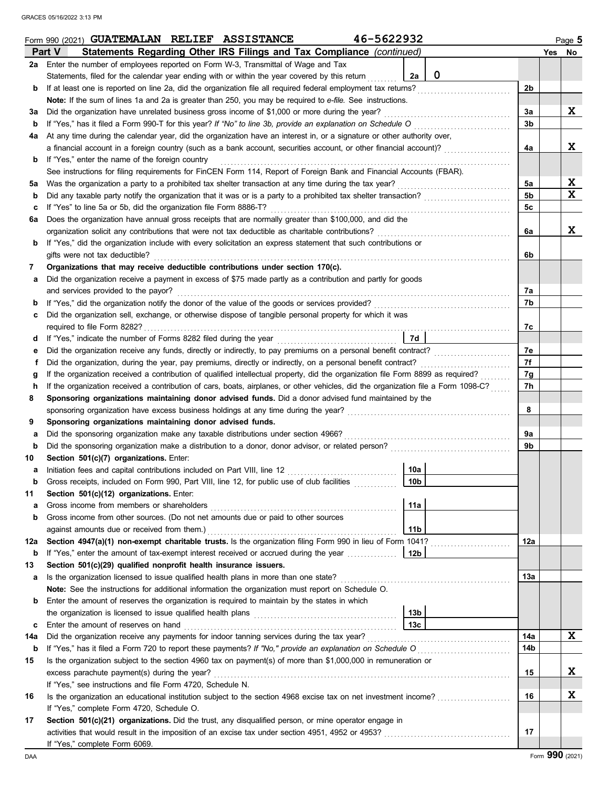|     | 46-5622932<br>Form 990 (2021) GUATEMALAN RELIEF ASSISTANCE                                                                                                                                                                     |                 |   |     | Page 5 |
|-----|--------------------------------------------------------------------------------------------------------------------------------------------------------------------------------------------------------------------------------|-----------------|---|-----|--------|
|     | Part V<br>Statements Regarding Other IRS Filings and Tax Compliance (continued)                                                                                                                                                |                 |   |     | Yes No |
|     | 2a Enter the number of employees reported on Form W-3, Transmittal of Wage and Tax                                                                                                                                             |                 |   |     |        |
|     | Statements, filed for the calendar year ending with or within the year covered by this return                                                                                                                                  | 2a              | 0 |     |        |
| b   | If at least one is reported on line 2a, did the organization file all required federal employment tax returns?                                                                                                                 |                 |   | 2b  |        |
|     | Note: If the sum of lines 1a and 2a is greater than 250, you may be required to e-file. See instructions.                                                                                                                      |                 |   |     |        |
| За  | Did the organization have unrelated business gross income of \$1,000 or more during the year?                                                                                                                                  |                 |   | За  | X      |
| b   | If "Yes," has it filed a Form 990-T for this year? If "No" to line 3b, provide an explanation on Schedule O                                                                                                                    |                 |   | 3b  |        |
| 4a  | At any time during the calendar year, did the organization have an interest in, or a signature or other authority over,                                                                                                        |                 |   |     |        |
|     | a financial account in a foreign country (such as a bank account, securities account, or other financial account)?                                                                                                             |                 |   | 4a  | X      |
| b   | If "Yes," enter the name of the foreign country                                                                                                                                                                                |                 |   |     |        |
|     | See instructions for filing requirements for FinCEN Form 114, Report of Foreign Bank and Financial Accounts (FBAR).                                                                                                            |                 |   |     |        |
| 5а  | Was the organization a party to a prohibited tax shelter transaction at any time during the tax year?                                                                                                                          |                 |   | 5a  | X      |
| b   | Did any taxable party notify the organization that it was or is a party to a prohibited tax shelter transaction?                                                                                                               |                 |   | 5b  | X      |
| с   | If "Yes" to line 5a or 5b, did the organization file Form 8886-T?                                                                                                                                                              |                 |   | 5c  |        |
| 6a  | Does the organization have annual gross receipts that are normally greater than \$100,000, and did the                                                                                                                         |                 |   |     |        |
|     | organization solicit any contributions that were not tax deductible as charitable contributions?                                                                                                                               |                 |   | 6a  | X      |
| b   | If "Yes," did the organization include with every solicitation an express statement that such contributions or                                                                                                                 |                 |   |     |        |
|     | gifts were not tax deductible?                                                                                                                                                                                                 |                 |   | 6b  |        |
| 7   | Organizations that may receive deductible contributions under section 170(c).                                                                                                                                                  |                 |   |     |        |
| а   | Did the organization receive a payment in excess of \$75 made partly as a contribution and partly for goods                                                                                                                    |                 |   |     |        |
|     | and services provided to the payor?                                                                                                                                                                                            |                 |   | 7а  |        |
| b   |                                                                                                                                                                                                                                |                 |   | 7b  |        |
| с   | Did the organization sell, exchange, or otherwise dispose of tangible personal property for which it was                                                                                                                       |                 |   |     |        |
|     | required to file Form 8282?                                                                                                                                                                                                    |                 |   | 7c  |        |
| d   |                                                                                                                                                                                                                                | 7d              |   |     |        |
| е   | Did the organization receive any funds, directly or indirectly, to pay premiums on a personal benefit contract?                                                                                                                |                 |   | 7е  |        |
| f   | Did the organization, during the year, pay premiums, directly or indirectly, on a personal benefit contract?                                                                                                                   |                 |   | 7f  |        |
| g   | If the organization received a contribution of qualified intellectual property, did the organization file Form 8899 as required?                                                                                               |                 |   | 7g  |        |
| h   | If the organization received a contribution of cars, boats, airplanes, or other vehicles, did the organization file a Form 1098-C?                                                                                             |                 |   | 7h  |        |
| 8   | Sponsoring organizations maintaining donor advised funds. Did a donor advised fund maintained by the                                                                                                                           |                 |   |     |        |
|     | sponsoring organization have excess business holdings at any time during the year?                                                                                                                                             |                 |   | 8   |        |
| 9   | Sponsoring organizations maintaining donor advised funds.                                                                                                                                                                      |                 |   |     |        |
| а   | Did the sponsoring organization make any taxable distributions under section 4966?                                                                                                                                             |                 |   | 9а  |        |
| b   | Did the sponsoring organization make a distribution to a donor, donor advisor, or related person?                                                                                                                              |                 |   | 9b  |        |
| 10  | Section 501(c)(7) organizations. Enter:                                                                                                                                                                                        |                 |   |     |        |
| а   | Initiation fees and capital contributions included on Part VIII, line 12 [100] [100] [100] [100] [100] [100] [100] [100] [100] [100] [100] [100] [100] [100] [100] [100] [100] [100] [100] [100] [100] [100] [100] [100] [100] | 10a             |   |     |        |
|     | Gross receipts, included on Form 990, Part VIII, line 12, for public use of club facilities                                                                                                                                    | 10 <sub>b</sub> |   |     |        |
| 11  | Section 501(c)(12) organizations. Enter:                                                                                                                                                                                       |                 |   |     |        |
| а   | Gross income from members or shareholders                                                                                                                                                                                      | 11a             |   |     |        |
| b   | Gross income from other sources. (Do not net amounts due or paid to other sources                                                                                                                                              |                 |   |     |        |
|     | against amounts due or received from them.)                                                                                                                                                                                    | 11 <sub>b</sub> |   |     |        |
| 12a | Section 4947(a)(1) non-exempt charitable trusts. Is the organization filing Form 990 in lieu of Form 1041?                                                                                                                     |                 |   | 12a |        |
| b   | If "Yes," enter the amount of tax-exempt interest received or accrued during the year                                                                                                                                          | 12b             |   |     |        |
| 13  | Section 501(c)(29) qualified nonprofit health insurance issuers.                                                                                                                                                               |                 |   |     |        |
| а   | Is the organization licensed to issue qualified health plans in more than one state?                                                                                                                                           |                 |   | 13а |        |
|     | <b>Note:</b> See the instructions for additional information the organization must report on Schedule O.                                                                                                                       |                 |   |     |        |
| b   | Enter the amount of reserves the organization is required to maintain by the states in which                                                                                                                                   |                 |   |     |        |
|     |                                                                                                                                                                                                                                | 13 <sub>b</sub> |   |     |        |
| c   | Enter the amount of reserves on hand                                                                                                                                                                                           | 13 <sub>c</sub> |   |     |        |
| 14a | Did the organization receive any payments for indoor tanning services during the tax year?                                                                                                                                     |                 |   | 14a | X      |
| b   | If "Yes," has it filed a Form 720 to report these payments? If "No," provide an explanation on Schedule O                                                                                                                      |                 |   | 14b |        |
| 15  | Is the organization subject to the section 4960 tax on payment(s) of more than \$1,000,000 in remuneration or                                                                                                                  |                 |   |     |        |
|     | excess parachute payment(s) during the year?                                                                                                                                                                                   |                 |   | 15  | X      |
|     | If "Yes," see instructions and file Form 4720, Schedule N.                                                                                                                                                                     |                 |   |     |        |
| 16  | Is the organization an educational institution subject to the section 4968 excise tax on net investment income?                                                                                                                |                 |   | 16  | X      |
|     | If "Yes," complete Form 4720, Schedule O.                                                                                                                                                                                      |                 |   |     |        |
| 17  | Section 501(c)(21) organizations. Did the trust, any disqualified person, or mine operator engage in                                                                                                                           |                 |   |     |        |
|     |                                                                                                                                                                                                                                |                 |   | 17  |        |
|     | If "Yes," complete Form 6069.                                                                                                                                                                                                  |                 |   |     |        |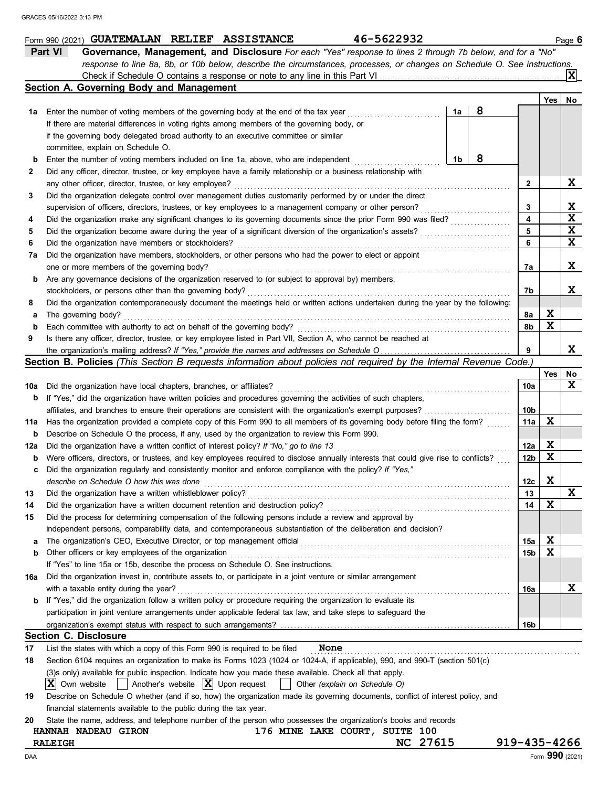|     | 46-5622932<br>Form 990 (2021) GUATEMALAN RELIEF ASSISTANCE                                                                          |                         |                 | Page 6  |
|-----|-------------------------------------------------------------------------------------------------------------------------------------|-------------------------|-----------------|---------|
|     | Part VI<br>Governance, Management, and Disclosure For each "Yes" response to lines 2 through 7b below, and for a "No"               |                         |                 |         |
|     | response to line 8a, 8b, or 10b below, describe the circumstances, processes, or changes on Schedule O. See instructions.           |                         |                 |         |
|     |                                                                                                                                     |                         |                 | ΙXΙ     |
|     | Section A. Governing Body and Management                                                                                            |                         |                 |         |
|     |                                                                                                                                     |                         | Yes             | No      |
| 1а  | 8<br>1a<br>Enter the number of voting members of the governing body at the end of the tax year                                      |                         |                 |         |
|     | If there are material differences in voting rights among members of the governing body, or                                          |                         |                 |         |
|     | if the governing body delegated broad authority to an executive committee or similar                                                |                         |                 |         |
|     | committee, explain on Schedule O.                                                                                                   |                         |                 |         |
| b   | 8<br>1b<br>Enter the number of voting members included on line 1a, above, who are independent                                       |                         |                 |         |
| 2   | Did any officer, director, trustee, or key employee have a family relationship or a business relationship with                      |                         |                 |         |
|     | any other officer, director, trustee, or key employee?                                                                              | 2                       |                 | X       |
| 3   | Did the organization delegate control over management duties customarily performed by or under the direct                           |                         |                 |         |
|     | supervision of officers, directors, trustees, or key employees to a management company or other person?                             | 3                       |                 | X       |
| 4   | Did the organization make any significant changes to its governing documents since the prior Form 990 was filed?                    | $\overline{\mathbf{4}}$ |                 | X       |
| 5   | Did the organization become aware during the year of a significant diversion of the organization's assets?                          | 5                       |                 | X       |
| 6   | Did the organization have members or stockholders?                                                                                  | 6                       |                 | X       |
| 7a  | Did the organization have members, stockholders, or other persons who had the power to elect or appoint                             |                         |                 |         |
|     | one or more members of the governing body?                                                                                          | 7a                      |                 | X       |
| b   | Are any governance decisions of the organization reserved to (or subject to approval by) members,                                   |                         |                 |         |
|     | stockholders, or persons other than the governing body?                                                                             | 7b                      |                 | X       |
| 8   | Did the organization contemporaneously document the meetings held or written actions undertaken during the year by the following:   |                         |                 |         |
|     | The governing body?                                                                                                                 | 8а                      | X               |         |
| а   |                                                                                                                                     | 8b                      | $\mathbf x$     |         |
| b   | Each committee with authority to act on behalf of the governing body?                                                               |                         |                 |         |
| 9   | Is there any officer, director, trustee, or key employee listed in Part VII, Section A, who cannot be reached at                    | 9                       |                 | X       |
|     |                                                                                                                                     |                         |                 |         |
|     | Section B. Policies (This Section B requests information about policies not required by the Internal Revenue Code.)                 |                         |                 |         |
|     |                                                                                                                                     |                         | Yes             | No<br>X |
| 10a | Did the organization have local chapters, branches, or affiliates?                                                                  | 10a                     |                 |         |
| b   | If "Yes," did the organization have written policies and procedures governing the activities of such chapters,                      |                         |                 |         |
|     | affiliates, and branches to ensure their operations are consistent with the organization's exempt purposes?                         | 10b                     |                 |         |
| 11a | Has the organization provided a complete copy of this Form 990 to all members of its governing body before filing the form?         | 11a                     | X               |         |
| b   | Describe on Schedule O the process, if any, used by the organization to review this Form 990.                                       |                         |                 |         |
| 12a | Did the organization have a written conflict of interest policy? If "No," go to line 13                                             | 12a                     | X               |         |
| b   | Were officers, directors, or trustees, and key employees required to disclose annually interests that could give rise to conflicts? | 12 <sub>b</sub>         | $\mathbf x$     |         |
| с   | Did the organization regularly and consistently monitor and enforce compliance with the policy? If "Yes,"                           |                         |                 |         |
|     | describe on Schedule O how this was done                                                                                            | 12c                     | X               |         |
| 13  | Did the organization have a written whistleblower policy?                                                                           | 13                      |                 | X       |
| 14  | Did the organization have a written document retention and destruction policy?                                                      | 14                      | X               |         |
| 15  | Did the process for determining compensation of the following persons include a review and approval by                              |                         |                 |         |
|     | independent persons, comparability data, and contemporaneous substantiation of the deliberation and decision?                       |                         |                 |         |
| a   | The organization's CEO, Executive Director, or top management official                                                              | 15a                     | X               |         |
| b   | Other officers or key employees of the organization                                                                                 | 15b                     | X               |         |
|     | If "Yes" to line 15a or 15b, describe the process on Schedule O. See instructions.                                                  |                         |                 |         |
| 16a | Did the organization invest in, contribute assets to, or participate in a joint venture or similar arrangement                      |                         |                 |         |
|     | with a taxable entity during the year?                                                                                              | 16a                     |                 | X       |
| b   | If "Yes," did the organization follow a written policy or procedure requiring the organization to evaluate its                      |                         |                 |         |
|     | participation in joint venture arrangements under applicable federal tax law, and take steps to safeguard the                       |                         |                 |         |
|     |                                                                                                                                     | 16b                     |                 |         |
|     | <b>Section C. Disclosure</b>                                                                                                        |                         |                 |         |
| 17  | List the states with which a copy of this Form 990 is required to be filed<br>None                                                  |                         |                 |         |
| 18  | Section 6104 requires an organization to make its Forms 1023 (1024 or 1024-A, if applicable), 990, and 990-T (section 501(c)        |                         |                 |         |
|     | (3)s only) available for public inspection. Indicate how you made these available. Check all that apply.                            |                         |                 |         |
|     | $ X $ Own website<br>Another's website $ X $ Upon request<br>Other (explain on Schedule O)                                          |                         |                 |         |
| 19  | Describe on Schedule O whether (and if so, how) the organization made its governing documents, conflict of interest policy, and     |                         |                 |         |
|     | financial statements available to the public during the tax year.                                                                   |                         |                 |         |
| 20  | State the name, address, and telephone number of the person who possesses the organization's books and records                      |                         |                 |         |
|     | 176 MINE LAKE COURT, SUITE 100<br>HANNAH NADEAU GIRON                                                                               |                         |                 |         |
|     | NC<br>27615<br><b>RALEIGH</b>                                                                                                       | 919-435-4266            |                 |         |
| DAA |                                                                                                                                     |                         | Form 990 (2021) |         |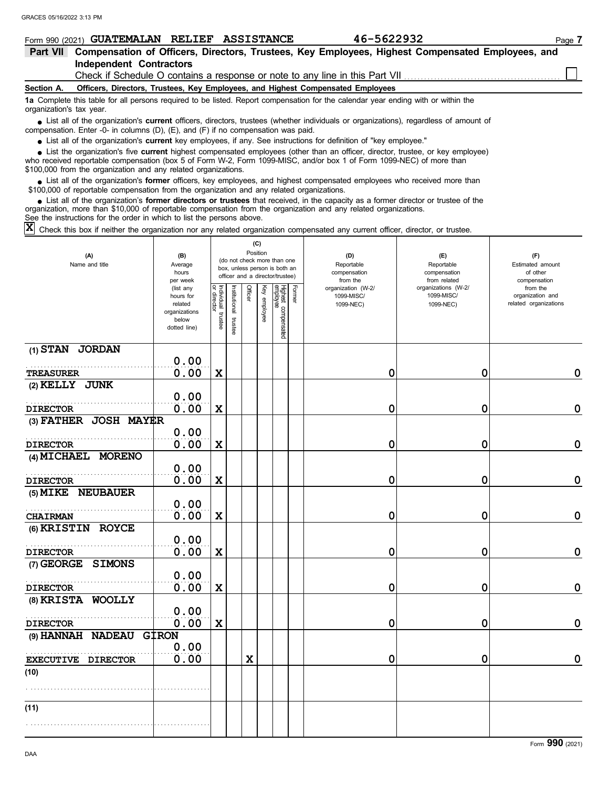|                          | 46-5622932<br>Form 990 (2021) GUATEMALAN RELIEF ASSISTANCE<br>Page 7                                                                                                                                                                                                                                                     |
|--------------------------|--------------------------------------------------------------------------------------------------------------------------------------------------------------------------------------------------------------------------------------------------------------------------------------------------------------------------|
| <b>Part VII</b>          | Compensation of Officers, Directors, Trustees, Key Employees, Highest Compensated Employees, and                                                                                                                                                                                                                         |
|                          | Independent Contractors                                                                                                                                                                                                                                                                                                  |
|                          |                                                                                                                                                                                                                                                                                                                          |
| Section A.               | Officers, Directors, Trustees, Key Employees, and Highest Compensated Employees                                                                                                                                                                                                                                          |
| organization's tax year. | 1a Complete this table for all persons required to be listed. Report compensation for the calendar year ending with or within the                                                                                                                                                                                        |
|                          | List all of the organization's current officers, directors, trustees (whether individuals or organizations), regardless of amount of<br>compensation. Enter -0- in columns $(D)$ , $(E)$ , and $(F)$ if no compensation was paid.                                                                                        |
|                          | • List all of the organization's current key employees, if any. See instructions for definition of "key employee."                                                                                                                                                                                                       |
|                          | List the organization's five current highest compensated employees (other than an officer, director, trustee, or key employee)<br>who received reportable compensation (box 5 of Form W-2, Form 1099-MISC, and/or box 1 of Form 1099-NEC) of more than<br>\$100,000 from the organization and any related organizations. |
|                          | • List all of the organization's former officers, key employees, and highest compensated employees who received more than<br>\$100,000 of reportable compensation from the organization and any related organizations.                                                                                                   |
|                          | List all of the organization's former directors or trustees that received, in the capacity as a former director or trustee of the<br>organization, more than \$10,000 of reportable compensation from the organization and any related organizations.                                                                    |

See the instructions for the order in which to list the persons above.

Check this box if neither the organization nor any related organization compensated any current officer, director, or trustee. **X**

| (A)<br>Name and title                      | (B)<br>Average<br>hours<br>per week                                         |                                   |                      | (C)<br>Position |              | (do not check more than one<br>box, unless person is both an<br>officer and a director/trustee) |        | (D)<br>Reportable<br>compensation<br>from the | (E)<br>Reportable<br>compensation<br>from related | (F)<br>Estimated amount<br>of other<br>compensation   |
|--------------------------------------------|-----------------------------------------------------------------------------|-----------------------------------|----------------------|-----------------|--------------|-------------------------------------------------------------------------------------------------|--------|-----------------------------------------------|---------------------------------------------------|-------------------------------------------------------|
|                                            | (list any<br>hours for<br>related<br>organizations<br>below<br>dotted line) | Individual trustee<br>or director | nstitutional trustee | Officer         | Key employee | Highest compensated<br>employee                                                                 | Former | organization (W-2/<br>1099-MISC/<br>1099-NEC) | organizations (W-2/<br>1099-MISC/<br>1099-NEC)    | from the<br>organization and<br>related organizations |
| (1) STAN JORDAN                            |                                                                             |                                   |                      |                 |              |                                                                                                 |        |                                               |                                                   |                                                       |
| <b>TREASURER</b>                           | 0.00<br>0.00                                                                | $\mathbf x$                       |                      |                 |              |                                                                                                 |        | 0                                             | 0                                                 | 0                                                     |
| (2) KELLY JUNK                             |                                                                             |                                   |                      |                 |              |                                                                                                 |        |                                               |                                                   |                                                       |
|                                            | 0.00                                                                        |                                   |                      |                 |              |                                                                                                 |        |                                               |                                                   |                                                       |
| <b>DIRECTOR</b>                            | 0.00                                                                        | $\mathbf x$                       |                      |                 |              |                                                                                                 |        | 0                                             | 0                                                 | 0                                                     |
| (3) FATHER JOSH MAYER                      |                                                                             |                                   |                      |                 |              |                                                                                                 |        |                                               |                                                   |                                                       |
|                                            | 0.00                                                                        |                                   |                      |                 |              |                                                                                                 |        |                                               |                                                   |                                                       |
| <b>DIRECTOR</b><br>(4) MICHAEL MORENO      | 0.00                                                                        | $\mathbf x$                       |                      |                 |              |                                                                                                 |        | 0                                             | 0                                                 | 0                                                     |
|                                            | 0.00                                                                        |                                   |                      |                 |              |                                                                                                 |        |                                               |                                                   |                                                       |
| <b>DIRECTOR</b>                            | 0.00                                                                        | $\mathbf x$                       |                      |                 |              |                                                                                                 |        | 0                                             | 0                                                 | $\mathbf 0$                                           |
| (5) MIKE NEUBAUER                          |                                                                             |                                   |                      |                 |              |                                                                                                 |        |                                               |                                                   |                                                       |
|                                            | 0.00                                                                        |                                   |                      |                 |              |                                                                                                 |        |                                               |                                                   |                                                       |
| <b>CHAIRMAN</b>                            | 0.00                                                                        | $\mathbf x$                       |                      |                 |              |                                                                                                 |        | 0                                             | 0                                                 | $\mathbf 0$                                           |
| (6) KRISTIN ROYCE                          | 0.00                                                                        |                                   |                      |                 |              |                                                                                                 |        |                                               |                                                   |                                                       |
| <b>DIRECTOR</b>                            | 0.00                                                                        | $\mathbf x$                       |                      |                 |              |                                                                                                 |        | 0                                             | 0                                                 | 0                                                     |
| (7) GEORGE<br><b>SIMONS</b>                |                                                                             |                                   |                      |                 |              |                                                                                                 |        |                                               |                                                   |                                                       |
|                                            | 0.00                                                                        |                                   |                      |                 |              |                                                                                                 |        |                                               |                                                   |                                                       |
| <b>DIRECTOR</b>                            | 0.00                                                                        | $\mathbf x$                       |                      |                 |              |                                                                                                 |        | 0                                             | 0                                                 | 0                                                     |
| (8) KRISTA WOOLLY                          |                                                                             |                                   |                      |                 |              |                                                                                                 |        |                                               |                                                   |                                                       |
|                                            | 0.00                                                                        |                                   |                      |                 |              |                                                                                                 |        |                                               |                                                   |                                                       |
| <b>DIRECTOR</b><br>(9) HANNAH NADEAU GIRON | 0.00                                                                        | $\mathbf x$                       |                      |                 |              |                                                                                                 |        | 0                                             | 0                                                 | $\mathbf 0$                                           |
|                                            | 0.00                                                                        |                                   |                      |                 |              |                                                                                                 |        |                                               |                                                   |                                                       |
| EXECUTIVE DIRECTOR                         | 0.00                                                                        |                                   |                      | $\mathbf x$     |              |                                                                                                 |        | 0                                             | 0                                                 | $\mathbf 0$                                           |
| (10)                                       |                                                                             |                                   |                      |                 |              |                                                                                                 |        |                                               |                                                   |                                                       |
|                                            |                                                                             |                                   |                      |                 |              |                                                                                                 |        |                                               |                                                   |                                                       |
| (11)                                       |                                                                             |                                   |                      |                 |              |                                                                                                 |        |                                               |                                                   |                                                       |
|                                            |                                                                             |                                   |                      |                 |              |                                                                                                 |        |                                               |                                                   |                                                       |
|                                            |                                                                             |                                   |                      |                 |              |                                                                                                 |        |                                               |                                                   |                                                       |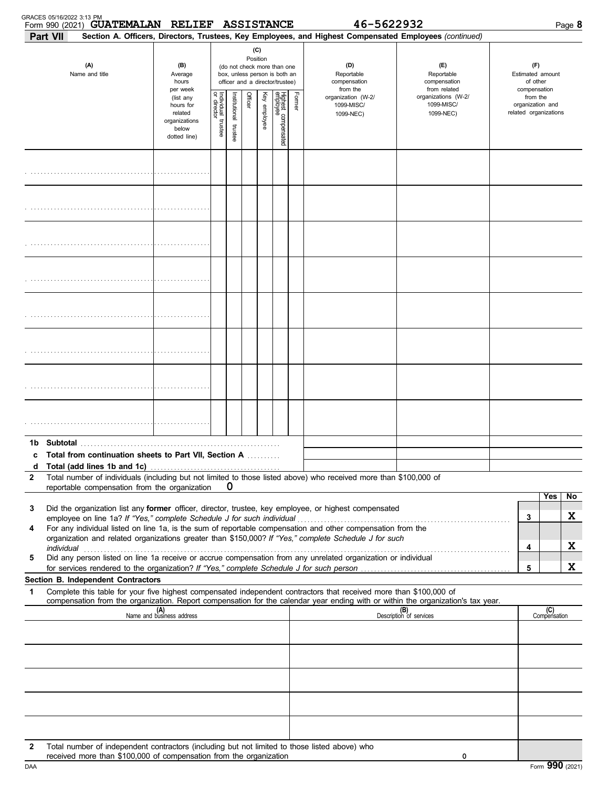|              | GRACES 05/16/2022 3:13 PM<br>Form 990 (2021) GUATEMALAN RELIEF ASSISTANCE                                                                                                                                                                                                                                                                                                                                                                             |                                                                                                                                                                                                                                                                                                                              |  |   |  |                 |                                                                                                 |  | 46-5622932                                                                                                                                              |                                                       |  |                                                     |                     | Page 8 |
|--------------|-------------------------------------------------------------------------------------------------------------------------------------------------------------------------------------------------------------------------------------------------------------------------------------------------------------------------------------------------------------------------------------------------------------------------------------------------------|------------------------------------------------------------------------------------------------------------------------------------------------------------------------------------------------------------------------------------------------------------------------------------------------------------------------------|--|---|--|-----------------|-------------------------------------------------------------------------------------------------|--|---------------------------------------------------------------------------------------------------------------------------------------------------------|-------------------------------------------------------|--|-----------------------------------------------------|---------------------|--------|
|              | <b>Part VII</b><br>(A)<br>Name and title                                                                                                                                                                                                                                                                                                                                                                                                              | (B)<br>Average<br>hours<br>per week                                                                                                                                                                                                                                                                                          |  |   |  | (C)<br>Position | (do not check more than one<br>box, unless person is both an<br>officer and a director/trustee) |  | Section A. Officers, Directors, Trustees, Key Employees, and Highest Compensated Employees (continued)<br>(D)<br>Reportable<br>compensation<br>from the | (E)<br>Reportable<br>compensation<br>from related     |  | (F)<br>Estimated amount<br>of other<br>compensation |                     |        |
|              |                                                                                                                                                                                                                                                                                                                                                                                                                                                       | Highest compensated<br>employee<br>Individual 1<br>or director<br>Officer<br>Former<br>Institutional<br>Key employee<br>organizations (W-2/<br>organization (W-2/<br>(list any<br>1099-MISC/<br>hours for<br>1099-MISC/<br>related<br>1099-NEC)<br>1099-NEC)<br>organizations<br>trustee<br>trustee<br>below<br>dotted line) |  |   |  |                 |                                                                                                 |  |                                                                                                                                                         | from the<br>organization and<br>related organizations |  |                                                     |                     |        |
|              |                                                                                                                                                                                                                                                                                                                                                                                                                                                       |                                                                                                                                                                                                                                                                                                                              |  |   |  |                 |                                                                                                 |  |                                                                                                                                                         |                                                       |  |                                                     |                     |        |
|              |                                                                                                                                                                                                                                                                                                                                                                                                                                                       |                                                                                                                                                                                                                                                                                                                              |  |   |  |                 |                                                                                                 |  |                                                                                                                                                         |                                                       |  |                                                     |                     |        |
|              |                                                                                                                                                                                                                                                                                                                                                                                                                                                       |                                                                                                                                                                                                                                                                                                                              |  |   |  |                 |                                                                                                 |  |                                                                                                                                                         |                                                       |  |                                                     |                     |        |
|              |                                                                                                                                                                                                                                                                                                                                                                                                                                                       |                                                                                                                                                                                                                                                                                                                              |  |   |  |                 |                                                                                                 |  |                                                                                                                                                         |                                                       |  |                                                     |                     |        |
|              |                                                                                                                                                                                                                                                                                                                                                                                                                                                       |                                                                                                                                                                                                                                                                                                                              |  |   |  |                 |                                                                                                 |  |                                                                                                                                                         |                                                       |  |                                                     |                     |        |
|              |                                                                                                                                                                                                                                                                                                                                                                                                                                                       |                                                                                                                                                                                                                                                                                                                              |  |   |  |                 |                                                                                                 |  |                                                                                                                                                         |                                                       |  |                                                     |                     |        |
|              |                                                                                                                                                                                                                                                                                                                                                                                                                                                       |                                                                                                                                                                                                                                                                                                                              |  |   |  |                 |                                                                                                 |  |                                                                                                                                                         |                                                       |  |                                                     |                     |        |
|              |                                                                                                                                                                                                                                                                                                                                                                                                                                                       |                                                                                                                                                                                                                                                                                                                              |  |   |  |                 |                                                                                                 |  |                                                                                                                                                         |                                                       |  |                                                     |                     |        |
| 1b<br>с      | <b>Subtotal</b><br>Total from continuation sheets to Part VII, Section A<br>d Total (add lines 1b and 1c)                                                                                                                                                                                                                                                                                                                                             |                                                                                                                                                                                                                                                                                                                              |  |   |  |                 |                                                                                                 |  |                                                                                                                                                         |                                                       |  |                                                     |                     |        |
| $\mathbf{2}$ | Total number of individuals (including but not limited to those listed above) who received more than \$100,000 of<br>reportable compensation from the organization                                                                                                                                                                                                                                                                                    |                                                                                                                                                                                                                                                                                                                              |  | 0 |  |                 |                                                                                                 |  |                                                                                                                                                         |                                                       |  |                                                     |                     |        |
| 3            | Did the organization list any former officer, director, trustee, key employee, or highest compensated                                                                                                                                                                                                                                                                                                                                                 |                                                                                                                                                                                                                                                                                                                              |  |   |  |                 |                                                                                                 |  |                                                                                                                                                         |                                                       |  |                                                     | Yes                 | No     |
| 4            | employee on line 1a? If "Yes," complete Schedule J for such individual [11][11] content to the set of the set of the schedule J for such individual [11] content to the set of the set of the schedule J for such as a set of<br>For any individual listed on line 1a, is the sum of reportable compensation and other compensation from the<br>organization and related organizations greater than \$150,000? If "Yes," complete Schedule J for such |                                                                                                                                                                                                                                                                                                                              |  |   |  |                 |                                                                                                 |  |                                                                                                                                                         |                                                       |  | 3                                                   |                     | X      |
| 5            | individual with a construction of the construction of the construction of the construction of the construction of the construction of the construction of the construction of the construction of the construction of the cons<br>Did any person listed on line 1a receive or accrue compensation from any unrelated organization or individual                                                                                                       |                                                                                                                                                                                                                                                                                                                              |  |   |  |                 |                                                                                                 |  |                                                                                                                                                         |                                                       |  | 4                                                   |                     | X      |
|              | Section B. Independent Contractors                                                                                                                                                                                                                                                                                                                                                                                                                    |                                                                                                                                                                                                                                                                                                                              |  |   |  |                 |                                                                                                 |  |                                                                                                                                                         |                                                       |  | 5                                                   |                     | X      |
| 1            | Complete this table for your five highest compensated independent contractors that received more than \$100,000 of<br>compensation from the organization. Report compensation for the calendar year ending with or within the organization's tax year.                                                                                                                                                                                                |                                                                                                                                                                                                                                                                                                                              |  |   |  |                 |                                                                                                 |  |                                                                                                                                                         |                                                       |  |                                                     |                     |        |
|              |                                                                                                                                                                                                                                                                                                                                                                                                                                                       | (A)<br>Name and business address                                                                                                                                                                                                                                                                                             |  |   |  |                 |                                                                                                 |  |                                                                                                                                                         | (B)<br>Description of services                        |  |                                                     | (C)<br>Compensation |        |
|              |                                                                                                                                                                                                                                                                                                                                                                                                                                                       |                                                                                                                                                                                                                                                                                                                              |  |   |  |                 |                                                                                                 |  |                                                                                                                                                         |                                                       |  |                                                     |                     |        |
|              |                                                                                                                                                                                                                                                                                                                                                                                                                                                       |                                                                                                                                                                                                                                                                                                                              |  |   |  |                 |                                                                                                 |  |                                                                                                                                                         |                                                       |  |                                                     |                     |        |
|              |                                                                                                                                                                                                                                                                                                                                                                                                                                                       |                                                                                                                                                                                                                                                                                                                              |  |   |  |                 |                                                                                                 |  |                                                                                                                                                         |                                                       |  |                                                     |                     |        |
|              |                                                                                                                                                                                                                                                                                                                                                                                                                                                       |                                                                                                                                                                                                                                                                                                                              |  |   |  |                 |                                                                                                 |  |                                                                                                                                                         |                                                       |  |                                                     |                     |        |
| $\mathbf{2}$ | Total number of independent contractors (including but not limited to those listed above) who<br>received more than \$100,000 of compensation from the organization                                                                                                                                                                                                                                                                                   |                                                                                                                                                                                                                                                                                                                              |  |   |  |                 |                                                                                                 |  |                                                                                                                                                         | 0                                                     |  |                                                     |                     |        |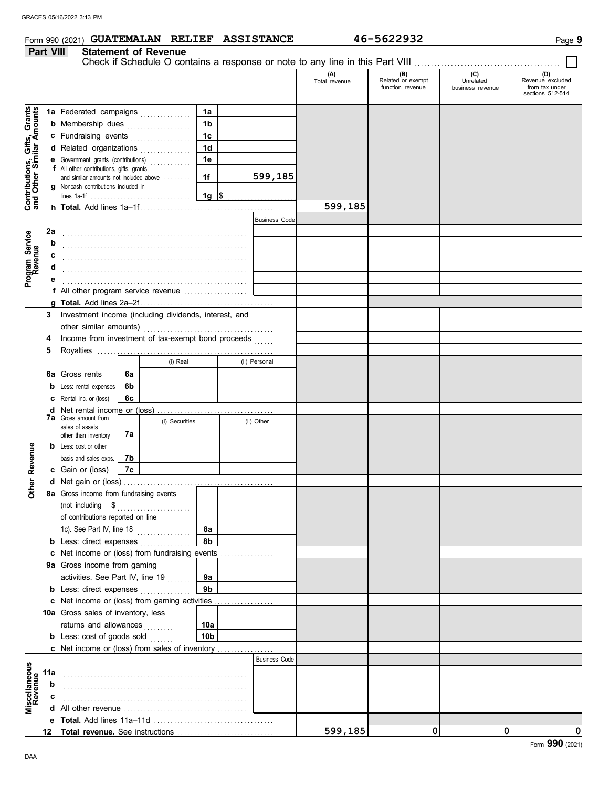#### Form 990 (2021) Page **9 GUATEMALAN RELIEF ASSISTANCE 46-5622932**

#### **Part VIII Statement of Revenue**

|                                                                  |     |                                                                                                                                                                                                                                                                                                                                                                                                                                                                                   |    |                |                 |  |                      | (A)<br>Total revenue | (B)<br>Related or exempt<br>function revenue | (C)<br>Unrelated<br>business revenue | (D)<br>Revenue excluded<br>from tax under<br>sections 512-514 |
|------------------------------------------------------------------|-----|-----------------------------------------------------------------------------------------------------------------------------------------------------------------------------------------------------------------------------------------------------------------------------------------------------------------------------------------------------------------------------------------------------------------------------------------------------------------------------------|----|----------------|-----------------|--|----------------------|----------------------|----------------------------------------------|--------------------------------------|---------------------------------------------------------------|
|                                                                  |     | 1a Federated campaigns                                                                                                                                                                                                                                                                                                                                                                                                                                                            |    |                | 1a              |  |                      |                      |                                              |                                      |                                                               |
| <b>Contributions, Gifts, Grants</b><br>and Other Similar Amounts |     | <b>b</b> Membership dues                                                                                                                                                                                                                                                                                                                                                                                                                                                          |    | .              | 1 <sub>b</sub>  |  |                      |                      |                                              |                                      |                                                               |
|                                                                  |     | c Fundraising events                                                                                                                                                                                                                                                                                                                                                                                                                                                              |    |                | 1c              |  |                      |                      |                                              |                                      |                                                               |
|                                                                  |     | d Related organizations                                                                                                                                                                                                                                                                                                                                                                                                                                                           |    | .              | 1 <sub>d</sub>  |  |                      |                      |                                              |                                      |                                                               |
|                                                                  |     | <b>e</b> Government grants (contributions)                                                                                                                                                                                                                                                                                                                                                                                                                                        |    | .              | 1e              |  |                      |                      |                                              |                                      |                                                               |
|                                                                  |     | f All other contributions, gifts, grants,                                                                                                                                                                                                                                                                                                                                                                                                                                         |    |                |                 |  |                      |                      |                                              |                                      |                                                               |
|                                                                  |     | and similar amounts not included above                                                                                                                                                                                                                                                                                                                                                                                                                                            |    |                | 1f              |  | 599,185              |                      |                                              |                                      |                                                               |
|                                                                  |     | g Noncash contributions included in                                                                                                                                                                                                                                                                                                                                                                                                                                               |    |                | 1g  \$          |  |                      |                      |                                              |                                      |                                                               |
|                                                                  |     |                                                                                                                                                                                                                                                                                                                                                                                                                                                                                   |    |                |                 |  |                      | 599,185              |                                              |                                      |                                                               |
|                                                                  |     |                                                                                                                                                                                                                                                                                                                                                                                                                                                                                   |    |                |                 |  | <b>Business Code</b> |                      |                                              |                                      |                                                               |
|                                                                  | 2a  |                                                                                                                                                                                                                                                                                                                                                                                                                                                                                   |    |                |                 |  |                      |                      |                                              |                                      |                                                               |
| Program Service<br>Revenue                                       | b   |                                                                                                                                                                                                                                                                                                                                                                                                                                                                                   |    |                |                 |  |                      |                      |                                              |                                      |                                                               |
|                                                                  | c   |                                                                                                                                                                                                                                                                                                                                                                                                                                                                                   |    |                |                 |  |                      |                      |                                              |                                      |                                                               |
|                                                                  | d   |                                                                                                                                                                                                                                                                                                                                                                                                                                                                                   |    |                |                 |  |                      |                      |                                              |                                      |                                                               |
|                                                                  | е   |                                                                                                                                                                                                                                                                                                                                                                                                                                                                                   |    |                |                 |  |                      |                      |                                              |                                      |                                                               |
|                                                                  |     |                                                                                                                                                                                                                                                                                                                                                                                                                                                                                   |    |                |                 |  |                      |                      |                                              |                                      |                                                               |
|                                                                  |     |                                                                                                                                                                                                                                                                                                                                                                                                                                                                                   |    |                |                 |  |                      |                      |                                              |                                      |                                                               |
|                                                                  | 3   | Investment income (including dividends, interest, and                                                                                                                                                                                                                                                                                                                                                                                                                             |    |                |                 |  |                      |                      |                                              |                                      |                                                               |
|                                                                  |     | other similar amounts)                                                                                                                                                                                                                                                                                                                                                                                                                                                            |    |                |                 |  |                      |                      |                                              |                                      |                                                               |
|                                                                  | 4   | Income from investment of tax-exempt bond proceeds                                                                                                                                                                                                                                                                                                                                                                                                                                |    |                |                 |  |                      |                      |                                              |                                      |                                                               |
|                                                                  | 5   |                                                                                                                                                                                                                                                                                                                                                                                                                                                                                   |    |                |                 |  |                      |                      |                                              |                                      |                                                               |
|                                                                  |     |                                                                                                                                                                                                                                                                                                                                                                                                                                                                                   |    | (i) Real       |                 |  | (ii) Personal        |                      |                                              |                                      |                                                               |
|                                                                  |     | <b>6a</b> Gross rents                                                                                                                                                                                                                                                                                                                                                                                                                                                             | 6a |                |                 |  |                      |                      |                                              |                                      |                                                               |
|                                                                  | b   | Less: rental expenses                                                                                                                                                                                                                                                                                                                                                                                                                                                             | 6b |                |                 |  |                      |                      |                                              |                                      |                                                               |
|                                                                  |     | C Rental inc. or (loss)                                                                                                                                                                                                                                                                                                                                                                                                                                                           | 6c |                |                 |  |                      |                      |                                              |                                      |                                                               |
|                                                                  |     |                                                                                                                                                                                                                                                                                                                                                                                                                                                                                   |    |                |                 |  |                      |                      |                                              |                                      |                                                               |
|                                                                  |     | 7a Gross amount from                                                                                                                                                                                                                                                                                                                                                                                                                                                              |    | (i) Securities |                 |  | (ii) Other           |                      |                                              |                                      |                                                               |
|                                                                  |     | sales of assets<br>other than inventory                                                                                                                                                                                                                                                                                                                                                                                                                                           | 7а |                |                 |  |                      |                      |                                              |                                      |                                                               |
|                                                                  |     | <b>b</b> Less: cost or other                                                                                                                                                                                                                                                                                                                                                                                                                                                      |    |                |                 |  |                      |                      |                                              |                                      |                                                               |
|                                                                  |     | basis and sales exps.                                                                                                                                                                                                                                                                                                                                                                                                                                                             | 7b |                |                 |  |                      |                      |                                              |                                      |                                                               |
|                                                                  |     | c Gain or (loss)                                                                                                                                                                                                                                                                                                                                                                                                                                                                  | 7c |                |                 |  |                      |                      |                                              |                                      |                                                               |
| <b>Other Revenue</b>                                             |     |                                                                                                                                                                                                                                                                                                                                                                                                                                                                                   |    |                |                 |  |                      |                      |                                              |                                      |                                                               |
|                                                                  |     | 8a Gross income from fundraising events                                                                                                                                                                                                                                                                                                                                                                                                                                           |    |                |                 |  |                      |                      |                                              |                                      |                                                               |
|                                                                  |     | $\begin{minipage}[c]{0.9\linewidth} (not including \quad $${\$}\quad \  \  \, \cdots \quad \  \  \, \cdots \quad \  \  \, \cdots \quad \  \  \, \cdots \quad \  \  \, \cdots \quad \  \  \, \cdots \quad \  \  \, \cdots \quad \  \  \, \cdots \quad \  \  \, \cdots \quad \  \  \, \cdots \quad \  \, \cdots \quad \  \, \cdots \quad \  \, \cdots \quad \  \, \cdots \quad \  \, \cdots \quad \  \, \cdots \quad \  \, \cdots \quad \  \, \cdots \quad \  \, \cdots \quad \  \$ |    |                |                 |  |                      |                      |                                              |                                      |                                                               |
|                                                                  |     | of contributions reported on line                                                                                                                                                                                                                                                                                                                                                                                                                                                 |    |                |                 |  |                      |                      |                                              |                                      |                                                               |
|                                                                  |     | 1c). See Part IV, line 18                                                                                                                                                                                                                                                                                                                                                                                                                                                         |    | .              | 8а              |  |                      |                      |                                              |                                      |                                                               |
|                                                                  |     | <b>b</b> Less: direct expenses                                                                                                                                                                                                                                                                                                                                                                                                                                                    |    |                | 8b              |  |                      |                      |                                              |                                      |                                                               |
|                                                                  |     | c Net income or (loss) from fundraising events                                                                                                                                                                                                                                                                                                                                                                                                                                    |    |                |                 |  |                      |                      |                                              |                                      |                                                               |
|                                                                  |     | 9a Gross income from gaming                                                                                                                                                                                                                                                                                                                                                                                                                                                       |    |                |                 |  |                      |                      |                                              |                                      |                                                               |
|                                                                  |     | activities. See Part IV, line 19                                                                                                                                                                                                                                                                                                                                                                                                                                                  |    |                | 9а              |  |                      |                      |                                              |                                      |                                                               |
|                                                                  |     | <b>b</b> Less: direct expenses                                                                                                                                                                                                                                                                                                                                                                                                                                                    |    |                | 9 <sub>b</sub>  |  |                      |                      |                                              |                                      |                                                               |
|                                                                  |     | c Net income or (loss) from gaming activities                                                                                                                                                                                                                                                                                                                                                                                                                                     |    |                |                 |  |                      |                      |                                              |                                      |                                                               |
|                                                                  |     | 10a Gross sales of inventory, less                                                                                                                                                                                                                                                                                                                                                                                                                                                |    |                |                 |  |                      |                      |                                              |                                      |                                                               |
|                                                                  |     | returns and allowances<br>10a<br>.                                                                                                                                                                                                                                                                                                                                                                                                                                                |    |                |                 |  |                      |                      |                                              |                                      |                                                               |
|                                                                  |     | <b>b</b> Less: cost of goods sold                                                                                                                                                                                                                                                                                                                                                                                                                                                 |    |                | 10 <sub>b</sub> |  |                      |                      |                                              |                                      |                                                               |
|                                                                  |     |                                                                                                                                                                                                                                                                                                                                                                                                                                                                                   |    |                |                 |  |                      |                      |                                              |                                      |                                                               |
|                                                                  |     |                                                                                                                                                                                                                                                                                                                                                                                                                                                                                   |    |                |                 |  | <b>Business Code</b> |                      |                                              |                                      |                                                               |
|                                                                  | 11a |                                                                                                                                                                                                                                                                                                                                                                                                                                                                                   |    |                |                 |  |                      |                      |                                              |                                      |                                                               |
|                                                                  | b   |                                                                                                                                                                                                                                                                                                                                                                                                                                                                                   |    |                |                 |  |                      |                      |                                              |                                      |                                                               |
| Miscellaneous<br>Revenue                                         | c   |                                                                                                                                                                                                                                                                                                                                                                                                                                                                                   |    |                |                 |  |                      |                      |                                              |                                      |                                                               |
|                                                                  |     |                                                                                                                                                                                                                                                                                                                                                                                                                                                                                   |    |                |                 |  |                      |                      |                                              |                                      |                                                               |
|                                                                  |     |                                                                                                                                                                                                                                                                                                                                                                                                                                                                                   |    |                |                 |  |                      |                      |                                              |                                      |                                                               |
|                                                                  |     |                                                                                                                                                                                                                                                                                                                                                                                                                                                                                   |    |                |                 |  |                      | 599,185              | 0                                            | 0                                    | 0                                                             |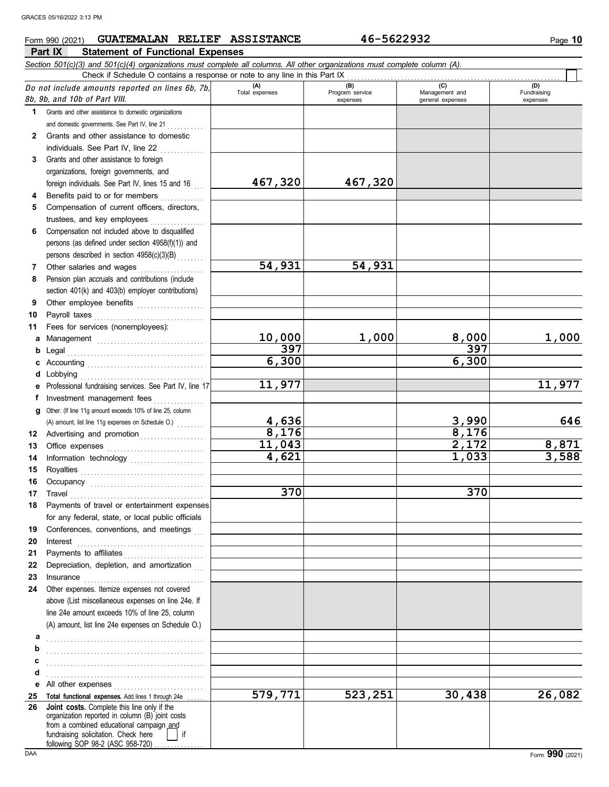#### **Part IX Statement of Functional Expenses Form 990 (2021) GUATEMALAN RELIEF ASSISTANCE** 46-5622932 Page 10

|              | Section 501(c)(3) and 501(c)(4) organizations must complete all columns. All other organizations must complete column (A).                                                                                                           |                       |                                    |                                           |                                |
|--------------|--------------------------------------------------------------------------------------------------------------------------------------------------------------------------------------------------------------------------------------|-----------------------|------------------------------------|-------------------------------------------|--------------------------------|
|              | Check if Schedule O contains a response or note to any line in this Part IX                                                                                                                                                          |                       |                                    |                                           |                                |
|              | Do not include amounts reported on lines 6b, 7b,<br>8b, 9b, and 10b of Part VIII.                                                                                                                                                    | (A)<br>Total expenses | (B)<br>Program service<br>expenses | (C)<br>Management and<br>general expenses | (D)<br>Fundraising<br>expenses |
| 1            | Grants and other assistance to domestic organizations                                                                                                                                                                                |                       |                                    |                                           |                                |
|              | and domestic governments. See Part IV, line 21                                                                                                                                                                                       |                       |                                    |                                           |                                |
| $\mathbf{2}$ | Grants and other assistance to domestic                                                                                                                                                                                              |                       |                                    |                                           |                                |
|              | individuals. See Part IV, line 22                                                                                                                                                                                                    |                       |                                    |                                           |                                |
| 3            | Grants and other assistance to foreign                                                                                                                                                                                               |                       |                                    |                                           |                                |
|              | organizations, foreign governments, and                                                                                                                                                                                              |                       |                                    |                                           |                                |
|              | foreign individuals. See Part IV, lines 15 and 16                                                                                                                                                                                    | 467,320               | 467,320                            |                                           |                                |
|              | Benefits paid to or for members                                                                                                                                                                                                      |                       |                                    |                                           |                                |
| 5            | Compensation of current officers, directors,                                                                                                                                                                                         |                       |                                    |                                           |                                |
|              | trustees, and key employees                                                                                                                                                                                                          |                       |                                    |                                           |                                |
| 6            | Compensation not included above to disqualified                                                                                                                                                                                      |                       |                                    |                                           |                                |
|              | persons (as defined under section 4958(f)(1)) and                                                                                                                                                                                    |                       |                                    |                                           |                                |
| 7            | persons described in section 4958(c)(3)(B)<br>Other salaries and wages                                                                                                                                                               | 54,931                | 54,931                             |                                           |                                |
| 8            | Pension plan accruals and contributions (include                                                                                                                                                                                     |                       |                                    |                                           |                                |
|              | section 401(k) and 403(b) employer contributions)                                                                                                                                                                                    |                       |                                    |                                           |                                |
| 9            | Other employee benefits                                                                                                                                                                                                              |                       |                                    |                                           |                                |
| 10           | Payroll taxes                                                                                                                                                                                                                        |                       |                                    |                                           |                                |
| 11           | Fees for services (nonemployees):                                                                                                                                                                                                    |                       |                                    |                                           |                                |
| a            |                                                                                                                                                                                                                                      | 10,000                | 1,000                              | 8,000                                     | <u>1,000</u>                   |
| b            | Legal                                                                                                                                                                                                                                | 397                   |                                    | 397                                       |                                |
| c            |                                                                                                                                                                                                                                      | 6,300                 |                                    | 6,300                                     |                                |
| d            | Lobbying                                                                                                                                                                                                                             |                       |                                    |                                           |                                |
|              | Professional fundraising services. See Part IV, line 17                                                                                                                                                                              | 11,977                |                                    |                                           | 11,977                         |
| f            | Investment management fees                                                                                                                                                                                                           |                       |                                    |                                           |                                |
| a            | Other. (If line 11g amount exceeds 10% of line 25, column                                                                                                                                                                            |                       |                                    |                                           |                                |
|              | (A) amount, list line 11g expenses on Schedule O.)                                                                                                                                                                                   | 4,636                 |                                    | 3,990                                     | 646                            |
|              | 12 Advertising and promotion [1] [1] Advertising and promotion                                                                                                                                                                       | 8,176                 |                                    | 8,176                                     |                                |
| 13           |                                                                                                                                                                                                                                      | 11,043                |                                    | 2,172                                     | $\frac{8,871}{3,588}$          |
| 14           |                                                                                                                                                                                                                                      | 4,621                 |                                    | 1,033                                     |                                |
| 15           |                                                                                                                                                                                                                                      |                       |                                    |                                           |                                |
| 16           |                                                                                                                                                                                                                                      |                       |                                    |                                           |                                |
| 17           | Travel <b>contract and the contract of the contract of the contract of the contract of the contract of the contract of the contract of the contract of the contract of the contract of the contract of the contract of the contr</b> | 370                   |                                    | 370                                       |                                |
| 18           | Payments of travel or entertainment expenses                                                                                                                                                                                         |                       |                                    |                                           |                                |
|              | for any federal, state, or local public officials<br>Conferences, conventions, and meetings                                                                                                                                          |                       |                                    |                                           |                                |
| 19<br>20     | Interest                                                                                                                                                                                                                             |                       |                                    |                                           |                                |
| 21           | Payments to affiliates                                                                                                                                                                                                               |                       |                                    |                                           |                                |
| 22           | Depreciation, depletion, and amortization                                                                                                                                                                                            |                       |                                    |                                           |                                |
| 23           | Insurance                                                                                                                                                                                                                            |                       |                                    |                                           |                                |
| 24           | Other expenses. Itemize expenses not covered                                                                                                                                                                                         |                       |                                    |                                           |                                |
|              | above (List miscellaneous expenses on line 24e. If                                                                                                                                                                                   |                       |                                    |                                           |                                |
|              | line 24e amount exceeds 10% of line 25, column                                                                                                                                                                                       |                       |                                    |                                           |                                |
|              | (A) amount, list line 24e expenses on Schedule O.)                                                                                                                                                                                   |                       |                                    |                                           |                                |
| а            |                                                                                                                                                                                                                                      |                       |                                    |                                           |                                |
| b            |                                                                                                                                                                                                                                      |                       |                                    |                                           |                                |
| с            |                                                                                                                                                                                                                                      |                       |                                    |                                           |                                |
| d            |                                                                                                                                                                                                                                      |                       |                                    |                                           |                                |
| е            | All other expenses                                                                                                                                                                                                                   |                       |                                    |                                           |                                |
| 25           | Total functional expenses. Add lines 1 through 24e                                                                                                                                                                                   | 579,771               | 523,251                            | 30,438                                    | 26,082                         |
| 26           | Joint costs. Complete this line only if the<br>organization reported in column (B) joint costs                                                                                                                                       |                       |                                    |                                           |                                |
|              | from a combined educational campaign and                                                                                                                                                                                             |                       |                                    |                                           |                                |
|              | fundraising solicitation. Check here<br>if<br>following SOP 98-2 (ASC 958-720)                                                                                                                                                       |                       |                                    |                                           |                                |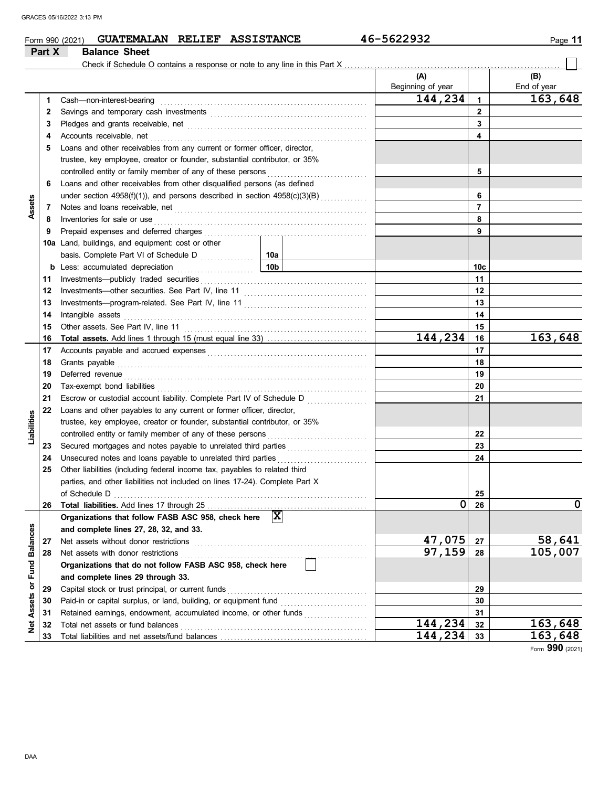#### Form 990 (2021) **GUATEMALAN RELIEF ASSISTANCE** 46-5622932 Page 11 **GUATEMALAN RELIEF ASSISTANCE 46-5622932**

|  |  | 46-5622932 |  |  |
|--|--|------------|--|--|
|--|--|------------|--|--|

|                    | Part X   | <b>Balance Sheet</b>                                                                                                   |                |                   |                |             |
|--------------------|----------|------------------------------------------------------------------------------------------------------------------------|----------------|-------------------|----------------|-------------|
|                    |          | Check if Schedule O contains a response or note to any line in this Part X                                             |                |                   |                |             |
|                    |          |                                                                                                                        |                | (A)               |                | (B)         |
|                    |          |                                                                                                                        |                | Beginning of year |                | End of year |
|                    | 1        | Cash-non-interest-bearing                                                                                              |                | 144,234           | 1              | 163,648     |
|                    | 2        |                                                                                                                        |                |                   | $\mathbf{2}$   |             |
|                    | 3        |                                                                                                                        |                | 3                 |                |             |
|                    | 4        | Accounts receivable, net                                                                                               |                |                   | 4              |             |
|                    | 5        | Loans and other receivables from any current or former officer, director,                                              |                |                   |                |             |
|                    |          | trustee, key employee, creator or founder, substantial contributor, or 35%                                             |                |                   |                |             |
|                    |          | controlled entity or family member of any of these persons                                                             |                |                   | 5              |             |
|                    | 6        | Loans and other receivables from other disqualified persons (as defined                                                |                |                   |                |             |
|                    |          | under section 4958(f)(1)), and persons described in section 4958(c)(3)(B)                                              |                |                   | 6              |             |
| Assets             | 7        |                                                                                                                        |                |                   | $\overline{7}$ |             |
|                    | 8        | Inventories for sale or use                                                                                            |                |                   | 8              |             |
|                    | 9        |                                                                                                                        |                |                   | 9              |             |
|                    | 10a      | Land, buildings, and equipment: cost or other                                                                          |                |                   |                |             |
|                    |          | basis. Complete Part VI of Schedule D                                                                                  | 10a            |                   |                |             |
|                    | b        | Less: accumulated depreciation                                                                                         | 10b            |                   | 10c            |             |
|                    | 11       |                                                                                                                        |                |                   | 11             |             |
|                    | 12       |                                                                                                                        |                |                   | 12             |             |
|                    | 13       |                                                                                                                        |                |                   | 13             |             |
|                    | 14       | Intangible assets                                                                                                      |                |                   | 14             |             |
|                    | 15       | Other assets. See Part IV, line 11                                                                                     |                |                   | 15             |             |
|                    | 16       |                                                                                                                        |                | 144,234           | 16             | 163,648     |
|                    | 17       |                                                                                                                        |                |                   | 17             |             |
|                    | 18       | Grants payable                                                                                                         |                |                   | 18             |             |
|                    | 19       | Deferred revenue                                                                                                       |                |                   | 19             |             |
|                    | 20       | Tax-exempt bond liabilities                                                                                            |                |                   | 20             |             |
|                    | 21       | Escrow or custodial account liability. Complete Part IV of Schedule D                                                  |                |                   | 21             |             |
|                    | 22       | Loans and other payables to any current or former officer, director,                                                   |                |                   |                |             |
|                    |          | trustee, key employee, creator or founder, substantial contributor, or 35%                                             |                |                   |                |             |
| Liabilities        |          | controlled entity or family member of any of these persons                                                             |                |                   | 22             |             |
|                    | 23       | Secured mortgages and notes payable to unrelated third parties                                                         |                |                   | 23             |             |
|                    | 24       | Unsecured notes and loans payable to unrelated third parties                                                           |                |                   | 24             |             |
|                    | 25       | Other liabilities (including federal income tax, payables to related third                                             |                |                   |                |             |
|                    |          | parties, and other liabilities not included on lines 17-24). Complete Part X                                           |                |                   |                |             |
|                    |          | of Schedule D                                                                                                          |                | 0                 | 25             | $\mathbf 0$ |
|                    | 26       |                                                                                                                        | $ \mathbf{X} $ |                   | 26             |             |
|                    |          | Organizations that follow FASB ASC 958, check here                                                                     |                |                   |                |             |
|                    | 27       | and complete lines 27, 28, 32, and 33.<br>Net assets without donor restrictions                                        |                | 47,075            | 27             | 58,641      |
| <b>Balances</b>    | 28       | Net assets with donor restrictions                                                                                     |                | 97,159            | 28             | 105,007     |
|                    |          | Organizations that do not follow FASB ASC 958, check here                                                              |                |                   |                |             |
|                    |          |                                                                                                                        |                |                   |                |             |
|                    | 29       | and complete lines 29 through 33.                                                                                      |                |                   | 29             |             |
|                    |          | Capital stock or trust principal, or current funds<br>Paid-in or capital surplus, or land, building, or equipment fund |                |                   | 30             |             |
|                    | 30       | Retained earnings, endowment, accumulated income, or other funds                                                       |                |                   | 31             |             |
| Net Assets or Fund | 31       | Total net assets or fund balances                                                                                      |                | 144,234           | 32             | 163,648     |
|                    | 32<br>33 |                                                                                                                        |                | 144, 234          | 33             | 163,648     |
|                    |          |                                                                                                                        |                |                   |                |             |

Form **990** (2021)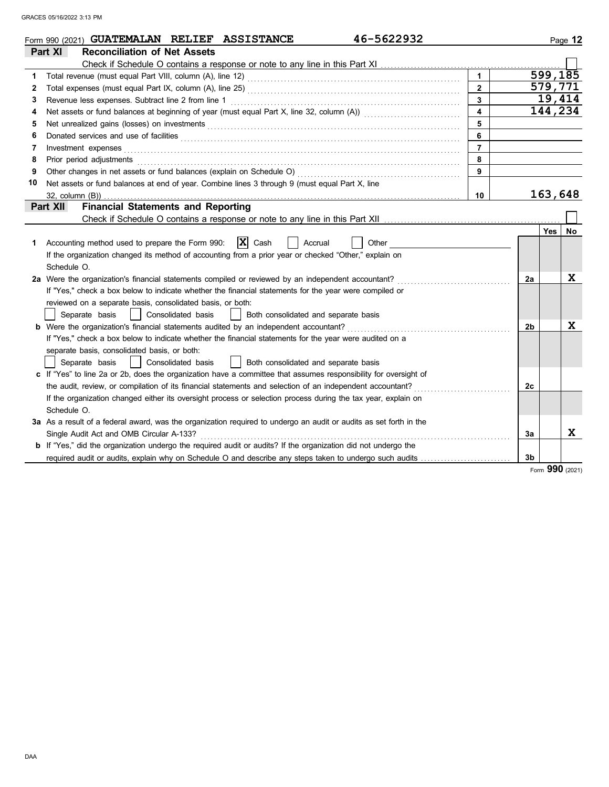GRACES 05/16/2022 3:13 PM

|    | 46-5622932<br>Form 990 (2021) GUATEMALAN RELIEF ASSISTANCE                                                                                                                                                                     |                         |                |            | Page 12   |
|----|--------------------------------------------------------------------------------------------------------------------------------------------------------------------------------------------------------------------------------|-------------------------|----------------|------------|-----------|
|    | <b>Reconciliation of Net Assets</b><br>Part XI                                                                                                                                                                                 |                         |                |            |           |
|    |                                                                                                                                                                                                                                |                         |                |            |           |
| 1  |                                                                                                                                                                                                                                | $\mathbf{1}$            |                | 599, 185   |           |
| 2  | Total expenses (must equal Part IX, column (A), line 25) Mathematic material expenses (must equal Part IX, column (A), line 25)                                                                                                | $\overline{2}$          |                | 579,771    |           |
| 3  | Revenue less expenses. Subtract line 2 from line 1                                                                                                                                                                             | $\mathbf{3}$            |                | 19,414     |           |
| 4  | Net assets or fund balances at beginning of year (must equal Part X, line 32, column (A))                                                                                                                                      | $\overline{\mathbf{4}}$ |                | 144,234    |           |
| 5  |                                                                                                                                                                                                                                | 5                       |                |            |           |
| 6  |                                                                                                                                                                                                                                | 6                       |                |            |           |
| 7  | Investment expenses                                                                                                                                                                                                            | $\overline{7}$          |                |            |           |
| 8  | Prior period adjustments entertainments and a series of the series of the series of the series of the series of the series of the series of the series of the series of the series of the series of the series of the series o | 8                       |                |            |           |
| 9  |                                                                                                                                                                                                                                | 9                       |                |            |           |
| 10 | Net assets or fund balances at end of year. Combine lines 3 through 9 (must equal Part X, line                                                                                                                                 |                         |                |            |           |
|    |                                                                                                                                                                                                                                | 10                      |                | 163,648    |           |
|    | Part XII<br><b>Financial Statements and Reporting</b>                                                                                                                                                                          |                         |                |            |           |
|    |                                                                                                                                                                                                                                |                         |                |            |           |
|    |                                                                                                                                                                                                                                |                         |                | <b>Yes</b> | <b>No</b> |
| 1. | $ \mathbf{X} $ Cash<br>Accounting method used to prepare the Form 990:<br>Accrual<br>Other                                                                                                                                     |                         |                |            |           |
|    | If the organization changed its method of accounting from a prior year or checked "Other," explain on                                                                                                                          |                         |                |            |           |
|    | Schedule O.                                                                                                                                                                                                                    |                         |                |            |           |
|    | 2a Were the organization's financial statements compiled or reviewed by an independent accountant?                                                                                                                             |                         | 2a             |            | X         |
|    | If "Yes," check a box below to indicate whether the financial statements for the year were compiled or                                                                                                                         |                         |                |            |           |
|    | reviewed on a separate basis, consolidated basis, or both:                                                                                                                                                                     |                         |                |            |           |
|    | Separate basis<br>Consolidated basis<br>Both consolidated and separate basis<br>$\perp$                                                                                                                                        |                         |                |            |           |
| b  | Were the organization's financial statements audited by an independent accountant?                                                                                                                                             |                         | 2 <sub>b</sub> |            | X         |
|    | If "Yes," check a box below to indicate whether the financial statements for the year were audited on a                                                                                                                        |                         |                |            |           |
|    | separate basis, consolidated basis, or both:                                                                                                                                                                                   |                         |                |            |           |
|    | Separate basis<br>Consolidated basis<br>Both consolidated and separate basis                                                                                                                                                   |                         |                |            |           |
|    | c If "Yes" to line 2a or 2b, does the organization have a committee that assumes responsibility for oversight of                                                                                                               |                         |                |            |           |
|    | the audit, review, or compilation of its financial statements and selection of an independent accountant?                                                                                                                      |                         | 2c             |            |           |
|    | If the organization changed either its oversight process or selection process during the tax year, explain on                                                                                                                  |                         |                |            |           |
|    | Schedule O.                                                                                                                                                                                                                    |                         |                |            |           |
|    | 3a As a result of a federal award, was the organization required to undergo an audit or audits as set forth in the                                                                                                             |                         |                |            |           |
|    | Single Audit Act and OMB Circular A-133?                                                                                                                                                                                       |                         | За             |            | X         |
|    | <b>b</b> If "Yes," did the organization undergo the required audit or audits? If the organization did not undergo the                                                                                                          |                         |                |            |           |
|    |                                                                                                                                                                                                                                |                         | 3 <sub>b</sub> |            |           |

Form **990** (2021)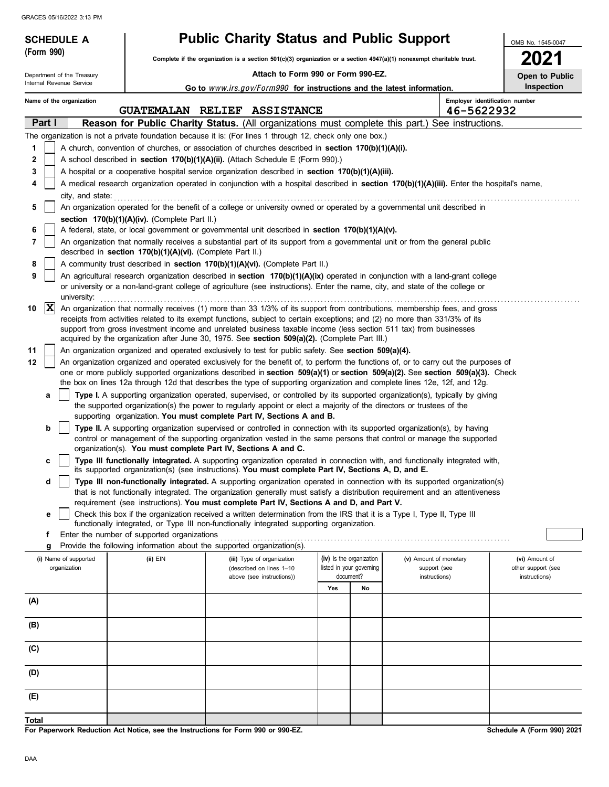| <b>SCHEDULE A</b><br>(Form 990)                        |                                                            | <b>Public Charity Status and Public Support</b>                                                                                                                                                                                                  |                          |    |                                                                                                                                            | OMB No. 1545-0047  |
|--------------------------------------------------------|------------------------------------------------------------|--------------------------------------------------------------------------------------------------------------------------------------------------------------------------------------------------------------------------------------------------|--------------------------|----|--------------------------------------------------------------------------------------------------------------------------------------------|--------------------|
|                                                        |                                                            | Complete if the organization is a section $501(c)(3)$ organization or a section $4947(a)(1)$ nonexempt charitable trust.                                                                                                                         |                          |    |                                                                                                                                            |                    |
| Department of the Treasury<br>Internal Revenue Service |                                                            | Attach to Form 990 or Form 990-EZ.                                                                                                                                                                                                               |                          |    |                                                                                                                                            | Open to Public     |
|                                                        |                                                            | Go to www.irs.gov/Form990 for instructions and the latest information.                                                                                                                                                                           |                          |    |                                                                                                                                            | Inspection         |
| Name of the organization                               |                                                            | GUATEMALAN RELIEF ASSISTANCE                                                                                                                                                                                                                     |                          |    | Employer identification number<br>46-5622932                                                                                               |                    |
| Part I                                                 |                                                            |                                                                                                                                                                                                                                                  |                          |    | <b>Reason for Public Charity Status.</b> (All organizations must complete this part.) See instructions.                                    |                    |
|                                                        |                                                            | The organization is not a private foundation because it is: (For lines 1 through 12, check only one box.)                                                                                                                                        |                          |    |                                                                                                                                            |                    |
| 1                                                      |                                                            | A church, convention of churches, or association of churches described in section 170(b)(1)(A)(i).                                                                                                                                               |                          |    |                                                                                                                                            |                    |
| 2                                                      |                                                            | A school described in section 170(b)(1)(A)(ii). (Attach Schedule E (Form 990).)                                                                                                                                                                  |                          |    |                                                                                                                                            |                    |
| 3                                                      |                                                            | A hospital or a cooperative hospital service organization described in section 170(b)(1)(A)(iii).                                                                                                                                                |                          |    |                                                                                                                                            |                    |
| 4                                                      |                                                            |                                                                                                                                                                                                                                                  |                          |    | A medical research organization operated in conjunction with a hospital described in section 170(b)(1)(A)(iii). Enter the hospital's name, |                    |
| city, and state:<br>5                                  |                                                            | An organization operated for the benefit of a college or university owned or operated by a governmental unit described in                                                                                                                        |                          |    |                                                                                                                                            |                    |
|                                                        | section 170(b)(1)(A)(iv). (Complete Part II.)              |                                                                                                                                                                                                                                                  |                          |    |                                                                                                                                            |                    |
| 6                                                      |                                                            | A federal, state, or local government or governmental unit described in section 170(b)(1)(A)(v).                                                                                                                                                 |                          |    |                                                                                                                                            |                    |
| $\overline{7}$                                         |                                                            |                                                                                                                                                                                                                                                  |                          |    | An organization that normally receives a substantial part of its support from a governmental unit or from the general public               |                    |
|                                                        | described in section 170(b)(1)(A)(vi). (Complete Part II.) |                                                                                                                                                                                                                                                  |                          |    |                                                                                                                                            |                    |
| 8                                                      |                                                            | A community trust described in section 170(b)(1)(A)(vi). (Complete Part II.)                                                                                                                                                                     |                          |    |                                                                                                                                            |                    |
| 9                                                      |                                                            | or university or a non-land-grant college of agriculture (see instructions). Enter the name, city, and state of the college or                                                                                                                   |                          |    | An agricultural research organization described in section 170(b)(1)(A)(ix) operated in conjunction with a land-grant college              |                    |
| university:                                            |                                                            |                                                                                                                                                                                                                                                  |                          |    |                                                                                                                                            |                    |
| $ {\bf x} $<br>10                                      |                                                            |                                                                                                                                                                                                                                                  |                          |    | An organization that normally receives (1) more than 33 1/3% of its support from contributions, membership fees, and gross                 |                    |
|                                                        |                                                            | receipts from activities related to its exempt functions, subject to certain exceptions; and (2) no more than 331/3% of its<br>support from gross investment income and unrelated business taxable income (less section 511 tax) from businesses |                          |    |                                                                                                                                            |                    |
|                                                        |                                                            | acquired by the organization after June 30, 1975. See section 509(a)(2). (Complete Part III.)                                                                                                                                                    |                          |    |                                                                                                                                            |                    |
| 11                                                     |                                                            | An organization organized and operated exclusively to test for public safety. See section 509(a)(4).                                                                                                                                             |                          |    |                                                                                                                                            |                    |
| 12                                                     |                                                            |                                                                                                                                                                                                                                                  |                          |    | An organization organized and operated exclusively for the benefit of, to perform the functions of, or to carry out the purposes of        |                    |
|                                                        |                                                            |                                                                                                                                                                                                                                                  |                          |    | one or more publicly supported organizations described in section 509(a)(1) or section 509(a)(2). See section 509(a)(3). Check             |                    |
| a                                                      |                                                            | the box on lines 12a through 12d that describes the type of supporting organization and complete lines 12e, 12f, and 12g.                                                                                                                        |                          |    | Type I. A supporting organization operated, supervised, or controlled by its supported organization(s), typically by giving                |                    |
|                                                        |                                                            | the supported organization(s) the power to regularly appoint or elect a majority of the directors or trustees of the                                                                                                                             |                          |    |                                                                                                                                            |                    |
|                                                        |                                                            | supporting organization. You must complete Part IV, Sections A and B.                                                                                                                                                                            |                          |    |                                                                                                                                            |                    |
| b                                                      |                                                            | Type II. A supporting organization supervised or controlled in connection with its supported organization(s), by having                                                                                                                          |                          |    |                                                                                                                                            |                    |
|                                                        |                                                            | organization(s). You must complete Part IV, Sections A and C.                                                                                                                                                                                    |                          |    | control or management of the supporting organization vested in the same persons that control or manage the supported                       |                    |
|                                                        |                                                            |                                                                                                                                                                                                                                                  |                          |    | Type III functionally integrated. A supporting organization operated in connection with, and functionally integrated with,                 |                    |
|                                                        |                                                            | its supported organization(s) (see instructions). You must complete Part IV, Sections A, D, and E.                                                                                                                                               |                          |    |                                                                                                                                            |                    |
| d                                                      |                                                            |                                                                                                                                                                                                                                                  |                          |    | Type III non-functionally integrated. A supporting organization operated in connection with its supported organization(s)                  |                    |
|                                                        |                                                            | requirement (see instructions). You must complete Part IV, Sections A and D, and Part V.                                                                                                                                                         |                          |    | that is not functionally integrated. The organization generally must satisfy a distribution requirement and an attentiveness               |                    |
| е                                                      |                                                            | Check this box if the organization received a written determination from the IRS that it is a Type I, Type II, Type III                                                                                                                          |                          |    |                                                                                                                                            |                    |
|                                                        |                                                            | functionally integrated, or Type III non-functionally integrated supporting organization.                                                                                                                                                        |                          |    |                                                                                                                                            |                    |
| f                                                      | Enter the number of supported organizations                | Provide the following information about the supported organization(s).                                                                                                                                                                           |                          |    |                                                                                                                                            |                    |
| g<br>(i) Name of supported                             | (ii) EIN                                                   | (iii) Type of organization                                                                                                                                                                                                                       | (iv) Is the organization |    | (v) Amount of monetary                                                                                                                     | (vi) Amount of     |
| organization                                           |                                                            | (described on lines 1-10                                                                                                                                                                                                                         | listed in your governing |    | support (see                                                                                                                               | other support (see |
|                                                        |                                                            | above (see instructions))                                                                                                                                                                                                                        | document?                |    | instructions)                                                                                                                              | instructions)      |
|                                                        |                                                            |                                                                                                                                                                                                                                                  | Yes                      | No |                                                                                                                                            |                    |
| (A)                                                    |                                                            |                                                                                                                                                                                                                                                  |                          |    |                                                                                                                                            |                    |
| (B)                                                    |                                                            |                                                                                                                                                                                                                                                  |                          |    |                                                                                                                                            |                    |
|                                                        |                                                            |                                                                                                                                                                                                                                                  |                          |    |                                                                                                                                            |                    |
| (C)                                                    |                                                            |                                                                                                                                                                                                                                                  |                          |    |                                                                                                                                            |                    |
|                                                        |                                                            |                                                                                                                                                                                                                                                  |                          |    |                                                                                                                                            |                    |
| (D)                                                    |                                                            |                                                                                                                                                                                                                                                  |                          |    |                                                                                                                                            |                    |
|                                                        |                                                            |                                                                                                                                                                                                                                                  |                          |    |                                                                                                                                            |                    |
| (E)                                                    |                                                            |                                                                                                                                                                                                                                                  |                          |    |                                                                                                                                            |                    |
| <b>Total</b>                                           |                                                            |                                                                                                                                                                                                                                                  |                          |    |                                                                                                                                            |                    |

**For Paperwork Reduction Act Notice, see the Instructions for Form 990 or 990-EZ.**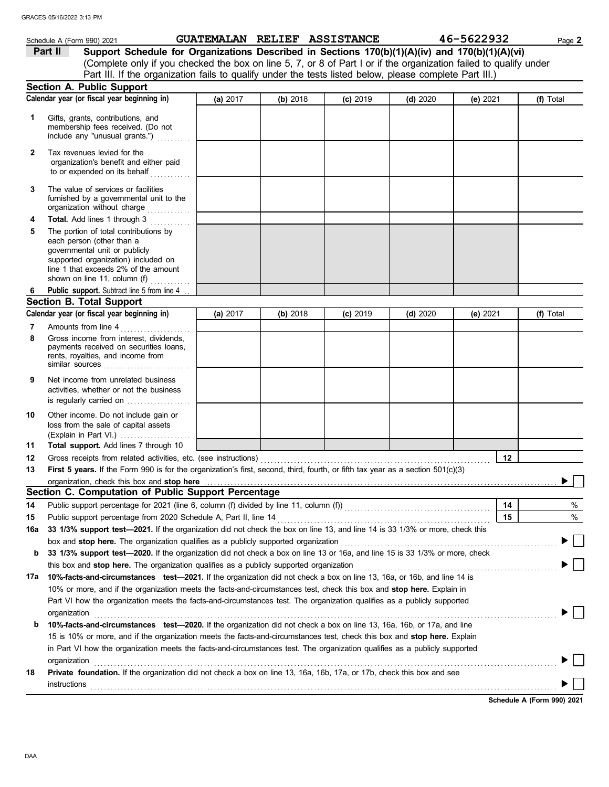|     | Schedule A (Form 990) 2021                                                                                                                                                         |   |          |          | <b>GUATEMALAN RELIEF ASSISTANCE</b>                                                                                                                                                                                          |            | 46-5622932 |    | Page 2    |
|-----|------------------------------------------------------------------------------------------------------------------------------------------------------------------------------------|---|----------|----------|------------------------------------------------------------------------------------------------------------------------------------------------------------------------------------------------------------------------------|------------|------------|----|-----------|
|     | Part II                                                                                                                                                                            |   |          |          | Support Schedule for Organizations Described in Sections 170(b)(1)(A)(iv) and 170(b)(1)(A)(vi)                                                                                                                               |            |            |    |           |
|     |                                                                                                                                                                                    |   |          |          | (Complete only if you checked the box on line 5, 7, or 8 of Part I or if the organization failed to qualify under<br>Part III. If the organization fails to qualify under the tests listed below, please complete Part III.) |            |            |    |           |
|     | <b>Section A. Public Support</b>                                                                                                                                                   |   |          |          |                                                                                                                                                                                                                              |            |            |    |           |
|     | Calendar year (or fiscal year beginning in)                                                                                                                                        |   | (a) 2017 | (b) 2018 | $(c)$ 2019                                                                                                                                                                                                                   | $(d)$ 2020 | (e) $2021$ |    | (f) Total |
|     |                                                                                                                                                                                    |   |          |          |                                                                                                                                                                                                                              |            |            |    |           |
| 1   | Gifts, grants, contributions, and<br>membership fees received. (Do not<br>include any "unusual grants.")                                                                           |   |          |          |                                                                                                                                                                                                                              |            |            |    |           |
| 2   | Tax revenues levied for the<br>organization's benefit and either paid<br>to or expended on its behalf                                                                              |   |          |          |                                                                                                                                                                                                                              |            |            |    |           |
| 3   | The value of services or facilities<br>furnished by a governmental unit to the<br>organization without charge                                                                      |   |          |          |                                                                                                                                                                                                                              |            |            |    |           |
| 4   | Total. Add lines 1 through 3                                                                                                                                                       | . |          |          |                                                                                                                                                                                                                              |            |            |    |           |
| 5   | The portion of total contributions by<br>each person (other than a<br>governmental unit or publicly<br>supported organization) included on<br>line 1 that exceeds 2% of the amount |   |          |          |                                                                                                                                                                                                                              |            |            |    |           |
|     | shown on line 11, column (f) $\ldots$                                                                                                                                              |   |          |          |                                                                                                                                                                                                                              |            |            |    |           |
| 6   | <b>Public support.</b> Subtract line 5 from line 4                                                                                                                                 |   |          |          |                                                                                                                                                                                                                              |            |            |    |           |
|     | <b>Section B. Total Support</b>                                                                                                                                                    |   |          |          |                                                                                                                                                                                                                              |            |            |    |           |
|     | Calendar year (or fiscal year beginning in)                                                                                                                                        |   | (a) 2017 | (b) 2018 | $(c)$ 2019                                                                                                                                                                                                                   | (d) 2020   | (e) $2021$ |    | (f) Total |
| 7   | Amounts from line 4                                                                                                                                                                | . |          |          |                                                                                                                                                                                                                              |            |            |    |           |
| 8   | Gross income from interest, dividends,<br>payments received on securities loans,<br>rents, royalties, and income from<br>similar sources                                           |   |          |          |                                                                                                                                                                                                                              |            |            |    |           |
| 9   | Net income from unrelated business<br>activities, whether or not the business<br>is regularly carried on                                                                           |   |          |          |                                                                                                                                                                                                                              |            |            |    |           |
| 10  | Other income. Do not include gain or<br>loss from the sale of capital assets                                                                                                       |   |          |          |                                                                                                                                                                                                                              |            |            |    |           |
| 11  | Total support. Add lines 7 through 10                                                                                                                                              |   |          |          |                                                                                                                                                                                                                              |            |            |    |           |
| 12  | Gross receipts from related activities, etc. (see instructions)                                                                                                                    |   |          |          |                                                                                                                                                                                                                              |            |            | 12 |           |
| 13  | First 5 years. If the Form 990 is for the organization's first, second, third, fourth, or fifth tax year as a section 501(c)(3)                                                    |   |          |          |                                                                                                                                                                                                                              |            |            |    |           |
|     | organization, check this box and stop here                                                                                                                                         |   |          |          |                                                                                                                                                                                                                              |            |            |    |           |
|     | Section C. Computation of Public Support Percentage                                                                                                                                |   |          |          |                                                                                                                                                                                                                              |            |            |    |           |
| 14  | Public support percentage for 2021 (line 6, column (f) divided by line 11, column (f)) [[[[[[[[[[[[[[[[[[[[[[                                                                      |   |          |          |                                                                                                                                                                                                                              |            |            | 14 | $\%$      |
| 15  | Public support percentage from 2020 Schedule A, Part II, line 14                                                                                                                   |   |          |          |                                                                                                                                                                                                                              |            |            | 15 | $\%$      |
| 16a | 33 1/3% support test-2021. If the organization did not check the box on line 13, and line 14 is 33 1/3% or more, check this                                                        |   |          |          |                                                                                                                                                                                                                              |            |            |    |           |
|     | box and stop here. The organization qualifies as a publicly supported organization                                                                                                 |   |          |          |                                                                                                                                                                                                                              |            |            |    |           |
| b   | 33 1/3% support test-2020. If the organization did not check a box on line 13 or 16a, and line 15 is 33 1/3% or more, check                                                        |   |          |          |                                                                                                                                                                                                                              |            |            |    |           |
|     | this box and stop here. The organization qualifies as a publicly supported organization                                                                                            |   |          |          |                                                                                                                                                                                                                              |            |            |    |           |
| 17a | 10%-facts-and-circumstances test-2021. If the organization did not check a box on line 13, 16a, or 16b, and line 14 is                                                             |   |          |          |                                                                                                                                                                                                                              |            |            |    |           |
|     | 10% or more, and if the organization meets the facts-and-circumstances test, check this box and stop here. Explain in                                                              |   |          |          |                                                                                                                                                                                                                              |            |            |    |           |
|     | Part VI how the organization meets the facts-and-circumstances test. The organization qualifies as a publicly supported                                                            |   |          |          |                                                                                                                                                                                                                              |            |            |    |           |
|     | organization                                                                                                                                                                       |   |          |          |                                                                                                                                                                                                                              |            |            |    |           |
| b   | 10%-facts-and-circumstances test-2020. If the organization did not check a box on line 13, 16a, 16b, or 17a, and line                                                              |   |          |          |                                                                                                                                                                                                                              |            |            |    |           |
|     | 15 is 10% or more, and if the organization meets the facts-and-circumstances test, check this box and stop here. Explain                                                           |   |          |          |                                                                                                                                                                                                                              |            |            |    |           |
|     | in Part VI how the organization meets the facts-and-circumstances test. The organization qualifies as a publicly supported                                                         |   |          |          |                                                                                                                                                                                                                              |            |            |    |           |
|     | organization                                                                                                                                                                       |   |          |          |                                                                                                                                                                                                                              |            |            |    |           |
| 18  | Private foundation. If the organization did not check a box on line 13, 16a, 16b, 17a, or 17b, check this box and see<br><b>instructions</b>                                       |   |          |          |                                                                                                                                                                                                                              |            |            |    |           |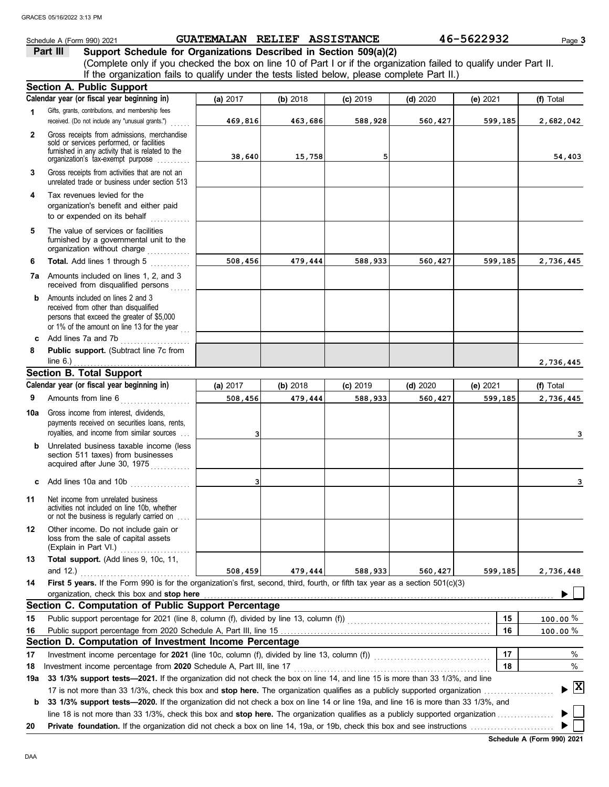|              | Schedule A (Form 990) 2021                                                                                                                                                    |          | GUATEMALAN RELIEF ASSISTANCE |            |          | 46-5622932 | Page 3      |
|--------------|-------------------------------------------------------------------------------------------------------------------------------------------------------------------------------|----------|------------------------------|------------|----------|------------|-------------|
|              | Part III<br>Support Schedule for Organizations Described in Section 509(a)(2)                                                                                                 |          |                              |            |          |            |             |
|              | (Complete only if you checked the box on line 10 of Part I or if the organization failed to qualify under Part II.                                                            |          |                              |            |          |            |             |
|              | If the organization fails to qualify under the tests listed below, please complete Part II.)                                                                                  |          |                              |            |          |            |             |
|              | <b>Section A. Public Support</b>                                                                                                                                              |          |                              |            |          |            |             |
|              | Calendar year (or fiscal year beginning in)                                                                                                                                   | (a) 2017 | (b) 2018                     | $(c)$ 2019 | (d) 2020 | (e) 2021   | (f) Total   |
| 1            | Gifts, grants, contributions, and membership fees<br>received. (Do not include any "unusual grants.")                                                                         | 469,816  | 463,686                      | 588,928    | 560,427  | 599,185    | 2,682,042   |
| $\mathbf{2}$ | Gross receipts from admissions, merchandise<br>sold or services performed, or facilities<br>furnished in any activity that is related to the                                  |          |                              | 5          |          |            | 54,403      |
| 3            | organization's tax-exempt purpose<br>Gross receipts from activities that are not an<br>unrelated trade or business under section 513                                          | 38,640   | 15,758                       |            |          |            |             |
| 4            | Tax revenues levied for the<br>organization's benefit and either paid<br>to or expended on its behalf                                                                         |          |                              |            |          |            |             |
| 5            | The value of services or facilities<br>furnished by a governmental unit to the<br>organization without charge                                                                 |          |                              |            |          |            |             |
| 6            | Total. Add lines 1 through 5                                                                                                                                                  | 508,456  | 479,444                      | 588,933    | 560,427  | 599,185    | 2,736,445   |
|              | 7a Amounts included on lines 1, 2, and 3<br>received from disqualified persons                                                                                                |          |                              |            |          |            |             |
| b            | Amounts included on lines 2 and 3<br>received from other than disqualified<br>persons that exceed the greater of \$5,000<br>or 1% of the amount on line 13 for the year       |          |                              |            |          |            |             |
| c            | Add lines 7a and 7b                                                                                                                                                           |          |                              |            |          |            |             |
| 8            | Public support. (Subtract line 7c from<br>line $6.$ )                                                                                                                         |          |                              |            |          |            | 2,736,445   |
|              | <b>Section B. Total Support</b>                                                                                                                                               |          |                              |            |          |            |             |
|              | Calendar year (or fiscal year beginning in)                                                                                                                                   | (a) 2017 | (b) 2018                     | $(c)$ 2019 | (d) 2020 | (e) 2021   | (f) Total   |
| 9            | Amounts from line 6<br><u>a serial de la construcción de la construcción de la construcción de la construcción de la construcción de la </u>                                  | 508,456  | 479,444                      | 588,933    | 560,427  | 599,185    | 2,736,445   |
| 10a          | Gross income from interest, dividends,<br>payments received on securities loans, rents,<br>royalties, and income from similar sources                                         | з        |                              |            |          |            |             |
| b            | Unrelated business taxable income (less<br>section 511 taxes) from businesses<br>acquired after June 30, 1975<br>.                                                            |          |                              |            |          |            | 3           |
|              | Add lines 10a and 10b                                                                                                                                                         | 31       |                              |            |          |            |             |
| 11           | Net income from unrelated business<br>activities not included on line 10b, whether<br>or not the business is regularly carried on                                             |          |                              |            |          |            |             |
| 12           | Other income. Do not include gain or<br>loss from the sale of capital assets<br>(Explain in Part VI.)                                                                         |          |                              |            |          |            |             |
| 13           | Total support. (Add lines 9, 10c, 11,                                                                                                                                         |          |                              |            |          |            |             |
|              | and $12.$ )                                                                                                                                                                   | 508,459  | 479,444                      | 588,933    | 560,427  | 599,185    | 2,736,448   |
| 14           | First 5 years. If the Form 990 is for the organization's first, second, third, fourth, or fifth tax year as a section 501(c)(3)<br>organization, check this box and stop here |          |                              |            |          |            |             |
|              | Section C. Computation of Public Support Percentage                                                                                                                           |          |                              |            |          |            |             |
| 15           |                                                                                                                                                                               |          |                              |            |          | 15         | $100.00 \%$ |
| 16           |                                                                                                                                                                               |          |                              |            |          | 16         | 100.00%     |
|              | Section D. Computation of Investment Income Percentage                                                                                                                        |          |                              |            |          |            |             |
| 17           | Investment income percentage for 2021 (line 10c, column (f), divided by line 13, column (f)) [[[[[[[[[[[[[[[[                                                                 |          |                              |            |          | 17         | %           |
| 18           | Investment income percentage from 2020 Schedule A, Part III, line 17                                                                                                          |          |                              |            |          | 18         | $\%$        |
| 19a          | 33 1/3% support tests-2021. If the organization did not check the box on line 14, and line 15 is more than 33 1/3%, and line                                                  |          |                              |            |          |            |             |
|              |                                                                                                                                                                               |          |                              |            |          |            | $ {\bf x} $ |
| b            | 33 1/3% support tests-2020. If the organization did not check a box on line 14 or line 19a, and line 16 is more than 33 1/3%, and                                             |          |                              |            |          |            |             |
|              |                                                                                                                                                                               |          |                              |            |          |            |             |
| 20           |                                                                                                                                                                               |          |                              |            |          |            |             |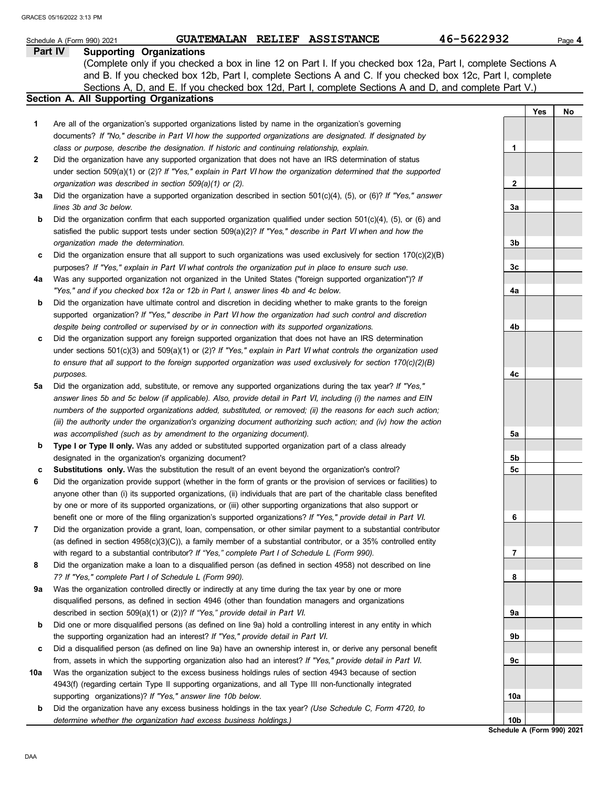|              | 46-5622932<br>GUATEMALAN RELIEF ASSISTANCE<br>Schedule A (Form 990) 2021                                                                                                                                                          |                                               |     | Page 4 |
|--------------|-----------------------------------------------------------------------------------------------------------------------------------------------------------------------------------------------------------------------------------|-----------------------------------------------|-----|--------|
|              | Part IV<br><b>Supporting Organizations</b>                                                                                                                                                                                        |                                               |     |        |
|              | (Complete only if you checked a box in line 12 on Part I. If you checked box 12a, Part I, complete Sections A                                                                                                                     |                                               |     |        |
|              | and B. If you checked box 12b, Part I, complete Sections A and C. If you checked box 12c, Part I, complete                                                                                                                        |                                               |     |        |
|              | Sections A, D, and E. If you checked box 12d, Part I, complete Sections A and D, and complete Part V.)                                                                                                                            |                                               |     |        |
|              | Section A. All Supporting Organizations                                                                                                                                                                                           |                                               | Yes | No     |
| 1            | Are all of the organization's supported organizations listed by name in the organization's governing                                                                                                                              |                                               |     |        |
|              | documents? If "No," describe in Part VI how the supported organizations are designated. If designated by                                                                                                                          |                                               |     |        |
|              | class or purpose, describe the designation. If historic and continuing relationship, explain.                                                                                                                                     | 1                                             |     |        |
| $\mathbf{2}$ | Did the organization have any supported organization that does not have an IRS determination of status                                                                                                                            |                                               |     |        |
|              | under section 509(a)(1) or (2)? If "Yes," explain in Part VI how the organization determined that the supported                                                                                                                   |                                               |     |        |
|              | organization was described in section 509(a)(1) or (2).                                                                                                                                                                           | 2                                             |     |        |
| За           | Did the organization have a supported organization described in section $501(c)(4)$ , (5), or (6)? If "Yes," answer                                                                                                               |                                               |     |        |
|              | lines 3b and 3c below.                                                                                                                                                                                                            | За                                            |     |        |
| b            | Did the organization confirm that each supported organization qualified under section $501(c)(4)$ , $(5)$ , or $(6)$ and                                                                                                          |                                               |     |        |
|              | satisfied the public support tests under section $509(a)(2)?$ If "Yes," describe in Part VI when and how the                                                                                                                      |                                               |     |        |
|              | organization made the determination.                                                                                                                                                                                              | 3b                                            |     |        |
| с            | Did the organization ensure that all support to such organizations was used exclusively for section $170(c)(2)(B)$                                                                                                                |                                               |     |        |
|              | purposes? If "Yes," explain in Part VI what controls the organization put in place to ensure such use.                                                                                                                            | 3c                                            |     |        |
| 4a           | Was any supported organization not organized in the United States ("foreign supported organization")? If                                                                                                                          |                                               |     |        |
|              | "Yes," and if you checked box 12a or 12b in Part I, answer lines 4b and 4c below.                                                                                                                                                 | 4a                                            |     |        |
| b            | Did the organization have ultimate control and discretion in deciding whether to make grants to the foreign                                                                                                                       |                                               |     |        |
|              | supported organization? If "Yes," describe in Part VI how the organization had such control and discretion                                                                                                                        | 4b                                            |     |        |
| c            | despite being controlled or supervised by or in connection with its supported organizations.<br>Did the organization support any foreign supported organization that does not have an IRS determination                           |                                               |     |        |
|              | under sections $501(c)(3)$ and $509(a)(1)$ or (2)? If "Yes," explain in Part VI what controls the organization used                                                                                                               |                                               |     |        |
|              | to ensure that all support to the foreign supported organization was used exclusively for section $170(c)(2)(B)$                                                                                                                  |                                               |     |        |
|              | purposes.                                                                                                                                                                                                                         | 4c                                            |     |        |
| 5a           | Did the organization add, substitute, or remove any supported organizations during the tax year? If "Yes,"                                                                                                                        |                                               |     |        |
|              | answer lines 5b and 5c below (if applicable). Also, provide detail in Part VI, including (i) the names and EIN                                                                                                                    |                                               |     |        |
|              | numbers of the supported organizations added, substituted, or removed; (ii) the reasons for each such action;                                                                                                                     |                                               |     |        |
|              | (iii) the authority under the organization's organizing document authorizing such action; and (iv) how the action                                                                                                                 |                                               |     |        |
|              | was accomplished (such as by amendment to the organizing document).                                                                                                                                                               | 5а                                            |     |        |
| b            | Type I or Type II only. Was any added or substituted supported organization part of a class already                                                                                                                               |                                               |     |        |
|              | designated in the organization's organizing document?                                                                                                                                                                             | 5b                                            |     |        |
| с            | Substitutions only. Was the substitution the result of an event beyond the organization's control?                                                                                                                                | 5c                                            |     |        |
| 6            | Did the organization provide support (whether in the form of grants or the provision of services or facilities) to                                                                                                                |                                               |     |        |
|              | anyone other than (i) its supported organizations, (ii) individuals that are part of the charitable class benefited                                                                                                               |                                               |     |        |
|              | by one or more of its supported organizations, or (iii) other supporting organizations that also support or                                                                                                                       |                                               |     |        |
| 7            | benefit one or more of the filing organization's supported organizations? If "Yes," provide detail in Part VI.<br>Did the organization provide a grant, loan, compensation, or other similar payment to a substantial contributor | 6                                             |     |        |
|              | (as defined in section $4958(c)(3)(C)$ ), a family member of a substantial contributor, or a 35% controlled entity                                                                                                                |                                               |     |        |
|              | with regard to a substantial contributor? If "Yes," complete Part I of Schedule L (Form 990).                                                                                                                                     | 7                                             |     |        |
| 8            | Did the organization make a loan to a disqualified person (as defined in section 4958) not described on line                                                                                                                      |                                               |     |        |
|              | 7? If "Yes," complete Part I of Schedule L (Form 990).                                                                                                                                                                            | 8                                             |     |        |
| 9а           | Was the organization controlled directly or indirectly at any time during the tax year by one or more                                                                                                                             |                                               |     |        |
|              | disqualified persons, as defined in section 4946 (other than foundation managers and organizations                                                                                                                                |                                               |     |        |
|              | described in section 509(a)(1) or (2))? If "Yes," provide detail in Part VI.                                                                                                                                                      | 9а                                            |     |        |
| b            | Did one or more disqualified persons (as defined on line 9a) hold a controlling interest in any entity in which                                                                                                                   |                                               |     |        |
|              | the supporting organization had an interest? If "Yes," provide detail in Part VI.                                                                                                                                                 | 9b                                            |     |        |
| с            | Did a disqualified person (as defined on line 9a) have an ownership interest in, or derive any personal benefit                                                                                                                   |                                               |     |        |
|              | from, assets in which the supporting organization also had an interest? If "Yes," provide detail in Part VI.                                                                                                                      | 9c                                            |     |        |
| 10a          | Was the organization subject to the excess business holdings rules of section 4943 because of section                                                                                                                             |                                               |     |        |
|              | 4943(f) (regarding certain Type II supporting organizations, and all Type III non-functionally integrated                                                                                                                         |                                               |     |        |
|              | supporting organizations)? If "Yes," answer line 10b below.                                                                                                                                                                       | 10a                                           |     |        |
| b            | Did the organization have any excess business holdings in the tax year? (Use Schedule C, Form 4720, to                                                                                                                            |                                               |     |        |
|              | determine whether the organization had excess business holdings.)                                                                                                                                                                 | 10 <sub>b</sub><br>Schodule A (Form 990) 2024 |     |        |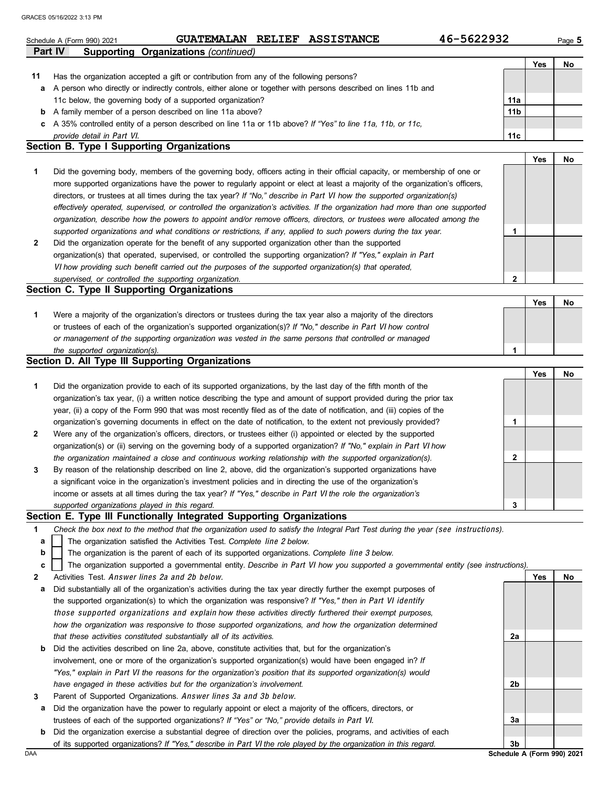|              | GRACES 05/16/2022 3:13 PM                                                                                                                                                                                                                                 |                 |            |        |
|--------------|-----------------------------------------------------------------------------------------------------------------------------------------------------------------------------------------------------------------------------------------------------------|-----------------|------------|--------|
|              | 46-5622932<br>GUATEMALAN RELIEF ASSISTANCE<br>Schedule A (Form 990) 2021                                                                                                                                                                                  |                 |            | Page 5 |
|              | Supporting Organizations (continued)<br>Part IV                                                                                                                                                                                                           |                 |            |        |
|              |                                                                                                                                                                                                                                                           |                 | <b>Yes</b> | No     |
| 11           | Has the organization accepted a gift or contribution from any of the following persons?                                                                                                                                                                   |                 |            |        |
| а            | A person who directly or indirectly controls, either alone or together with persons described on lines 11b and                                                                                                                                            |                 |            |        |
|              | 11c below, the governing body of a supported organization?                                                                                                                                                                                                | 11a             |            |        |
|              | <b>b</b> A family member of a person described on line 11a above?                                                                                                                                                                                         | 11 <sub>b</sub> |            |        |
|              | c A 35% controlled entity of a person described on line 11a or 11b above? If "Yes" to line 11a, 11b, or 11c,                                                                                                                                              |                 |            |        |
|              | provide detail in Part VI.<br><b>Section B. Type I Supporting Organizations</b>                                                                                                                                                                           | 11c             |            |        |
|              |                                                                                                                                                                                                                                                           |                 |            |        |
|              |                                                                                                                                                                                                                                                           |                 | <b>Yes</b> | No     |
| 1            | Did the governing body, members of the governing body, officers acting in their official capacity, or membership of one or                                                                                                                                |                 |            |        |
|              | more supported organizations have the power to regularly appoint or elect at least a majority of the organization's officers,                                                                                                                             |                 |            |        |
|              | directors, or trustees at all times during the tax year? If "No," describe in Part VI how the supported organization(s)<br>effectively operated, supervised, or controlled the organization's activities. If the organization had more than one supported |                 |            |        |
|              | organization, describe how the powers to appoint and/or remove officers, directors, or trustees were allocated among the                                                                                                                                  |                 |            |        |
|              | supported organizations and what conditions or restrictions, if any, applied to such powers during the tax year.                                                                                                                                          | 1               |            |        |
| $\mathbf{2}$ | Did the organization operate for the benefit of any supported organization other than the supported                                                                                                                                                       |                 |            |        |
|              | organization(s) that operated, supervised, or controlled the supporting organization? If "Yes," explain in Part                                                                                                                                           |                 |            |        |
|              | VI how providing such benefit carried out the purposes of the supported organization(s) that operated,                                                                                                                                                    |                 |            |        |
|              | supervised, or controlled the supporting organization.                                                                                                                                                                                                    | 2               |            |        |
|              | Section C. Type II Supporting Organizations                                                                                                                                                                                                               |                 |            |        |
|              |                                                                                                                                                                                                                                                           |                 | <b>Yes</b> | No     |
| 1            | Were a majority of the organization's directors or trustees during the tax year also a majority of the directors                                                                                                                                          |                 |            |        |
|              | or trustees of each of the organization's supported organization(s)? If "No," describe in Part VI how control                                                                                                                                             |                 |            |        |
|              | or management of the supporting organization was vested in the same persons that controlled or managed                                                                                                                                                    |                 |            |        |
|              | the supported organization(s).                                                                                                                                                                                                                            | 1               |            |        |
|              | Section D. All Type III Supporting Organizations                                                                                                                                                                                                          |                 |            |        |
|              |                                                                                                                                                                                                                                                           |                 | <b>Yes</b> | No     |
| 1            | Did the organization provide to each of its supported organizations, by the last day of the fifth month of the                                                                                                                                            |                 |            |        |
|              | organization's tax year, (i) a written notice describing the type and amount of support provided during the prior tax                                                                                                                                     |                 |            |        |
|              | year, (ii) a copy of the Form 990 that was most recently filed as of the date of notification, and (iii) copies of the                                                                                                                                    |                 |            |        |
|              | organization's governing documents in effect on the date of notification, to the extent not previously provided?                                                                                                                                          | 1               |            |        |
| 2            | Were any of the organization's officers, directors, or trustees either (i) appointed or elected by the supported                                                                                                                                          |                 |            |        |
|              | organization(s) or (ii) serving on the governing body of a supported organization? If "No," explain in Part VI how                                                                                                                                        |                 |            |        |
|              | the organization maintained a close and continuous working relationship with the supported organization(s).                                                                                                                                               | 2               |            |        |
| 3            | By reason of the relationship described on line 2, above, did the organization's supported organizations have                                                                                                                                             |                 |            |        |
|              | a significant voice in the organization's investment policies and in directing the use of the organization's                                                                                                                                              |                 |            |        |
|              | income or assets at all times during the tax year? If "Yes," describe in Part VI the role the organization's                                                                                                                                              |                 |            |        |
|              | supported organizations played in this regard.                                                                                                                                                                                                            | 3               |            |        |
|              | Section E. Type III Functionally Integrated Supporting Organizations                                                                                                                                                                                      |                 |            |        |
| 1            | Check the box next to the method that the organization used to satisfy the Integral Part Test during the year (see instructions).                                                                                                                         |                 |            |        |
| а            | The organization satisfied the Activities Test. Complete line 2 below.                                                                                                                                                                                    |                 |            |        |
| b            | The organization is the parent of each of its supported organizations. Complete line 3 below.                                                                                                                                                             |                 |            |        |
| с            | The organization supported a governmental entity. Describe in Part VI how you supported a governmental entity (see instructions).                                                                                                                         |                 |            |        |
| 2            | Activities Test. Answer lines 2a and 2b below.                                                                                                                                                                                                            |                 | Yes        | No     |
| а            | Did substantially all of the organization's activities during the tax year directly further the exempt purposes of                                                                                                                                        |                 |            |        |
|              | the supported organization(s) to which the organization was responsive? If "Yes," then in Part VI identify                                                                                                                                                |                 |            |        |
|              | those supported organizations and explain how these activities directly furthered their exempt purposes,                                                                                                                                                  |                 |            |        |
|              | how the organization was responsive to those supported organizations, and how the organization determined                                                                                                                                                 |                 |            |        |
|              | that these activities constituted substantially all of its activities.                                                                                                                                                                                    | 2a              |            |        |
| b            | Did the activities described on line 2a, above, constitute activities that, but for the organization's                                                                                                                                                    |                 |            |        |
|              | involvement, one or more of the organization's supported organization(s) would have been engaged in? If                                                                                                                                                   |                 |            |        |
|              | "Yes," explain in Part VI the reasons for the organization's position that its supported organization(s) would                                                                                                                                            |                 |            |        |
|              | have engaged in these activities but for the organization's involvement.                                                                                                                                                                                  | 2b              |            |        |

- **3** Parent of Supported Organizations. Answer lines 3a and 3b below.
	- **a** Did the organization have the power to regularly appoint or elect a majority of the officers, directors, or trustees of each of the supported organizations? *If "Yes" or "No," provide details in* Part VI.
- DAA **Schedule A (Form 990) 2021 b** Did the organization exercise a substantial degree of direction over the policies, programs, and activities of each of its supported organizations? *If "Yes," describe in* Part VI *the role played by the organization in this regard.*

**3a**

**3b**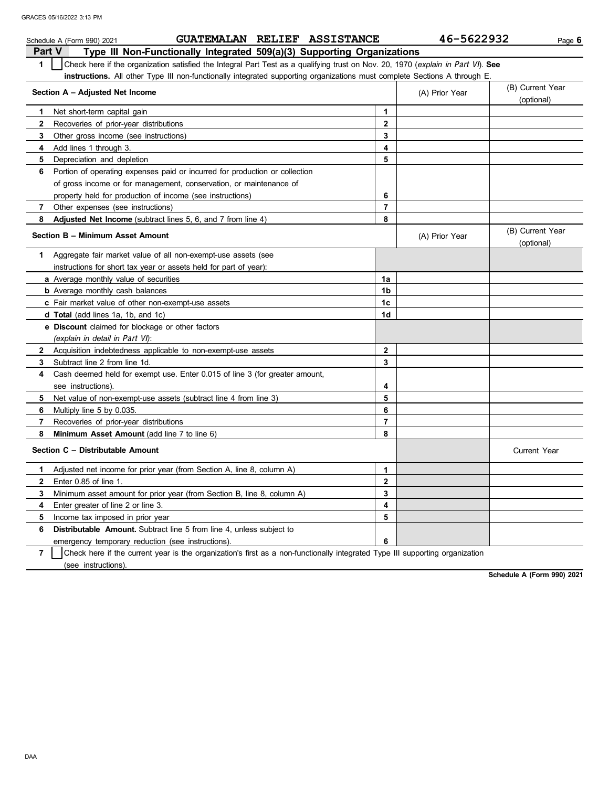GRACES 05/16/2022 3:13 PM

|                | GUATEMALAN RELIEF ASSISTANCE<br>Schedule A (Form 990) 2021                                                                       |              | 46-5622932     | Page 6                         |
|----------------|----------------------------------------------------------------------------------------------------------------------------------|--------------|----------------|--------------------------------|
| <b>Part V</b>  | Type III Non-Functionally Integrated 509(a)(3) Supporting Organizations                                                          |              |                |                                |
| 1              | Check here if the organization satisfied the Integral Part Test as a qualifying trust on Nov. 20, 1970 (explain in Part VI). See |              |                |                                |
|                | instructions. All other Type III non-functionally integrated supporting organizations must complete Sections A through E.        |              |                |                                |
|                | Section A - Adjusted Net Income                                                                                                  |              | (A) Prior Year | (B) Current Year<br>(optional) |
| 1              | Net short-term capital gain                                                                                                      | 1            |                |                                |
| $\mathbf{2}$   | Recoveries of prior-year distributions                                                                                           | $\mathbf{2}$ |                |                                |
| 3              | Other gross income (see instructions)                                                                                            | 3            |                |                                |
| 4              | Add lines 1 through 3.                                                                                                           | 4            |                |                                |
| 5              | Depreciation and depletion                                                                                                       | 5            |                |                                |
| 6              | Portion of operating expenses paid or incurred for production or collection                                                      |              |                |                                |
|                | of gross income or for management, conservation, or maintenance of                                                               |              |                |                                |
|                | property held for production of income (see instructions)                                                                        | 6            |                |                                |
| 7              | Other expenses (see instructions)                                                                                                | 7            |                |                                |
| 8              | Adjusted Net Income (subtract lines 5, 6, and 7 from line 4)                                                                     | 8            |                |                                |
|                | Section B - Minimum Asset Amount                                                                                                 |              | (A) Prior Year | (B) Current Year<br>(optional) |
| 1              | Aggregate fair market value of all non-exempt-use assets (see                                                                    |              |                |                                |
|                | instructions for short tax year or assets held for part of year):                                                                |              |                |                                |
|                | a Average monthly value of securities                                                                                            | 1a           |                |                                |
|                | <b>b</b> Average monthly cash balances                                                                                           | 1b           |                |                                |
|                | c Fair market value of other non-exempt-use assets                                                                               | 1c           |                |                                |
|                | d Total (add lines 1a, 1b, and 1c)                                                                                               | 1d           |                |                                |
|                | e Discount claimed for blockage or other factors                                                                                 |              |                |                                |
|                | (explain in detail in Part VI):                                                                                                  |              |                |                                |
| $\mathbf{2}$   | Acquisition indebtedness applicable to non-exempt-use assets                                                                     | $\mathbf{2}$ |                |                                |
| 3              | Subtract line 2 from line 1d.                                                                                                    | 3            |                |                                |
| 4              | Cash deemed held for exempt use. Enter 0.015 of line 3 (for greater amount,                                                      |              |                |                                |
|                | see instructions).                                                                                                               | 4            |                |                                |
| 5              | Net value of non-exempt-use assets (subtract line 4 from line 3)                                                                 | 5            |                |                                |
| 6              | Multiply line 5 by 0.035.                                                                                                        | 6            |                |                                |
| 7              | Recoveries of prior-year distributions                                                                                           | 7            |                |                                |
| 8              | Minimum Asset Amount (add line 7 to line 6)                                                                                      | 8            |                |                                |
|                | Section C - Distributable Amount                                                                                                 |              |                | <b>Current Year</b>            |
| 1.             | Adjusted net income for prior year (from Section A, line 8, column A)                                                            | 1            |                |                                |
| 2              | Enter 0.85 of line 1.                                                                                                            | 2            |                |                                |
| 3              | Minimum asset amount for prior year (from Section B, line 8, column A)                                                           | 3            |                |                                |
| 4              | Enter greater of line 2 or line 3.                                                                                               | 4            |                |                                |
| 5              | Income tax imposed in prior year                                                                                                 | 5            |                |                                |
| 6              | Distributable Amount. Subtract line 5 from line 4, unless subject to                                                             |              |                |                                |
|                | emergency temporary reduction (see instructions).                                                                                | 6            |                |                                |
| $\overline{7}$ | Check here if the current year is the organization's first as a non-functionally integrated Type III supporting organization     |              |                |                                |

(see instructions).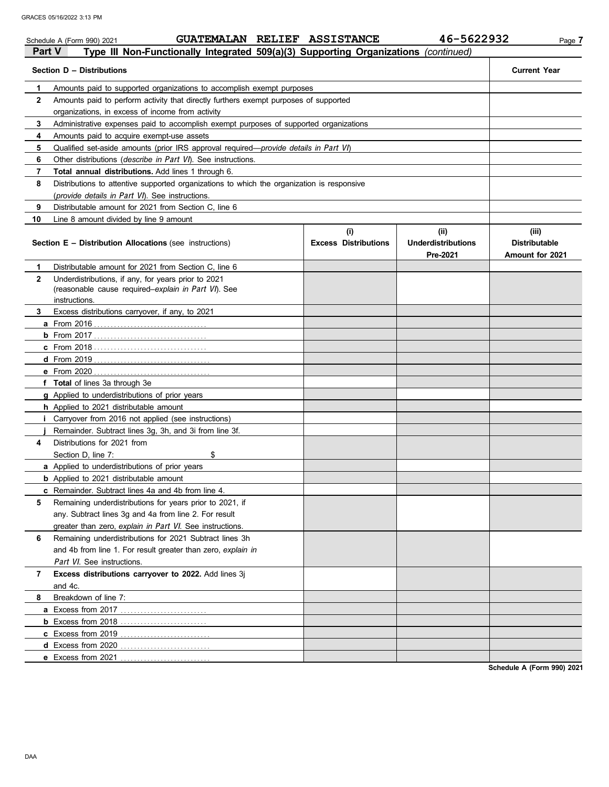|              | GUATEMALAN RELIEF ASSISTANCE<br>Schedule A (Form 990) 2021                                    |                             | 46-5622932                            | Page 7                                  |
|--------------|-----------------------------------------------------------------------------------------------|-----------------------------|---------------------------------------|-----------------------------------------|
|              | Part V<br>Type III Non-Functionally Integrated 509(a)(3) Supporting Organizations (continued) |                             |                                       |                                         |
|              | Section D - Distributions                                                                     |                             |                                       | <b>Current Year</b>                     |
| 1            | Amounts paid to supported organizations to accomplish exempt purposes                         |                             |                                       |                                         |
| $\mathbf{2}$ | Amounts paid to perform activity that directly furthers exempt purposes of supported          |                             |                                       |                                         |
|              | organizations, in excess of income from activity                                              |                             |                                       |                                         |
| 3            | Administrative expenses paid to accomplish exempt purposes of supported organizations         |                             |                                       |                                         |
| 4            | Amounts paid to acquire exempt-use assets                                                     |                             |                                       |                                         |
| 5            | Qualified set-aside amounts (prior IRS approval required—provide details in Part VI)          |                             |                                       |                                         |
| 6            | Other distributions ( <i>describe in Part VI</i> ). See instructions.                         |                             |                                       |                                         |
| 7            | Total annual distributions. Add lines 1 through 6.                                            |                             |                                       |                                         |
| 8            | Distributions to attentive supported organizations to which the organization is responsive    |                             |                                       |                                         |
|              | ( <i>provide details in Part VI</i> ). See instructions.                                      |                             |                                       |                                         |
| 9            | Distributable amount for 2021 from Section C, line 6                                          |                             |                                       |                                         |
| 10           | Line 8 amount divided by line 9 amount                                                        |                             |                                       |                                         |
|              |                                                                                               | (i)                         | (ii)                                  | (iii)                                   |
|              | <b>Section E - Distribution Allocations (see instructions)</b>                                | <b>Excess Distributions</b> | <b>Underdistributions</b><br>Pre-2021 | <b>Distributable</b><br>Amount for 2021 |
| 1            | Distributable amount for 2021 from Section C, line 6                                          |                             |                                       |                                         |
| $\mathbf{2}$ | Underdistributions, if any, for years prior to 2021                                           |                             |                                       |                                         |
|              | (reasonable cause required-explain in Part VI). See                                           |                             |                                       |                                         |
|              | instructions.                                                                                 |                             |                                       |                                         |
| 3            | Excess distributions carryover, if any, to 2021                                               |                             |                                       |                                         |
|              |                                                                                               |                             |                                       |                                         |
|              |                                                                                               |                             |                                       |                                         |
|              |                                                                                               |                             |                                       |                                         |
|              |                                                                                               |                             |                                       |                                         |
|              |                                                                                               |                             |                                       |                                         |
|              | f Total of lines 3a through 3e                                                                |                             |                                       |                                         |
|              | <b>g</b> Applied to underdistributions of prior years                                         |                             |                                       |                                         |
|              | h Applied to 2021 distributable amount                                                        |                             |                                       |                                         |
| İ.           | Carryover from 2016 not applied (see instructions)                                            |                             |                                       |                                         |
|              | Remainder. Subtract lines 3g, 3h, and 3i from line 3f.                                        |                             |                                       |                                         |
| 4            | Distributions for 2021 from                                                                   |                             |                                       |                                         |
|              | Section D, line 7:<br>\$                                                                      |                             |                                       |                                         |
|              | <b>a</b> Applied to underdistributions of prior years                                         |                             |                                       |                                         |
|              | <b>b</b> Applied to 2021 distributable amount                                                 |                             |                                       |                                         |
|              | c Remainder. Subtract lines 4a and 4b from line 4.                                            |                             |                                       |                                         |
| 5            | Remaining underdistributions for years prior to 2021, if                                      |                             |                                       |                                         |
|              | any. Subtract lines 3g and 4a from line 2. For result                                         |                             |                                       |                                         |
|              | greater than zero, explain in Part VI. See instructions.                                      |                             |                                       |                                         |
| 6            | Remaining underdistributions for 2021 Subtract lines 3h                                       |                             |                                       |                                         |
|              | and 4b from line 1. For result greater than zero, explain in                                  |                             |                                       |                                         |
|              | Part VI. See instructions.                                                                    |                             |                                       |                                         |
| 7            | Excess distributions carryover to 2022. Add lines 3j                                          |                             |                                       |                                         |
|              | and 4c.                                                                                       |                             |                                       |                                         |
| 8            | Breakdown of line 7:                                                                          |                             |                                       |                                         |
|              |                                                                                               |                             |                                       |                                         |
|              |                                                                                               |                             |                                       |                                         |
|              |                                                                                               |                             |                                       |                                         |
|              |                                                                                               |                             |                                       |                                         |
|              | e Excess from 2021                                                                            |                             |                                       |                                         |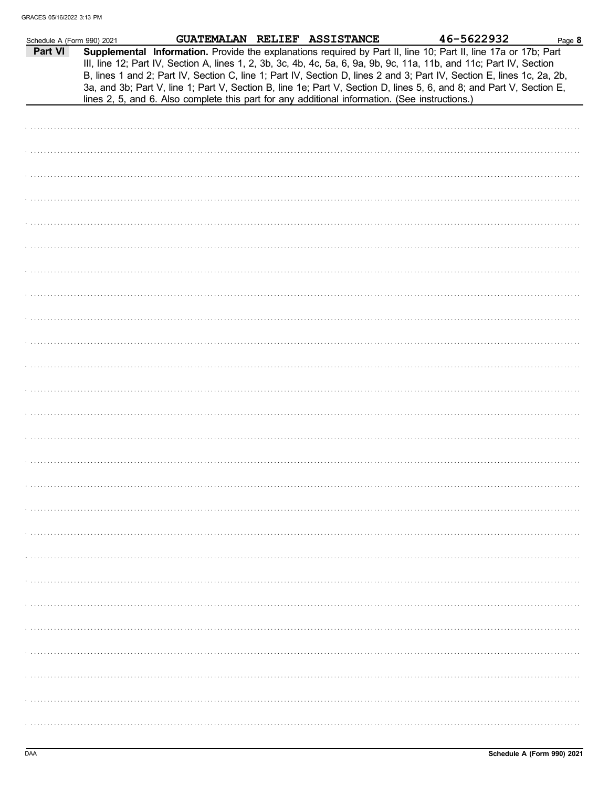| Schedule A (Form 990) 2021 |                                                                                                | GUATEMALAN RELIEF ASSISTANCE | 46-5622932                                                                                                                                                                                                                                                                                                                                                                                                                                                                                | Page 8 |
|----------------------------|------------------------------------------------------------------------------------------------|------------------------------|-------------------------------------------------------------------------------------------------------------------------------------------------------------------------------------------------------------------------------------------------------------------------------------------------------------------------------------------------------------------------------------------------------------------------------------------------------------------------------------------|--------|
| Part VI                    | lines 2, 5, and 6. Also complete this part for any additional information. (See instructions.) |                              | Supplemental Information. Provide the explanations required by Part II, line 10; Part II, line 17a or 17b; Part<br>III, line 12; Part IV, Section A, lines 1, 2, 3b, 3c, 4b, 4c, 5a, 6, 9a, 9b, 9c, 11a, 11b, and 11c; Part IV, Section<br>B, lines 1 and 2; Part IV, Section C, line 1; Part IV, Section D, lines 2 and 3; Part IV, Section E, lines 1c, 2a, 2b,<br>3a, and 3b; Part V, line 1; Part V, Section B, line 1e; Part V, Section D, lines 5, 6, and 8; and Part V, Section E, |        |
|                            |                                                                                                |                              |                                                                                                                                                                                                                                                                                                                                                                                                                                                                                           |        |
|                            |                                                                                                |                              |                                                                                                                                                                                                                                                                                                                                                                                                                                                                                           |        |
|                            |                                                                                                |                              |                                                                                                                                                                                                                                                                                                                                                                                                                                                                                           |        |
|                            |                                                                                                |                              |                                                                                                                                                                                                                                                                                                                                                                                                                                                                                           |        |
|                            |                                                                                                |                              |                                                                                                                                                                                                                                                                                                                                                                                                                                                                                           |        |
|                            |                                                                                                |                              |                                                                                                                                                                                                                                                                                                                                                                                                                                                                                           |        |
|                            |                                                                                                |                              |                                                                                                                                                                                                                                                                                                                                                                                                                                                                                           |        |
|                            |                                                                                                |                              |                                                                                                                                                                                                                                                                                                                                                                                                                                                                                           |        |
|                            |                                                                                                |                              |                                                                                                                                                                                                                                                                                                                                                                                                                                                                                           |        |
|                            |                                                                                                |                              |                                                                                                                                                                                                                                                                                                                                                                                                                                                                                           |        |
|                            |                                                                                                |                              |                                                                                                                                                                                                                                                                                                                                                                                                                                                                                           |        |
|                            |                                                                                                |                              |                                                                                                                                                                                                                                                                                                                                                                                                                                                                                           |        |
|                            |                                                                                                |                              |                                                                                                                                                                                                                                                                                                                                                                                                                                                                                           |        |
|                            |                                                                                                |                              |                                                                                                                                                                                                                                                                                                                                                                                                                                                                                           |        |
|                            |                                                                                                |                              |                                                                                                                                                                                                                                                                                                                                                                                                                                                                                           |        |
|                            |                                                                                                |                              |                                                                                                                                                                                                                                                                                                                                                                                                                                                                                           |        |
|                            |                                                                                                |                              |                                                                                                                                                                                                                                                                                                                                                                                                                                                                                           |        |
|                            |                                                                                                |                              |                                                                                                                                                                                                                                                                                                                                                                                                                                                                                           |        |
|                            |                                                                                                |                              |                                                                                                                                                                                                                                                                                                                                                                                                                                                                                           |        |
|                            |                                                                                                |                              |                                                                                                                                                                                                                                                                                                                                                                                                                                                                                           |        |
|                            |                                                                                                |                              |                                                                                                                                                                                                                                                                                                                                                                                                                                                                                           |        |
|                            |                                                                                                |                              |                                                                                                                                                                                                                                                                                                                                                                                                                                                                                           |        |
|                            |                                                                                                |                              |                                                                                                                                                                                                                                                                                                                                                                                                                                                                                           |        |
|                            |                                                                                                |                              |                                                                                                                                                                                                                                                                                                                                                                                                                                                                                           |        |
|                            |                                                                                                |                              |                                                                                                                                                                                                                                                                                                                                                                                                                                                                                           |        |
|                            |                                                                                                |                              |                                                                                                                                                                                                                                                                                                                                                                                                                                                                                           |        |
|                            |                                                                                                |                              |                                                                                                                                                                                                                                                                                                                                                                                                                                                                                           |        |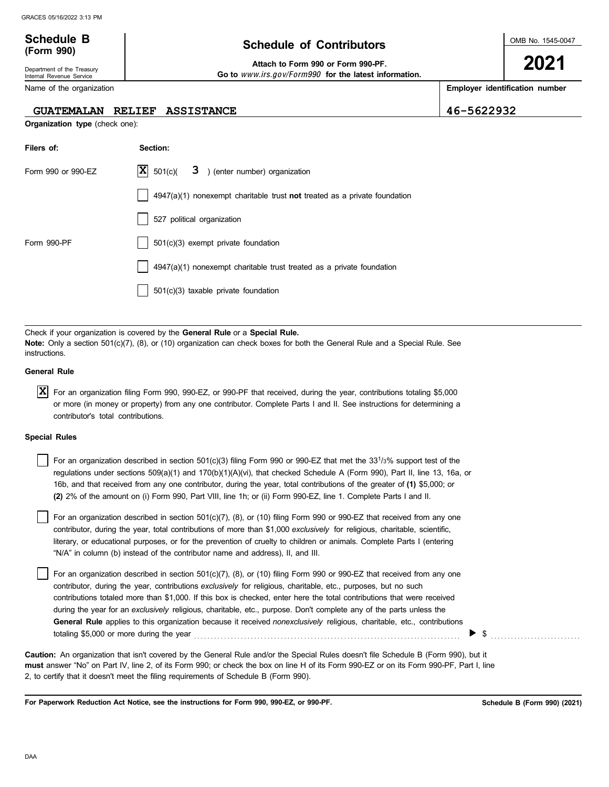## **Schedule of Contributors Schedule B**

**2021**

#### **Attach to Form 990 or Form 990-PF. Go to** www.irs.gov/Form990 **for the latest information.**

**Employer identification number**

Name of the organization

Department of the Treasury Internal Revenue Service

**(Form 990)**

#### **GUATEMALAN RELIEF ASSISTANCE 46-5622932**

**Organization type** (check one):

| Filers of:         | Section:                                                                    |
|--------------------|-----------------------------------------------------------------------------|
| Form 990 or 990-EZ | $ X $ 501(c)(<br>3 ) (enter number) organization                            |
|                    | $4947(a)(1)$ nonexempt charitable trust not treated as a private foundation |
|                    | 527 political organization                                                  |
| Form 990-PF        | $501(c)(3)$ exempt private foundation                                       |
|                    | $4947(a)(1)$ nonexempt charitable trust treated as a private foundation     |
|                    | $501(c)(3)$ taxable private foundation                                      |

Check if your organization is covered by the **General Rule** or a **Special Rule. Note:** Only a section 501(c)(7), (8), or (10) organization can check boxes for both the General Rule and a Special Rule. See instructions.

#### **General Rule**

For an organization filing Form 990, 990-EZ, or 990-PF that received, during the year, contributions totaling \$5,000 **X** or more (in money or property) from any one contributor. Complete Parts I and II. See instructions for determining a contributor's total contributions.

#### **Special Rules**

For an organization described in section 501(c)(3) filing Form 990 or 990-EZ that met the  $33<sup>1</sup>/3%$  support test of the regulations under sections 509(a)(1) and 170(b)(1)(A)(vi), that checked Schedule A (Form 990), Part II, line 13, 16a, or 16b, and that received from any one contributor, during the year, total contributions of the greater of **(1)** \$5,000; or **(2)** 2% of the amount on (i) Form 990, Part VIII, line 1h; or (ii) Form 990-EZ, line 1. Complete Parts I and II.

literary, or educational purposes, or for the prevention of cruelty to children or animals. Complete Parts I (entering For an organization described in section 501(c)(7), (8), or (10) filing Form 990 or 990-EZ that received from any one contributor, during the year, total contributions of more than \$1,000 *exclusively* for religious, charitable, scientific, "N/A" in column (b) instead of the contributor name and address), II, and III.

For an organization described in section 501(c)(7), (8), or (10) filing Form 990 or 990-EZ that received from any one contributor, during the year, contributions *exclusively* for religious, charitable, etc., purposes, but no such contributions totaled more than \$1,000. If this box is checked, enter here the total contributions that were received during the year for an *exclusively* religious, charitable, etc., purpose. Don't complete any of the parts unless the **General Rule** applies to this organization because it received *nonexclusively* religious, charitable, etc., contributions totaling \$5,000 or more during the year . . . . . . . . . . . . . . . . . . . . . . . . . . . . . . . . . . . . . . . . . . . . . . . . . . . . . . . . . . . . . . . . . . . . . . . . . . . . . . . . \$ . . . . . . . . . . . . . . . . . . . . . . . . . . .

**must** answer "No" on Part IV, line 2, of its Form 990; or check the box on line H of its Form 990-EZ or on its Form 990-PF, Part I, line 2, to certify that it doesn't meet the filing requirements of Schedule B (Form 990). **Caution:** An organization that isn't covered by the General Rule and/or the Special Rules doesn't file Schedule B (Form 990), but it

**For Paperwork Reduction Act Notice, see the instructions for Form 990, 990-EZ, or 990-PF.**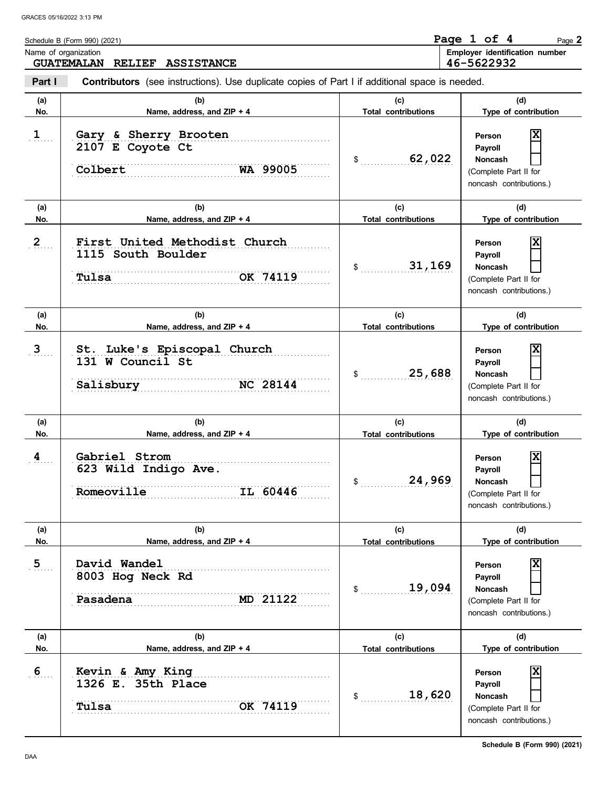|                  | Name of organization<br>GUATEMALAN RELIEF ASSISTANCE                                                  |                                            | Employer identification number<br>46-5622932                                                                               |
|------------------|-------------------------------------------------------------------------------------------------------|--------------------------------------------|----------------------------------------------------------------------------------------------------------------------------|
| Part I           | <b>Contributors</b> (see instructions). Use duplicate copies of Part I if additional space is needed. |                                            |                                                                                                                            |
| (a)<br>No.       | (b)<br>Name, address, and ZIP + 4                                                                     | (c)<br><b>Total contributions</b>          | (d)<br>Type of contribution                                                                                                |
| 1                | Gary & Sherry Brooten<br>2107 E Coyote Ct<br>Colbert<br>WA 99005                                      | 62,022<br>$\mathsf{\$}$                    | X<br><b>Person</b><br>Payroll<br>Noncash<br>(Complete Part II for<br>noncash contributions.)                               |
| (a)<br>No.       | (b)<br>Name, address, and ZIP + 4                                                                     | (c)<br><b>Total contributions</b>          | (d)<br>Type of contribution                                                                                                |
| $\overline{2}$   | First United Methodist Church<br>1115 South Boulder<br>OK 74119<br>Tulsa                              | 31,169<br>\$                               | X<br><b>Person</b><br>Payroll<br>Noncash<br>(Complete Part II for<br>noncash contributions.)                               |
| (a)<br>No.       | (b)<br>Name, address, and ZIP + 4                                                                     | (c)<br><b>Total contributions</b>          | (d)<br>Type of contribution                                                                                                |
| $\mathbf{3}$     | Luke's Episcopal Church<br>St.<br>131 W Council St<br>Salisbury<br>NC 28144                           | 25,688<br>\$                               | X<br><b>Person</b><br>Payroll<br>Noncash<br>(Complete Part II for<br>noncash contributions.)                               |
| (a)              | (b)                                                                                                   | (c)                                        | (d)                                                                                                                        |
| No.<br>4         | Name, address, and ZIP + 4<br>Gabriel Strom<br>623 Wild Indigo Ave.<br>Romeoville<br>IL 60446         | <b>Total contributions</b><br>24,969<br>\$ | Type of contribution<br>$ \mathbf{x} $<br>Person<br>Payroll<br>Noncash<br>(Complete Part II for<br>noncash contributions.) |
| (a)<br>No.       | (b)<br>Name, address, and ZIP + 4                                                                     | (c)<br><b>Total contributions</b>          | (d)<br>Type of contribution                                                                                                |
| $\overline{5}$   | David Wandel<br>8003 Hog Neck Rd<br>Pasadena<br>MD 21122                                              | 19,094<br>\$                               | X<br><b>Person</b><br>Payroll<br><b>Noncash</b><br>(Complete Part II for<br>noncash contributions.)                        |
| (a)<br>No.       | (b)<br>Name, address, and ZIP + 4                                                                     | (c)<br><b>Total contributions</b>          | (d)<br>Type of contribution                                                                                                |
| $6 \overline{6}$ | Kevin & Amy King<br>1326 E. 35th Place<br>OK 74119<br>Tulsa                                           | 18,620<br>\$                               | $ \mathbf{x} $<br><b>Person</b><br>Payroll<br><b>Noncash</b><br>(Complete Part II for                                      |

noncash contributions.)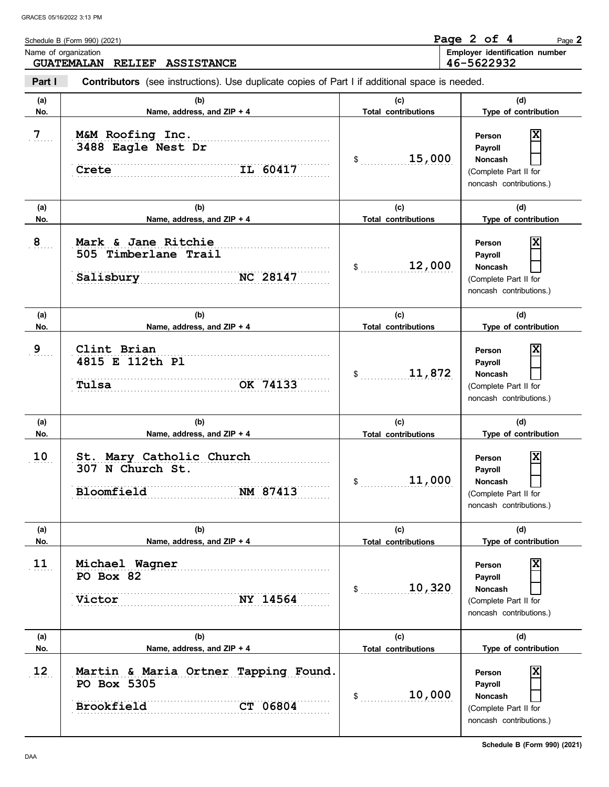|                  | Schedule B (Form 990) (2021)<br>Name of organization                                                  |                                   | Page 2 of 4<br>Page 2<br>Employer identification number                                       |
|------------------|-------------------------------------------------------------------------------------------------------|-----------------------------------|-----------------------------------------------------------------------------------------------|
|                  | <b>GUATEMALAN</b><br><b>RELIEF</b><br><b>ASSISTANCE</b>                                               |                                   | 46-5622932                                                                                    |
| Part I           | <b>Contributors</b> (see instructions). Use duplicate copies of Part I if additional space is needed. |                                   |                                                                                               |
| (a)<br>No.       | (b)<br>Name, address, and ZIP + 4                                                                     | (c)<br><b>Total contributions</b> | (d)<br>Type of contribution                                                                   |
| 7                | M&M Roofing Inc.<br>3488 Eagle Nest Dr<br>IL 60417<br>Crete                                           | 15,000<br>$\mathsf{\$}$           | X<br>Person<br>Payroll<br><b>Noncash</b><br>(Complete Part II for<br>noncash contributions.)  |
| (a)<br>No.       | (b)<br>Name, address, and ZIP + 4                                                                     | (c)<br><b>Total contributions</b> | (d)<br>Type of contribution                                                                   |
| $\mathbf{8}$     | Mark & Jane Ritchie<br>505 Timberlane Trail<br><b>NC 28147</b><br>Salisbury                           | 12,000<br>$\mathsf{\$}$           | x<br>Person<br>Payroll<br>Noncash<br>(Complete Part II for<br>noncash contributions.)         |
| (a)<br>No.       | (b)<br>Name, address, and ZIP + 4                                                                     | (c)<br><b>Total contributions</b> | (d)<br>Type of contribution                                                                   |
| 9 <sub></sub>    | Clint Brian<br>4815 E 112th Pl<br>OK 74133<br>Tulsa                                                   | 11,872<br>$\mathsf{\$}$           | Person<br>Payroll<br>Noncash<br>(Complete Part II for<br>noncash contributions.)              |
| (a)<br>No.       | (b)<br>Name, address, and ZIP + 4                                                                     | (c)<br><b>Total contributions</b> | (d)<br>Type of contribution                                                                   |
| 10               | St. Mary Catholic Church<br>N Church St.<br>307<br>Bloomfield<br>NM 87413                             | 11,000<br>\$                      | Ιx<br>Person<br>Payroll<br><b>Noncash</b><br>(Complete Part II for<br>noncash contributions.) |
| (a)<br>No.       | (b)<br>Name, address, and ZIP + 4                                                                     | (c)<br><b>Total contributions</b> | (d)<br>Type of contribution                                                                   |
| 11               | Michael Wagner<br>PO Box 82<br>NY 14564<br>Victor                                                     | 10,320<br>\$                      | Person<br>Payroll<br><b>Noncash</b><br>(Complete Part II for<br>noncash contributions.)       |
| (a)<br><b>No</b> | (b)<br>Name address and $71D + 7$                                                                     | (c)<br>Total contributions        | (d)<br>Type of contribution                                                                   |

**No. Name, address, and ZIP + 4 Total contributions** Type of contribution **Person Payroll Noncash** \$ . . . . . . . . . . . . . . . . . . . . . . . . . . . . **10,000** (Complete Part II for noncash contributions.)  $12.$ . . . . . . . . . . . . . . . . . . . . . . . . . . . . . . . . . . . . . . . . . . . . . . . . . . . . . . . . . . . . . . . . . . . . . . . . . . . . . . . . . . . . . . . . . . . . . . . . . . . . . . . . . . . . . . . . . . . . . . . . . . . . . . . . . . . . . . . . . . . . . . . . . . . . . . . . . . **Brookfield CT 06804** 12 | Martin & Maria Ortner Tapping Found. **Total contributions PO Box 5305 X**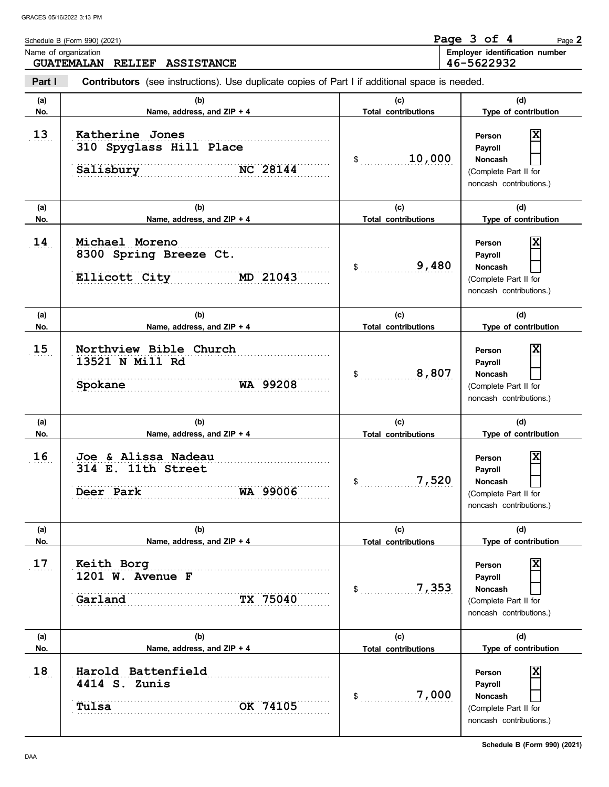|            | Schedule B (Form 990) (2021)<br>Name of organization<br>GUATEMALAN RELIEF ASSISTANCE                  |                                           | Page 3 of 4<br>Page 2<br>Employer identification number<br>46-5622932                                                                             |
|------------|-------------------------------------------------------------------------------------------------------|-------------------------------------------|---------------------------------------------------------------------------------------------------------------------------------------------------|
| Part I     | <b>Contributors</b> (see instructions). Use duplicate copies of Part I if additional space is needed. |                                           |                                                                                                                                                   |
| (a)<br>No. | (b)<br>Name, address, and ZIP + 4                                                                     | (c)<br><b>Total contributions</b>         | (d)<br>Type of contribution                                                                                                                       |
| 13         | Katherine Jones<br>310 Spyglass Hill Place<br>NC 28144<br>Salisbury                                   | 10,000<br>$\frac{1}{2}$                   | $ \mathbf{x} $<br><b>Person</b><br>Payroll<br><b>Noncash</b><br>(Complete Part II for<br>noncash contributions.)                                  |
| (a)<br>No. | (b)<br>Name, address, and ZIP + 4                                                                     | (c)<br><b>Total contributions</b>         | (d)<br>Type of contribution                                                                                                                       |
| 14         | Michael Moreno<br>8300 Spring Breeze Ct.<br>MD 21043<br>Ellicott City                                 | 9,480<br>$\mathfrak s$                    | $ \mathbf{x} $<br>Person<br>Payroll<br><b>Noncash</b><br>(Complete Part II for<br>noncash contributions.)                                         |
| (a)<br>No. | (b)<br>Name, address, and ZIP + 4                                                                     | (c)<br><b>Total contributions</b>         | (d)<br>Type of contribution                                                                                                                       |
| 15         | Northview Bible Church<br>13521 N Mill Rd<br>WA 99208<br>Spokane                                      | 8,807<br>$\mathsf{\$}$                    | $ \mathbf{x} $<br><b>Person</b><br>Payroll<br><b>Noncash</b><br>(Complete Part II for<br>noncash contributions.)                                  |
| (a)        | (b)                                                                                                   | (c)                                       | (d)                                                                                                                                               |
| No.<br>16  | Name, address, and ZIP + 4<br>Joe & Alissa Nadeau<br>314 E. 11th Street<br>WA 99006<br>Deer Park      | <b>Total contributions</b><br>7,520<br>\$ | Type of contribution<br>$\mathbf{\overline{x}}$<br><b>Person</b><br>Payroll<br><b>Noncash</b><br>(Complete Part II for<br>noncash contributions.) |
| (a)<br>No. | (b)<br>Name, address, and ZIP + 4                                                                     | (c)<br><b>Total contributions</b>         | (d)<br>Type of contribution                                                                                                                       |
| 17         | Keith Borg<br>1201 W. Avenue F<br>Garland<br>TX 75040                                                 | 7,353<br>\$                               | X<br>Person<br>Payroll<br><b>Noncash</b><br>(Complete Part II for<br>noncash contributions.)                                                      |
| (a)<br>No. | (b)<br>Name, address, and ZIP + 4                                                                     | (c)<br><b>Total contributions</b>         | (d)<br>Type of contribution                                                                                                                       |
| 18         | Harold Battenfield<br>4414 S. Zunis<br>OK 74105<br>Tulsa                                              | 7,000<br>$\mathsf{\$}$                    | $\overline{\mathbf{x}}$<br>Person<br>Payroll<br><b>Noncash</b><br>(Complete Part II for                                                           |

. . . . . . . . . . . . . . . . . . . . . . . . . . . . . . . . . . . . . . . . . . . . . . . . . . . . . . . . . . . . . . . . . . . . . . . . . . . . .

(Complete Part II for noncash contributions.)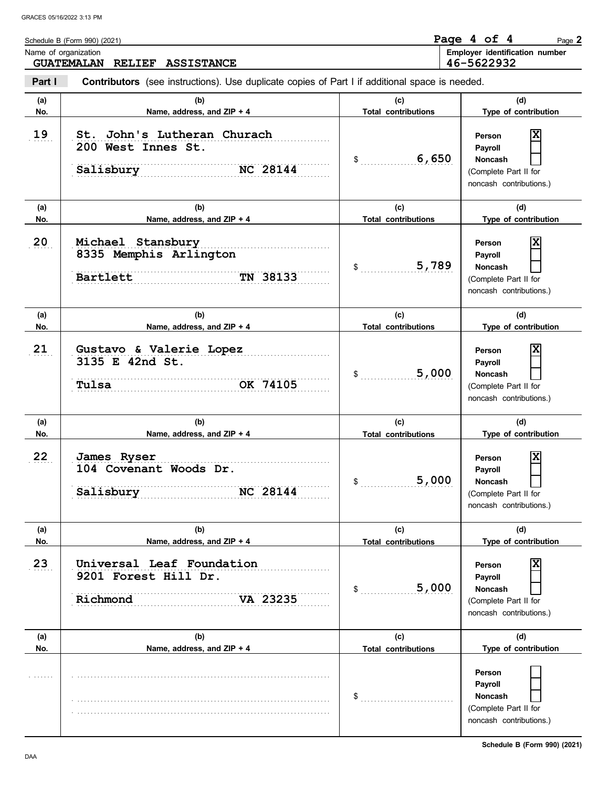|            | Name of organization<br><b>GUATEMALAN RELIEF</b><br><b>ASSISTANCE</b>                                 |                                   | Employer identification number<br>46-5622932                                                  |
|------------|-------------------------------------------------------------------------------------------------------|-----------------------------------|-----------------------------------------------------------------------------------------------|
| Part I     | <b>Contributors</b> (see instructions). Use duplicate copies of Part I if additional space is needed. |                                   |                                                                                               |
| (a)<br>No. | (b)<br>Name, address, and ZIP + 4                                                                     | (c)<br><b>Total contributions</b> | (d)<br>Type of contribution                                                                   |
| 19         | St. John's Lutheran Churach<br>200 West Innes St.<br>NC 28144<br>Salisbury                            | 6,650<br>$\mathsf{S}$             | X<br>Person<br>Payroll<br><b>Noncash</b><br>(Complete Part II for<br>noncash contributions.)  |
| (a)<br>No. | (b)<br>Name, address, and ZIP + 4                                                                     | (c)<br><b>Total contributions</b> | (d)<br>Type of contribution                                                                   |
| 20         | Michael Stansbury<br>8335 Memphis Arlington<br>TN 38133<br>Bartlett                                   | 5,789<br>$\mathsf{S}$             | X<br>Person<br>Payroll<br><b>Noncash</b><br>(Complete Part II for<br>noncash contributions.)  |
| (a)<br>No. | (b)<br>Name, address, and ZIP + 4                                                                     | (c)<br><b>Total contributions</b> | (d)<br>Type of contribution                                                                   |
| 21         | Gustavo & Valerie Lopez<br>3135 E 42nd St.<br>OK 74105<br>Tulsa                                       | 5,000<br>\$                       | X<br>Person<br>Payroll<br><b>Noncash</b><br>(Complete Part II for<br>noncash contributions.)  |
| (a)<br>No. | (b)<br>Name, address, and ZIP + 4                                                                     | (c)<br><b>Total contributions</b> | (d)<br>Type of contribution                                                                   |
| 22         | James Ryser<br>104 Covenant Woods Dr.<br>Salisbury<br><b>NC 28144</b>                                 | 5,000<br>\$                       | ΙX<br>Person<br><b>Pavroll</b><br>Noncash<br>(Complete Part II for<br>noncash contributions.) |
| (a)<br>No. | (b)<br>Name, address, and ZIP + 4                                                                     | (c)<br><b>Total contributions</b> | (d)<br>Type of contribution                                                                   |
| 23         | Universal Leaf Foundation<br>9201 Forest Hill Dr.<br>VA 23235<br>Richmond                             | 5,000<br>\$                       | х<br>Person<br>Payroll<br>Noncash<br>(Complete Part II for<br>noncash contributions.)         |
| (a)<br>No. | (b)<br>Name, address, and ZIP + 4                                                                     | (c)<br><b>Total contributions</b> | (d)<br>Type of contribution                                                                   |
|            |                                                                                                       | \$                                | Person<br>Payroll<br>Noncash<br>(Complete Part II for<br>noncash contributions.)              |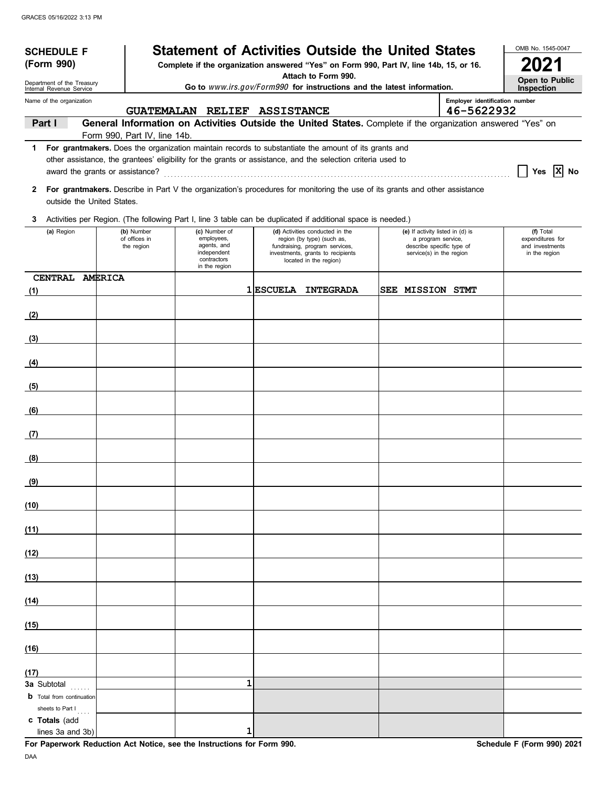| <b>SCHEDULE F</b>                                      |                                           |                                                                                           |                                                                                                                                                                | <b>Statement of Activities Outside the United States</b>                                                                    | OMB No. 1545-0047                                                 |
|--------------------------------------------------------|-------------------------------------------|-------------------------------------------------------------------------------------------|----------------------------------------------------------------------------------------------------------------------------------------------------------------|-----------------------------------------------------------------------------------------------------------------------------|-------------------------------------------------------------------|
| (Form 990)                                             |                                           |                                                                                           |                                                                                                                                                                | Complete if the organization answered "Yes" on Form 990, Part IV, line 14b, 15, or 16.                                      |                                                                   |
| Department of the Treasury<br>Internal Revenue Service |                                           |                                                                                           | Attach to Form 990.<br>Go to www.irs.gov/Form990 for instructions and the latest information.                                                                  |                                                                                                                             | Open to Public<br><b>Inspection</b>                               |
| Name of the organization                               |                                           |                                                                                           | GUATEMALAN RELIEF ASSISTANCE                                                                                                                                   | Employer identification number<br>46-5622932                                                                                |                                                                   |
| Part I                                                 |                                           |                                                                                           |                                                                                                                                                                | General Information on Activities Outside the United States. Complete if the organization answered "Yes" on                 |                                                                   |
|                                                        | Form 990, Part IV, line 14b.              |                                                                                           | 1 For grantmakers. Does the organization maintain records to substantiate the amount of its grants and                                                         |                                                                                                                             |                                                                   |
|                                                        |                                           |                                                                                           | other assistance, the grantees' eligibility for the grants or assistance, and the selection criteria used to                                                   |                                                                                                                             | $ X $ No<br><b>Yes</b>                                            |
| $\mathbf{2}$<br>outside the United States.             |                                           |                                                                                           |                                                                                                                                                                | For grantmakers. Describe in Part V the organization's procedures for monitoring the use of its grants and other assistance |                                                                   |
| 3                                                      |                                           |                                                                                           | Activities per Region. (The following Part I, line 3 table can be duplicated if additional space is needed.)                                                   |                                                                                                                             |                                                                   |
| (a) Region                                             | (b) Number<br>of offices in<br>the region | (c) Number of<br>employees,<br>agents, and<br>independent<br>contractors<br>in the region | (d) Activities conducted in the<br>region (by type) (such as,<br>fundraising, program services,<br>investments, grants to recipients<br>located in the region) | (e) If activity listed in (d) is<br>a program service,<br>describe specific type of<br>service(s) in the region             | (f) Total<br>expenditures for<br>and investments<br>in the region |
| CENTRAL AMERICA                                        |                                           |                                                                                           |                                                                                                                                                                |                                                                                                                             |                                                                   |
| (1)                                                    |                                           |                                                                                           | <b>INTEGRADA</b><br><b>1 ESCUELA</b>                                                                                                                           | SEE MISSION STMT                                                                                                            |                                                                   |
| (2)                                                    |                                           |                                                                                           |                                                                                                                                                                |                                                                                                                             |                                                                   |
| (3)                                                    |                                           |                                                                                           |                                                                                                                                                                |                                                                                                                             |                                                                   |
| (4)                                                    |                                           |                                                                                           |                                                                                                                                                                |                                                                                                                             |                                                                   |
| (5)                                                    |                                           |                                                                                           |                                                                                                                                                                |                                                                                                                             |                                                                   |
| (6)                                                    |                                           |                                                                                           |                                                                                                                                                                |                                                                                                                             |                                                                   |
| (7)                                                    |                                           |                                                                                           |                                                                                                                                                                |                                                                                                                             |                                                                   |
| (8)                                                    |                                           |                                                                                           |                                                                                                                                                                |                                                                                                                             |                                                                   |
| (9)                                                    |                                           |                                                                                           |                                                                                                                                                                |                                                                                                                             |                                                                   |
| (10)                                                   |                                           |                                                                                           |                                                                                                                                                                |                                                                                                                             |                                                                   |
| (11)                                                   |                                           |                                                                                           |                                                                                                                                                                |                                                                                                                             |                                                                   |
| (12)                                                   |                                           |                                                                                           |                                                                                                                                                                |                                                                                                                             |                                                                   |
| (13)                                                   |                                           |                                                                                           |                                                                                                                                                                |                                                                                                                             |                                                                   |
| (14)                                                   |                                           |                                                                                           |                                                                                                                                                                |                                                                                                                             |                                                                   |
| (15)                                                   |                                           |                                                                                           |                                                                                                                                                                |                                                                                                                             |                                                                   |
| (16)                                                   |                                           |                                                                                           |                                                                                                                                                                |                                                                                                                             |                                                                   |
| (17)                                                   |                                           |                                                                                           |                                                                                                                                                                |                                                                                                                             |                                                                   |
| 3a Subtotal                                            |                                           | 1                                                                                         |                                                                                                                                                                |                                                                                                                             |                                                                   |
| <b>b</b> Total from continuation<br>sheets to Part I   |                                           |                                                                                           |                                                                                                                                                                |                                                                                                                             |                                                                   |
| c Totals (add<br>lines 3a and 3b)                      |                                           | 1                                                                                         |                                                                                                                                                                |                                                                                                                             |                                                                   |

**For Paperwork Reduction Act Notice, see the Instructions for Form 990.** Schedule F (Form 990) 2021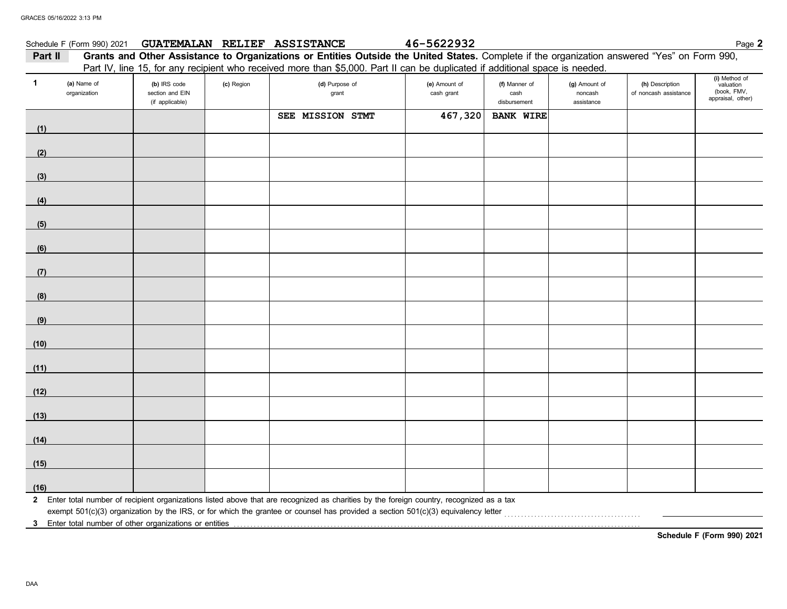#### Part II Grants and Other Assistance to Organizations or Entities Outside the United States. Complete if the organization answered "Yes" on Form 990, Schedule F (Form 990) 2021 Page **2 GUATEMALAN RELIEF ASSISTANCE 46-5622932** Part IV, line 15, for any recipient who received more than \$5,000. Part II can be duplicated if additional space is needed.

| $\mathbf{1}$ | (a) Name of<br>organization                                                                                                               | (b) IRS code<br>section and EIN<br>(if applicable) | (c) Region | (d) Purpose of<br>grant | (e) Amount of<br>cash grant | (f) Manner of<br>cash<br>disbursement | (g) Amount of<br>noncash<br>assistance | (h) Description<br>of noncash assistance | (i) Method of<br>valuation<br>(book, FMV,<br>appraisal, other) |  |
|--------------|-------------------------------------------------------------------------------------------------------------------------------------------|----------------------------------------------------|------------|-------------------------|-----------------------------|---------------------------------------|----------------------------------------|------------------------------------------|----------------------------------------------------------------|--|
| (1)          |                                                                                                                                           |                                                    |            | SEE MISSION STMT        | 467,320                     | <b>BANK WIRE</b>                      |                                        |                                          |                                                                |  |
| (2)          |                                                                                                                                           |                                                    |            |                         |                             |                                       |                                        |                                          |                                                                |  |
| (3)          |                                                                                                                                           |                                                    |            |                         |                             |                                       |                                        |                                          |                                                                |  |
| (4)          |                                                                                                                                           |                                                    |            |                         |                             |                                       |                                        |                                          |                                                                |  |
| (5)          |                                                                                                                                           |                                                    |            |                         |                             |                                       |                                        |                                          |                                                                |  |
| (6)          |                                                                                                                                           |                                                    |            |                         |                             |                                       |                                        |                                          |                                                                |  |
| (7)          |                                                                                                                                           |                                                    |            |                         |                             |                                       |                                        |                                          |                                                                |  |
| (8)          |                                                                                                                                           |                                                    |            |                         |                             |                                       |                                        |                                          |                                                                |  |
| (9)          |                                                                                                                                           |                                                    |            |                         |                             |                                       |                                        |                                          |                                                                |  |
| (10)         |                                                                                                                                           |                                                    |            |                         |                             |                                       |                                        |                                          |                                                                |  |
| (11)         |                                                                                                                                           |                                                    |            |                         |                             |                                       |                                        |                                          |                                                                |  |
| (12)         |                                                                                                                                           |                                                    |            |                         |                             |                                       |                                        |                                          |                                                                |  |
| (13)         |                                                                                                                                           |                                                    |            |                         |                             |                                       |                                        |                                          |                                                                |  |
| (14)         |                                                                                                                                           |                                                    |            |                         |                             |                                       |                                        |                                          |                                                                |  |
| (15)         |                                                                                                                                           |                                                    |            |                         |                             |                                       |                                        |                                          |                                                                |  |
| (16)         |                                                                                                                                           |                                                    |            |                         |                             |                                       |                                        |                                          |                                                                |  |
|              | 2 Enter total number of recipient organizations listed above that are recognized as charities by the foreign country, recognized as a tax |                                                    |            |                         |                             |                                       |                                        |                                          |                                                                |  |

Enter total number of recipient organizations listed above that are recognized as charities by the foreign country, recognized as a tax

exempt 501(c)(3) organization by the IRS, or for which the grantee or counsel has provided a section 501(c)(3) equivalency letter . . . . . . . . . . . . . . . . . . . . . . . . . . . . . . . . . . . . . . . . .

**3** Enter total number of other organizations or entities . . . . . . . . . . . . . . . . . . . . . . . . . . . . . . . . . . . . . . . . . . . . . . . . . . . . . . . . . . . . . . . . . . . . . . . . . . . . . . . . . . . . . . . . . . . . . . . . . . . . . . . . . . . . . . . . . . . . . . . . . .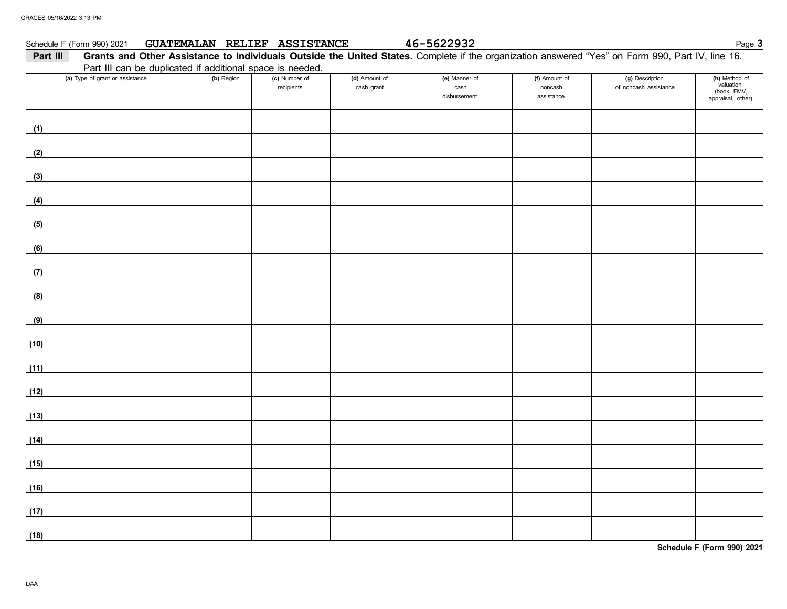### **GUATEMALAN RELIEF ASSISTANCE 46-5622932**

| Schedule F (Form 990) 2021                                                                                                                                   |            | GUATEMALAN RELIEF ASSISTANCE |                             | 46-5622932                            |                                        |                                          | Page 3                                                         |
|--------------------------------------------------------------------------------------------------------------------------------------------------------------|------------|------------------------------|-----------------------------|---------------------------------------|----------------------------------------|------------------------------------------|----------------------------------------------------------------|
| Grants and Other Assistance to Individuals Outside the United States. Complete if the organization answered "Yes" on Form 990, Part IV, line 16.<br>Part III |            |                              |                             |                                       |                                        |                                          |                                                                |
| Part III can be duplicated if additional space is needed.                                                                                                    |            |                              |                             |                                       |                                        |                                          |                                                                |
| (a) Type of grant or assistance                                                                                                                              | (b) Region | (c) Number of<br>recipients  | (d) Amount of<br>cash grant | (e) Manner of<br>cash<br>disbursement | (f) Amount of<br>noncash<br>assistance | (g) Description<br>of noncash assistance | (h) Method of<br>valuation<br>(book, FMV,<br>appraisal, other) |
| (1)                                                                                                                                                          |            |                              |                             |                                       |                                        |                                          |                                                                |
| (2)                                                                                                                                                          |            |                              |                             |                                       |                                        |                                          |                                                                |
| (3)                                                                                                                                                          |            |                              |                             |                                       |                                        |                                          |                                                                |
| (4)                                                                                                                                                          |            |                              |                             |                                       |                                        |                                          |                                                                |
| (5)                                                                                                                                                          |            |                              |                             |                                       |                                        |                                          |                                                                |
| (6)                                                                                                                                                          |            |                              |                             |                                       |                                        |                                          |                                                                |
| (7)                                                                                                                                                          |            |                              |                             |                                       |                                        |                                          |                                                                |
| (8)                                                                                                                                                          |            |                              |                             |                                       |                                        |                                          |                                                                |
| (9)                                                                                                                                                          |            |                              |                             |                                       |                                        |                                          |                                                                |
| (10)                                                                                                                                                         |            |                              |                             |                                       |                                        |                                          |                                                                |
| (11)                                                                                                                                                         |            |                              |                             |                                       |                                        |                                          |                                                                |
| (12)                                                                                                                                                         |            |                              |                             |                                       |                                        |                                          |                                                                |
| (13)                                                                                                                                                         |            |                              |                             |                                       |                                        |                                          |                                                                |
| (14)                                                                                                                                                         |            |                              |                             |                                       |                                        |                                          |                                                                |
| (15)                                                                                                                                                         |            |                              |                             |                                       |                                        |                                          |                                                                |
| (16)                                                                                                                                                         |            |                              |                             |                                       |                                        |                                          |                                                                |
| (17)                                                                                                                                                         |            |                              |                             |                                       |                                        |                                          |                                                                |

**Schedule F (Form 990) 2021**

**(18)**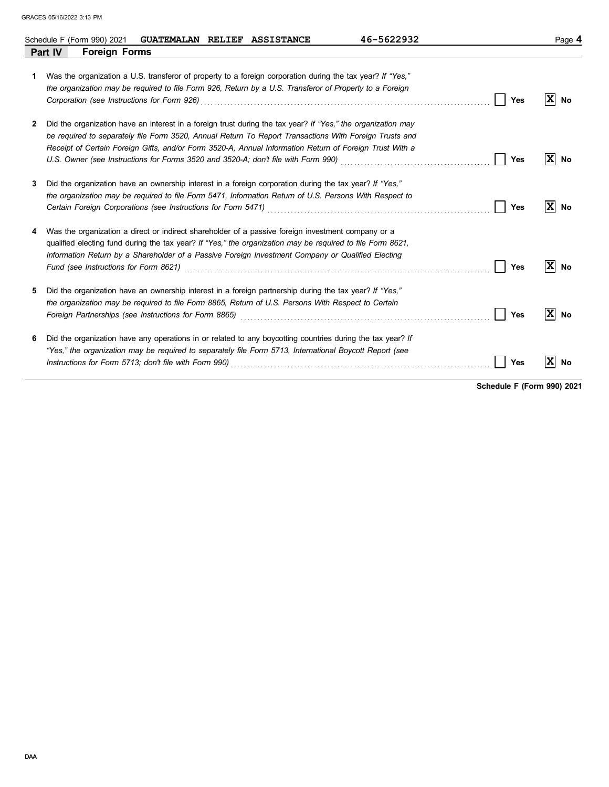GRACES 05/16/2022 3:13 PM

|    |         | Schedule F (Form 990) 2021 | GUATEMALAN RELIEF ASSISTANCE |                                                                                                    | 46-5622932                                                                                                                                                                                                                                                                                                                           |            | Page 4                        |
|----|---------|----------------------------|------------------------------|----------------------------------------------------------------------------------------------------|--------------------------------------------------------------------------------------------------------------------------------------------------------------------------------------------------------------------------------------------------------------------------------------------------------------------------------------|------------|-------------------------------|
|    | Part IV | <b>Foreign Forms</b>       |                              |                                                                                                    |                                                                                                                                                                                                                                                                                                                                      |            |                               |
| 1. |         |                            |                              |                                                                                                    | Was the organization a U.S. transferor of property to a foreign corporation during the tax year? If "Yes,"<br>the organization may be required to file Form 926, Return by a U.S. Transferor of Property to a Foreign<br>Corporation (see Instructions for Form 926) Material Corporation Corporation (see Instructions of Form 926) | <b>Yes</b> | X<br>No                       |
| 2  |         |                            |                              |                                                                                                    | Did the organization have an interest in a foreign trust during the tax year? If "Yes," the organization may<br>be required to separately file Form 3520, Annual Return To Report Transactions With Foreign Trusts and<br>Receipt of Certain Foreign Gifts, and/or Form 3520-A, Annual Information Return of Foreign Trust With a    | Yes        | X<br>No                       |
| 3  |         |                            |                              |                                                                                                    | Did the organization have an ownership interest in a foreign corporation during the tax year? If "Yes,"<br>the organization may be required to file Form 5471, Information Return of U.S. Persons With Respect to<br>Certain Foreign Corporations (see Instructions for Form 5471) [2010] [2010] [2010] [2010] [2010] [2010] [2010   | <b>Yes</b> | IХ<br>No                      |
| 4  |         |                            |                              | Was the organization a direct or indirect shareholder of a passive foreign investment company or a | qualified electing fund during the tax year? If "Yes," the organization may be required to file Form 8621,<br>Information Return by a Shareholder of a Passive Foreign Investment Company or Qualified Electing                                                                                                                      | <b>Yes</b> | X<br>No                       |
| 5. |         |                            |                              |                                                                                                    | Did the organization have an ownership interest in a foreign partnership during the tax year? If "Yes,"<br>the organization may be required to file Form 8865, Return of U.S. Persons With Respect to Certain                                                                                                                        | Yes        | $\overline{\mathbf{x}}$<br>No |
| 6. |         |                            |                              |                                                                                                    | Did the organization have any operations in or related to any boycotting countries during the tax year? If<br>"Yes," the organization may be required to separately file Form 5713, International Boycott Report (see                                                                                                                | Yes        | X<br>No                       |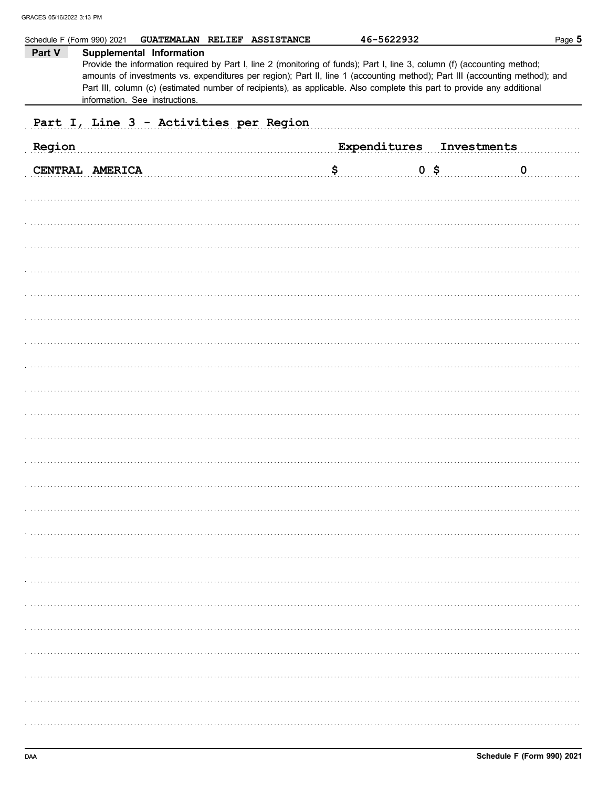GRACES 05/16/2022 3:13 PM

|        | Schedule F (Form 990) 2021<br>GUATEMALAN RELIEF ASSISTANCE                                                                                                                                                                                                                                                                                                                                                                                       |            | 46-5622932                  | Page 5         |
|--------|--------------------------------------------------------------------------------------------------------------------------------------------------------------------------------------------------------------------------------------------------------------------------------------------------------------------------------------------------------------------------------------------------------------------------------------------------|------------|-----------------------------|----------------|
| Part V | Supplemental Information<br>Provide the information required by Part I, line 2 (monitoring of funds); Part I, line 3, column (f) (accounting method;<br>amounts of investments vs. expenditures per region); Part II, line 1 (accounting method); Part III (accounting method); and<br>Part III, column (c) (estimated number of recipients), as applicable. Also complete this part to provide any additional<br>information. See instructions. |            |                             |                |
|        | Part I, Line 3 - Activities per Region                                                                                                                                                                                                                                                                                                                                                                                                           |            |                             |                |
| Region |                                                                                                                                                                                                                                                                                                                                                                                                                                                  |            | Expenditures<br>Investments |                |
|        | CENTRAL AMERICA                                                                                                                                                                                                                                                                                                                                                                                                                                  | <u>.\$</u> | 0,5                         | $\overline{0}$ |
|        |                                                                                                                                                                                                                                                                                                                                                                                                                                                  |            |                             |                |
|        |                                                                                                                                                                                                                                                                                                                                                                                                                                                  |            |                             |                |
|        |                                                                                                                                                                                                                                                                                                                                                                                                                                                  |            |                             |                |
|        |                                                                                                                                                                                                                                                                                                                                                                                                                                                  |            |                             |                |
|        |                                                                                                                                                                                                                                                                                                                                                                                                                                                  |            |                             |                |
|        |                                                                                                                                                                                                                                                                                                                                                                                                                                                  |            |                             |                |
|        |                                                                                                                                                                                                                                                                                                                                                                                                                                                  |            |                             |                |
|        |                                                                                                                                                                                                                                                                                                                                                                                                                                                  |            |                             |                |
|        |                                                                                                                                                                                                                                                                                                                                                                                                                                                  |            |                             |                |
|        |                                                                                                                                                                                                                                                                                                                                                                                                                                                  |            |                             |                |
|        |                                                                                                                                                                                                                                                                                                                                                                                                                                                  |            |                             |                |
|        |                                                                                                                                                                                                                                                                                                                                                                                                                                                  |            |                             |                |
|        |                                                                                                                                                                                                                                                                                                                                                                                                                                                  |            |                             |                |
|        |                                                                                                                                                                                                                                                                                                                                                                                                                                                  |            |                             |                |
|        |                                                                                                                                                                                                                                                                                                                                                                                                                                                  |            |                             |                |
|        |                                                                                                                                                                                                                                                                                                                                                                                                                                                  |            |                             |                |
|        |                                                                                                                                                                                                                                                                                                                                                                                                                                                  |            |                             |                |
|        |                                                                                                                                                                                                                                                                                                                                                                                                                                                  |            |                             |                |
|        |                                                                                                                                                                                                                                                                                                                                                                                                                                                  |            |                             |                |
|        |                                                                                                                                                                                                                                                                                                                                                                                                                                                  |            |                             |                |
|        |                                                                                                                                                                                                                                                                                                                                                                                                                                                  |            |                             |                |
|        |                                                                                                                                                                                                                                                                                                                                                                                                                                                  |            |                             |                |
|        |                                                                                                                                                                                                                                                                                                                                                                                                                                                  |            |                             |                |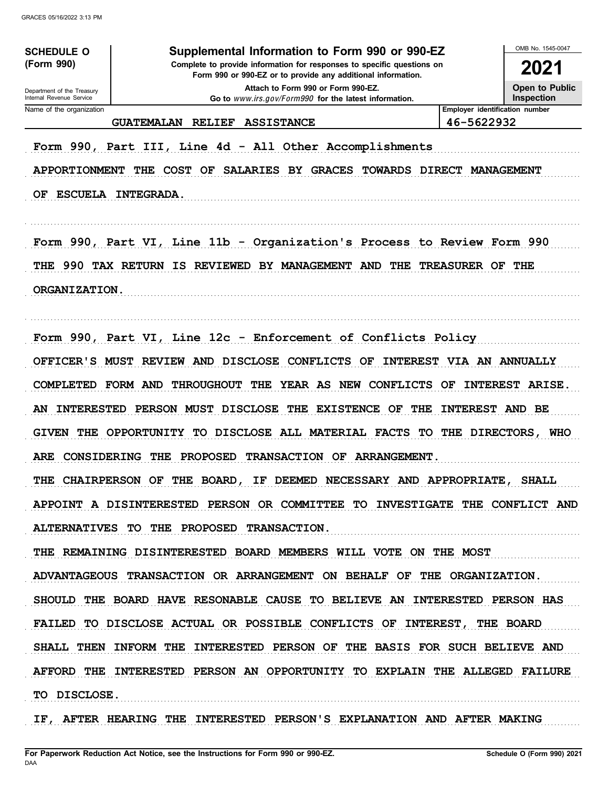| OMB No. 1545-0047<br>Supplemental Information to Form 990 or 990-EZ<br><b>SCHEDULE O</b><br>(Form 990)<br>Complete to provide information for responses to specific questions on<br>2021 |                                                                                                                             |                                                     |  |  |  |  |
|------------------------------------------------------------------------------------------------------------------------------------------------------------------------------------------|-----------------------------------------------------------------------------------------------------------------------------|-----------------------------------------------------|--|--|--|--|
| Department of the Treasury                                                                                                                                                               | Form 990 or 990-EZ or to provide any additional information.<br><b>Open to Public</b><br>Attach to Form 990 or Form 990-EZ. |                                                     |  |  |  |  |
| Internal Revenue Service<br>Name of the organization                                                                                                                                     | Go to www.irs.gov/Form990 for the latest information.                                                                       | <b>Inspection</b><br>Employer identification number |  |  |  |  |
|                                                                                                                                                                                          | <b>GUATEMALAN RELIEF</b><br><b>ASSISTANCE</b>                                                                               | 46-5622932                                          |  |  |  |  |
|                                                                                                                                                                                          | Form 990, Part III, Line 4d - All Other Accomplishments                                                                     |                                                     |  |  |  |  |
|                                                                                                                                                                                          | APPORTIONMENT THE COST OF SALARIES BY GRACES TOWARDS DIRECT MANAGEMENT                                                      |                                                     |  |  |  |  |
| OF.                                                                                                                                                                                      | <b>ESCUELA INTEGRADA.</b>                                                                                                   |                                                     |  |  |  |  |
|                                                                                                                                                                                          |                                                                                                                             |                                                     |  |  |  |  |
|                                                                                                                                                                                          | Form 990, Part VI, Line 11b - Organization's Process to Review Form 990                                                     |                                                     |  |  |  |  |
|                                                                                                                                                                                          | THE 990 TAX RETURN IS REVIEWED BY MANAGEMENT AND THE TREASURER OF THE                                                       |                                                     |  |  |  |  |
| <b>ORGANIZATION.</b>                                                                                                                                                                     |                                                                                                                             |                                                     |  |  |  |  |
|                                                                                                                                                                                          |                                                                                                                             |                                                     |  |  |  |  |
|                                                                                                                                                                                          | Form 990, Part VI, Line 12c - Enforcement of Conflicts Policy                                                               |                                                     |  |  |  |  |
|                                                                                                                                                                                          | OFFICER'S MUST REVIEW AND DISCLOSE CONFLICTS OF INTEREST VIA AN ANNUALLY                                                    |                                                     |  |  |  |  |
|                                                                                                                                                                                          | COMPLETED FORM AND THROUGHOUT THE YEAR AS NEW CONFLICTS                                                                     | OF INTEREST ARISE.                                  |  |  |  |  |
| INTERESTED<br>AN                                                                                                                                                                         | PERSON MUST DISCLOSE THE EXISTENCE OF<br>THE                                                                                | <b>INTEREST AND BE</b>                              |  |  |  |  |
| <b>GIVEN</b>                                                                                                                                                                             | THE OPPORTUNITY TO DISCLOSE ALL MATERIAL FACTS TO THE DIRECTORS, WHO                                                        |                                                     |  |  |  |  |
| ARE CONSIDERING THE                                                                                                                                                                      | PROPOSED<br>TRANSACTION OF ARRANGEMENT.                                                                                     |                                                     |  |  |  |  |
|                                                                                                                                                                                          | THE CHAIRPERSON OF THE BOARD, IF DEEMED NECESSARY AND APPROPRIATE,                                                          | <b>SHALL</b>                                        |  |  |  |  |
|                                                                                                                                                                                          | APPOINT A DISINTERESTED PERSON OR COMMITTEE TO INVESTIGATE THE CONFLICT AND                                                 |                                                     |  |  |  |  |
|                                                                                                                                                                                          | ALTERNATIVES TO THE PROPOSED TRANSACTION.                                                                                   |                                                     |  |  |  |  |
|                                                                                                                                                                                          | THE REMAINING DISINTERESTED BOARD MEMBERS WILL VOTE ON THE MOST                                                             |                                                     |  |  |  |  |
|                                                                                                                                                                                          | ADVANTAGEOUS TRANSACTION OR ARRANGEMENT ON BEHALF OF THE ORGANIZATION.                                                      |                                                     |  |  |  |  |
|                                                                                                                                                                                          | SHOULD THE BOARD HAVE RESONABLE CAUSE TO BELIEVE AN INTERESTED PERSON HAS                                                   |                                                     |  |  |  |  |
|                                                                                                                                                                                          | FAILED TO DISCLOSE ACTUAL OR POSSIBLE CONFLICTS OF INTEREST, THE BOARD                                                      |                                                     |  |  |  |  |
|                                                                                                                                                                                          | SHALL THEN INFORM THE INTERESTED PERSON OF THE BASIS FOR SUCH BELIEVE AND                                                   |                                                     |  |  |  |  |
| AFFORD THE INTERESTED PERSON AN OPPORTUNITY TO EXPLAIN THE ALLEGED FAILURE                                                                                                               |                                                                                                                             |                                                     |  |  |  |  |
| TO DISCLOSE.                                                                                                                                                                             |                                                                                                                             |                                                     |  |  |  |  |
|                                                                                                                                                                                          | IF, AFTER HEARING THE INTERESTED PERSON'S EXPLANATION AND AFTER MAKING                                                      |                                                     |  |  |  |  |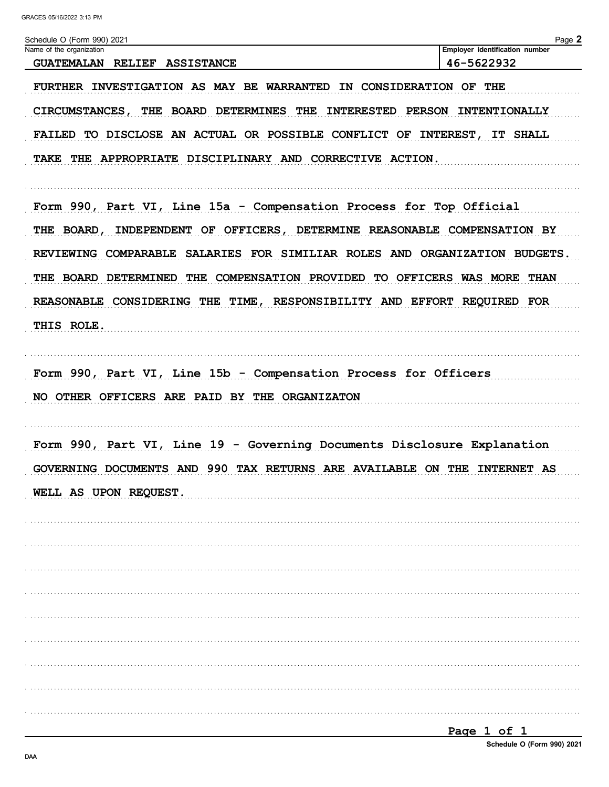| Schedule O (Form 990) 2021                                                 | Page 2                                       |
|----------------------------------------------------------------------------|----------------------------------------------|
| Name of the organization<br>GUATEMALAN RELIEF ASSISTANCE                   | Employer identification number<br>46-5622932 |
|                                                                            |                                              |
| FURTHER INVESTIGATION AS MAY BE WARRANTED IN CONSIDERATION OF THE          |                                              |
| CIRCUMSTANCES, THE BOARD DETERMINES THE INTERESTED PERSON INTENTIONALLY    |                                              |
| FAILED TO DISCLOSE AN ACTUAL OR POSSIBLE CONFLICT OF INTEREST, IT SHALL    |                                              |
| TAKE THE APPROPRIATE DISCIPLINARY AND CORRECTIVE ACTION.                   |                                              |
| Form 990, Part VI, Line 15a - Compensation Process for Top Official        |                                              |
| THE BOARD, INDEPENDENT OF OFFICERS, DETERMINE REASONABLE COMPENSATION BY   |                                              |
| REVIEWING COMPARABLE SALARIES FOR SIMILIAR ROLES AND ORGANIZATION BUDGETS. |                                              |
| THE BOARD DETERMINED THE COMPENSATION PROVIDED TO OFFICERS WAS MORE THAN   |                                              |
| REASONABLE CONSIDERING THE TIME, RESPONSIBILITY AND EFFORT REQUIRED FOR    |                                              |
| THIS ROLE.                                                                 |                                              |
|                                                                            |                                              |
| Form 990, Part VI, Line 15b - Compensation Process for Officers            |                                              |
| NO OTHER OFFICERS ARE PAID BY THE ORGANIZATON                              |                                              |
|                                                                            |                                              |
| Form 990, Part VI, Line 19 - Governing Documents Disclosure Explanation    |                                              |
| GOVERNING DOCUMENTS AND 990 TAX RETURNS ARE AVAILABLE ON THE INTERNET AS   |                                              |
| WELL AS UPON REQUEST.                                                      |                                              |
|                                                                            |                                              |
|                                                                            |                                              |
|                                                                            |                                              |
|                                                                            |                                              |
|                                                                            |                                              |
|                                                                            |                                              |
|                                                                            |                                              |
|                                                                            |                                              |
|                                                                            |                                              |
|                                                                            |                                              |
|                                                                            |                                              |
|                                                                            | Page 1 of 1                                  |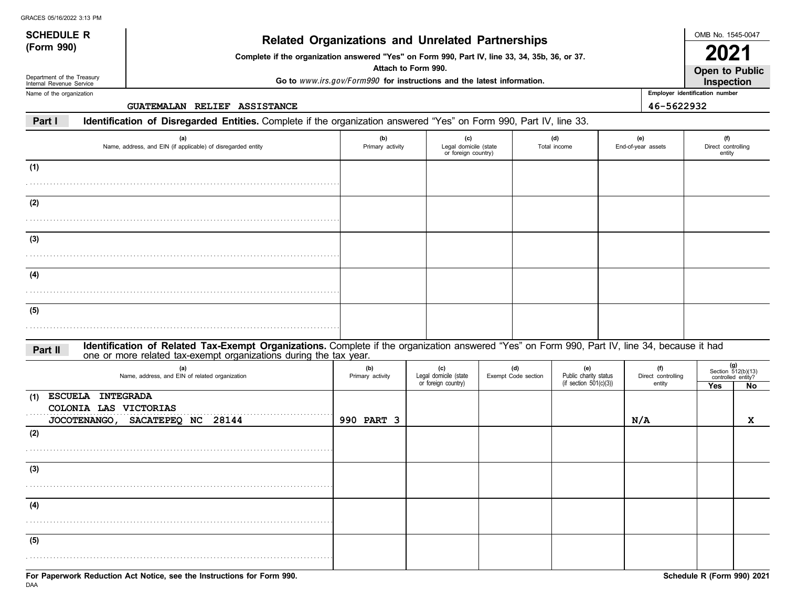# **(Form 990) Related Organizations and Unrelated Partnerships**

 **Complete if the organization answered "Yes" on Form 990, Part IV, line 33, 34, 35b, 36, or 37.**

 **Attach to Form 990.**

 **Go to** www.irs.gov/Form990 **for instructions and the latest information.**

Department of the Treasury Internal Revenue Service Name of the organization

**GUATEMALAN RELIEF ASSISTANCE 46-5622932**

**Part I Identification of Disregarded Entities.** Complete if the organization answered "Yes" on Form 990, Part IV, line 33. . . . . . . . . . . . . . . . . . . . . . . . . . . . . . . . . . . . . . . . . . . . . . . . . . . . . . . . . . . . . . . . . . . . . . . . . . . . . . . . . . . . . . . . . . . . . . . . . . . . . . . . . . . . . . . . . . . . . . . . . . . . . . . . . . . . . . . . . . . . . . . . . . . . . . . . . . . . . . . . . . . . . . . . . . . . . . . . . . . . . . . . . . . . . . . . . . . . . . . . . . . . . . . . . . . . . . . . . . . . . . . . . . . . . . . . . . . . . . . . . . . . . . . . . . . . . . . . . . . . . . . . . . . . . . . . . . . . . . . . . . . . . . . . . . . . . . . . . . . . . . . . . . . . . . . . . . . . . . . . . . . . . . . . . . . . . . . . . . . . . . . . . . . . . . . . . . . . . . . . . . . . . . . . . . . . . . . . . **(f)** Direct controlling entity End-of-year assets **(d) (e)** Total income or foreign country) Legal domicile (state **(b) (c)** Name, address, and EIN (if applicable) of disregarded entity **Primary activity** Primary activity **(a) (1) (2) (3) (4)**

| (5)                                                                                                                                    |  |  |  |
|----------------------------------------------------------------------------------------------------------------------------------------|--|--|--|
|                                                                                                                                        |  |  |  |
|                                                                                                                                        |  |  |  |
|                                                                                                                                        |  |  |  |
| Identification of Polated Tax Exempt Organizations, Complete if the erganization answered "Ves" on Eerm 000, Part IV, Jine 34, because |  |  |  |

**Part II Identification of Related Tax-Exempt Organizations.** Complete if the organization answered "Yes" on Form 990, Part IV, line 34, because it had one or more related tax-exempt organizations during the tax year.

| (a)<br>Name, address, and EIN of related organization    | (b)<br>Primary activity | (c)<br>Legal domicile (state<br>or foreign country) | (d)<br>Exempt Code section | (e)<br>Public charity status<br>(if section 501(c)(3)) | (f)<br>Direct controlling<br>entity | Section 512(b)(13)<br>controlled entity? |    |
|----------------------------------------------------------|-------------------------|-----------------------------------------------------|----------------------------|--------------------------------------------------------|-------------------------------------|------------------------------------------|----|
| <b>ESCUELA INTEGRADA</b><br>(1)<br>COLONIA LAS VICTORIAS |                         |                                                     |                            |                                                        |                                     | <b>Yes</b>                               | No |
| .<br>.<br>JOCOTENANGO, SACATEPEQ NC 28144                | 990 PART 3              |                                                     |                            |                                                        | N/A                                 |                                          | x  |
| (2)                                                      |                         |                                                     |                            |                                                        |                                     |                                          |    |
|                                                          |                         |                                                     |                            |                                                        |                                     |                                          |    |
| (3)                                                      |                         |                                                     |                            |                                                        |                                     |                                          |    |
|                                                          |                         |                                                     |                            |                                                        |                                     |                                          |    |
| (4)                                                      |                         |                                                     |                            |                                                        |                                     |                                          |    |
|                                                          |                         |                                                     |                            |                                                        |                                     |                                          |    |
| (5)                                                      |                         |                                                     |                            |                                                        |                                     |                                          |    |
|                                                          |                         |                                                     |                            |                                                        |                                     |                                          |    |



**Open to Public 2021 Inspection**

**Employer identification number**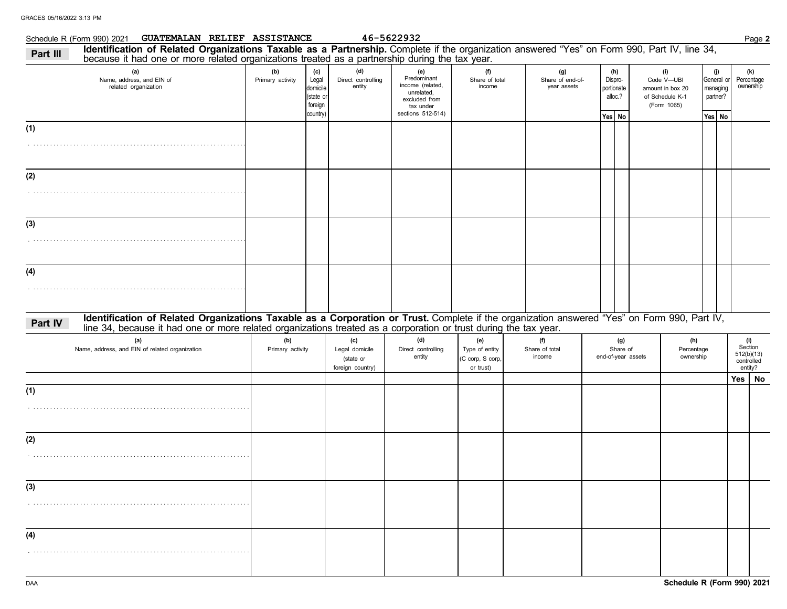|          | GUATEMALAN RELIEF ASSISTANCE<br>Schedule R (Form 990) 2021                                                                                                                                                                                                       |                         |                                                              |                                                        | 46-5622932                                                                                              |                                                        |                                        |                                                   |                                       |                                                                         |                                                       | Page 2                                                |
|----------|------------------------------------------------------------------------------------------------------------------------------------------------------------------------------------------------------------------------------------------------------------------|-------------------------|--------------------------------------------------------------|--------------------------------------------------------|---------------------------------------------------------------------------------------------------------|--------------------------------------------------------|----------------------------------------|---------------------------------------------------|---------------------------------------|-------------------------------------------------------------------------|-------------------------------------------------------|-------------------------------------------------------|
| Part III | Identification of Related Organizations Taxable as a Partnership. Complete if the organization answered "Yes" on Form 990, Part IV, line 34, because it had one or more related organizations treated as a partnership during                                    |                         |                                                              |                                                        |                                                                                                         |                                                        |                                        |                                                   |                                       |                                                                         |                                                       |                                                       |
|          | (a)<br>Name, address, and EIN of<br>related organization                                                                                                                                                                                                         | (b)<br>Primary activity | (c)<br>Legal<br>domicile<br>(state or<br>foreign<br>country) | (d)<br>Direct controlling<br>entity                    | (e)<br>Predominant<br>income (related,<br>unrelated,<br>excluded from<br>tax under<br>sections 512-514) | (f)<br>Share of total<br>income                        | (g)<br>Share of end-of-<br>year assets | (h)<br>Dispro-<br>portionate<br>alloc.?<br>Yes No |                                       | (i)<br>Code V-UBI<br>amount in box 20<br>of Schedule K-1<br>(Form 1065) | (j)<br>General or<br>managing<br>partner?<br>Yes   No | (k)<br>Percentage<br>ownership                        |
| (1)      |                                                                                                                                                                                                                                                                  |                         |                                                              |                                                        |                                                                                                         |                                                        |                                        |                                                   |                                       |                                                                         |                                                       |                                                       |
| (2)      |                                                                                                                                                                                                                                                                  |                         |                                                              |                                                        |                                                                                                         |                                                        |                                        |                                                   |                                       |                                                                         |                                                       |                                                       |
| (3)      |                                                                                                                                                                                                                                                                  |                         |                                                              |                                                        |                                                                                                         |                                                        |                                        |                                                   |                                       |                                                                         |                                                       |                                                       |
| (4)      |                                                                                                                                                                                                                                                                  |                         |                                                              |                                                        |                                                                                                         |                                                        |                                        |                                                   |                                       |                                                                         |                                                       |                                                       |
| Part IV  | Identification of Related Organizations Taxable as a Corporation or Trust. Complete if the organization answered "Yes" on Form 990, Part IV,<br>line 34, because it had one or more related organizations treated as a corporation or trust during the tax year. |                         |                                                              |                                                        |                                                                                                         |                                                        |                                        |                                                   |                                       |                                                                         |                                                       |                                                       |
|          | (a)<br>Name, address, and EIN of related organization                                                                                                                                                                                                            | (b)<br>Primary activity |                                                              | (c)<br>Legal domicile<br>(state or<br>foreign country) | (d)<br>Direct controlling<br>entity                                                                     | (e)<br>Type of entity<br>(C corp, S corp,<br>or trust) | (f)<br>Share of total<br>income        |                                                   | (g)<br>Share of<br>end-of-year assets | (h)<br>Percentage<br>ownership                                          |                                                       | (i)<br>Section<br>512(b)(13)<br>controlled<br>entity? |
| (1)      |                                                                                                                                                                                                                                                                  |                         |                                                              |                                                        |                                                                                                         |                                                        |                                        |                                                   |                                       |                                                                         |                                                       | Yes $ $ No                                            |
|          |                                                                                                                                                                                                                                                                  |                         |                                                              |                                                        |                                                                                                         |                                                        |                                        |                                                   |                                       |                                                                         |                                                       |                                                       |
| (2)      |                                                                                                                                                                                                                                                                  |                         |                                                              |                                                        |                                                                                                         |                                                        |                                        |                                                   |                                       |                                                                         |                                                       |                                                       |
| (3)      |                                                                                                                                                                                                                                                                  |                         |                                                              |                                                        |                                                                                                         |                                                        |                                        |                                                   |                                       |                                                                         |                                                       |                                                       |
| (4)      |                                                                                                                                                                                                                                                                  |                         |                                                              |                                                        |                                                                                                         |                                                        |                                        |                                                   |                                       |                                                                         |                                                       |                                                       |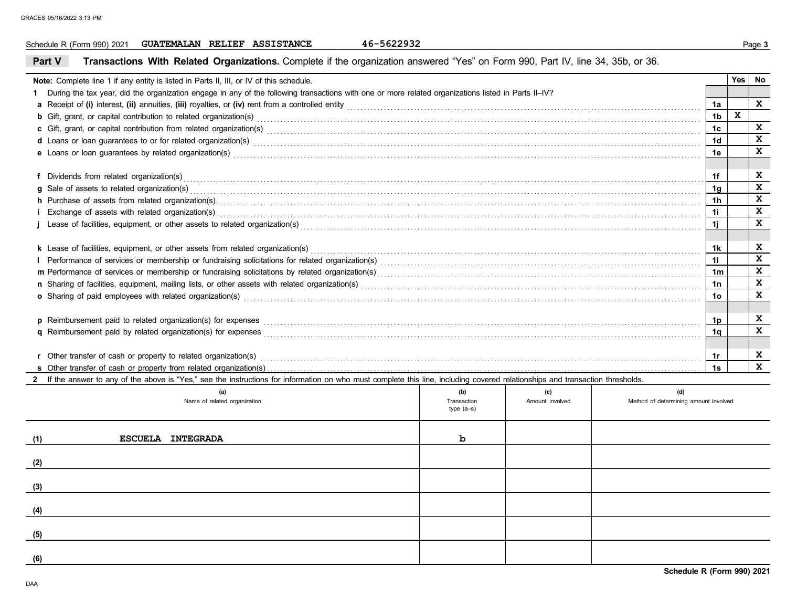#### Schedule R (Form 990) 2021 Page **3 GUATEMALAN RELIEF ASSISTANCE 46-5622932**

| Transactions With Related Organizations. Complete if the organization answered "Yes" on Form 990, Part IV, line 34, 35b, or 36.<br>Part V                                                                                                        |             |  |                |              |              |  |  |  |  |
|--------------------------------------------------------------------------------------------------------------------------------------------------------------------------------------------------------------------------------------------------|-------------|--|----------------|--------------|--------------|--|--|--|--|
| Note: Complete line 1 if any entity is listed in Parts II, III, or IV of this schedule.                                                                                                                                                          |             |  |                |              | No<br>Yes    |  |  |  |  |
| During the tax year, did the organization engage in any of the following transactions with one or more related organizations listed in Parts II-IV?                                                                                              |             |  |                |              |              |  |  |  |  |
|                                                                                                                                                                                                                                                  |             |  | 1a             |              | $\mathbf{x}$ |  |  |  |  |
| b Gift, grant, or capital contribution to related organization(s) encourance contained and contained and contribution to related organization(s) encourance and contained and contribution to related organization(s) encouran                   |             |  | 1 <sub>b</sub> | $\mathbf{x}$ |              |  |  |  |  |
|                                                                                                                                                                                                                                                  |             |  | 1c             |              | $\mathbf{x}$ |  |  |  |  |
| d Loans or loan guarantees to or for related organization(s) encourance contained and contained a contained and contained a contained a contained and contained a contact or for related organization(s) encourance and contac<br>1 <sub>d</sub> |             |  |                |              |              |  |  |  |  |
| 1e                                                                                                                                                                                                                                               |             |  |                |              |              |  |  |  |  |
|                                                                                                                                                                                                                                                  |             |  |                |              |              |  |  |  |  |
| Dividends from related organization(s) encourance contains an according to the container and according to the container and according to the container and the container and the container and the container and the container                   |             |  | 1f             |              | x            |  |  |  |  |
| g Sale of assets to related organization(s)                                                                                                                                                                                                      |             |  | 1g             |              | $\mathbf{x}$ |  |  |  |  |
| h Purchase of assets from related organization(s) encourance contains and contains a container and contains a container and container and container and container and container and container and container and container and                    |             |  |                |              |              |  |  |  |  |
| Exchange of assets with related organization(s) exchange the control of the control of the control of assets with related organization(s)                                                                                                        |             |  |                |              |              |  |  |  |  |
| Lease of facilities, equipment, or other assets to related organization(s) enconverse contained and contained and contained and contained and can be a set of facilities, equipment, or other assets to related organization(s                   |             |  |                |              |              |  |  |  |  |
|                                                                                                                                                                                                                                                  |             |  |                |              |              |  |  |  |  |
| k Lease of facilities, equipment, or other assets from related organization(s)                                                                                                                                                                   |             |  | 1k             |              | X            |  |  |  |  |
|                                                                                                                                                                                                                                                  |             |  | 11             |              | $\mathbf{x}$ |  |  |  |  |
| m Performance of services or membership or fundraising solicitations by related organization(s) [11] mechanical material material material material material material material material material material material material ma                   |             |  | 1m             |              | $\mathbf{x}$ |  |  |  |  |
|                                                                                                                                                                                                                                                  |             |  | 1n             |              | $\mathbf{x}$ |  |  |  |  |
| o Sharing of paid employees with related organization(s) encourance contains an array contained and starting of paid employees with related organization(s) encourance contains and array contained and starting of paid emplo                   |             |  | 1o             |              | $\mathbf{x}$ |  |  |  |  |
|                                                                                                                                                                                                                                                  |             |  |                |              |              |  |  |  |  |
|                                                                                                                                                                                                                                                  |             |  | 1p             |              | x            |  |  |  |  |
|                                                                                                                                                                                                                                                  |             |  | 1q             |              | $\mathbf{x}$ |  |  |  |  |
|                                                                                                                                                                                                                                                  |             |  |                |              |              |  |  |  |  |
|                                                                                                                                                                                                                                                  |             |  |                |              |              |  |  |  |  |
|                                                                                                                                                                                                                                                  |             |  |                |              |              |  |  |  |  |
| 2 If the answer to any of the above is "Yes," see the instructions for information on who must complete this line, including covered relationships and transaction thresholds.                                                                   |             |  |                |              |              |  |  |  |  |
| (a)                                                                                                                                                                                                                                              | $(h)$ $(c)$ |  | (d)            |              |              |  |  |  |  |

|     | (a)<br>Name of related organization | (b)<br>Transaction<br>type (a-s) | (c)<br>Amount involved | (d)<br>Method of determining amount involved |
|-----|-------------------------------------|----------------------------------|------------------------|----------------------------------------------|
| (1) | ESCUELA INTEGRADA                   | b                                |                        |                                              |
| (2) |                                     |                                  |                        |                                              |
| (3) |                                     |                                  |                        |                                              |
| (4) |                                     |                                  |                        |                                              |
| (5) |                                     |                                  |                        |                                              |
| (6) |                                     |                                  |                        |                                              |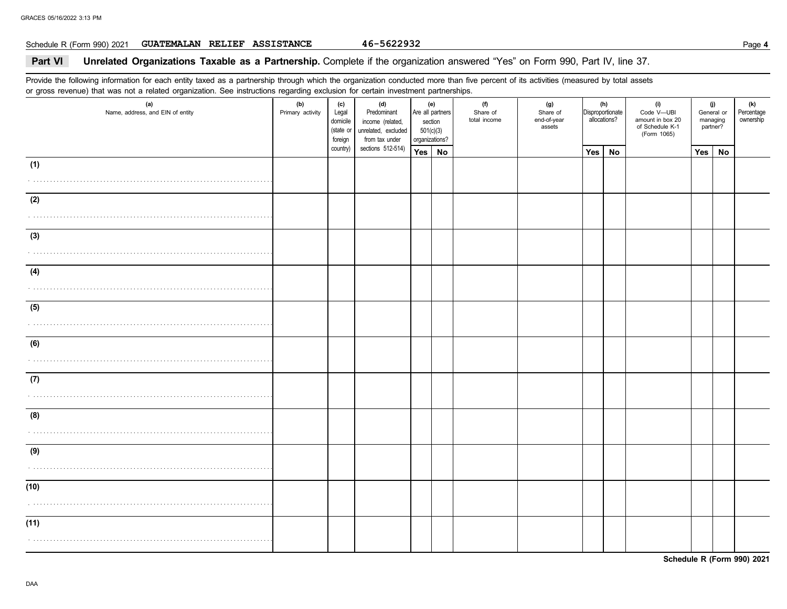#### Schedule R (Form 990) 2021 Page **4 GUATEMALAN RELIEF ASSISTANCE 46-5622932**

#### Part VI **Unrelated Organizations Taxable as a Partnership.** Complete if the organization answered "Yes" on Form 990, Part IV, line 37.

Provide the following information for each entity taxed as a partnership through which the organization conducted more than five percent of its activities (measured by total assets or gross revenue) that was not a related organization. See instructions regarding exclusion for certain investment partnerships.

| $\sim$<br>(a)<br>Name, address, and EIN of entity                                                                                                                                                                                 | ັ<br>(b)<br>Primary activity |          | (c)<br>(d)<br>Predominant<br>Legal<br>domicile<br>income (related,<br>unrelated, excluded<br>(state or<br>foreign<br>from tax under |        | (e)<br>Are all partners<br>section<br>501(c)(3)<br>organizations? | (f)<br>Share of<br>total income | (g)<br>Share of<br>end-of-year<br>assets | (h)<br>Disproportionate<br>allocations? |    | (i)<br>Code V-UBI<br>amount in box 20<br>of Schedule K-1<br>(Form 1065) | (j)<br>General or<br>managing<br>partner? |    | (k)<br>Percentage<br>ownership |
|-----------------------------------------------------------------------------------------------------------------------------------------------------------------------------------------------------------------------------------|------------------------------|----------|-------------------------------------------------------------------------------------------------------------------------------------|--------|-------------------------------------------------------------------|---------------------------------|------------------------------------------|-----------------------------------------|----|-------------------------------------------------------------------------|-------------------------------------------|----|--------------------------------|
|                                                                                                                                                                                                                                   |                              | country) | sections 512-514)                                                                                                                   | Yes No |                                                                   |                                 |                                          | Yes                                     | No |                                                                         | Yes                                       | No |                                |
| (1)                                                                                                                                                                                                                               |                              |          |                                                                                                                                     |        |                                                                   |                                 |                                          |                                         |    |                                                                         |                                           |    |                                |
| $\alpha$ . In the second second second second second second second second second second second second second second second second second second second second second second second second second second second second second seco |                              |          |                                                                                                                                     |        |                                                                   |                                 |                                          |                                         |    |                                                                         |                                           |    |                                |
| (2)                                                                                                                                                                                                                               |                              |          |                                                                                                                                     |        |                                                                   |                                 |                                          |                                         |    |                                                                         |                                           |    |                                |
|                                                                                                                                                                                                                                   |                              |          |                                                                                                                                     |        |                                                                   |                                 |                                          |                                         |    |                                                                         |                                           |    |                                |
| (3)                                                                                                                                                                                                                               |                              |          |                                                                                                                                     |        |                                                                   |                                 |                                          |                                         |    |                                                                         |                                           |    |                                |
|                                                                                                                                                                                                                                   |                              |          |                                                                                                                                     |        |                                                                   |                                 |                                          |                                         |    |                                                                         |                                           |    |                                |
| (4)                                                                                                                                                                                                                               |                              |          |                                                                                                                                     |        |                                                                   |                                 |                                          |                                         |    |                                                                         |                                           |    |                                |
|                                                                                                                                                                                                                                   |                              |          |                                                                                                                                     |        |                                                                   |                                 |                                          |                                         |    |                                                                         |                                           |    |                                |
|                                                                                                                                                                                                                                   |                              |          |                                                                                                                                     |        |                                                                   |                                 |                                          |                                         |    |                                                                         |                                           |    |                                |
| (5)                                                                                                                                                                                                                               |                              |          |                                                                                                                                     |        |                                                                   |                                 |                                          |                                         |    |                                                                         |                                           |    |                                |
|                                                                                                                                                                                                                                   |                              |          |                                                                                                                                     |        |                                                                   |                                 |                                          |                                         |    |                                                                         |                                           |    |                                |
| (6)                                                                                                                                                                                                                               |                              |          |                                                                                                                                     |        |                                                                   |                                 |                                          |                                         |    |                                                                         |                                           |    |                                |
|                                                                                                                                                                                                                                   |                              |          |                                                                                                                                     |        |                                                                   |                                 |                                          |                                         |    |                                                                         |                                           |    |                                |
| (7)                                                                                                                                                                                                                               |                              |          |                                                                                                                                     |        |                                                                   |                                 |                                          |                                         |    |                                                                         |                                           |    |                                |
|                                                                                                                                                                                                                                   |                              |          |                                                                                                                                     |        |                                                                   |                                 |                                          |                                         |    |                                                                         |                                           |    |                                |
| (8)                                                                                                                                                                                                                               |                              |          |                                                                                                                                     |        |                                                                   |                                 |                                          |                                         |    |                                                                         |                                           |    |                                |
|                                                                                                                                                                                                                                   |                              |          |                                                                                                                                     |        |                                                                   |                                 |                                          |                                         |    |                                                                         |                                           |    |                                |
| (9)                                                                                                                                                                                                                               |                              |          |                                                                                                                                     |        |                                                                   |                                 |                                          |                                         |    |                                                                         |                                           |    |                                |
|                                                                                                                                                                                                                                   |                              |          |                                                                                                                                     |        |                                                                   |                                 |                                          |                                         |    |                                                                         |                                           |    |                                |
| (10)                                                                                                                                                                                                                              |                              |          |                                                                                                                                     |        |                                                                   |                                 |                                          |                                         |    |                                                                         |                                           |    |                                |
|                                                                                                                                                                                                                                   |                              |          |                                                                                                                                     |        |                                                                   |                                 |                                          |                                         |    |                                                                         |                                           |    |                                |
| (11)                                                                                                                                                                                                                              |                              |          |                                                                                                                                     |        |                                                                   |                                 |                                          |                                         |    |                                                                         |                                           |    |                                |
|                                                                                                                                                                                                                                   |                              |          |                                                                                                                                     |        |                                                                   |                                 |                                          |                                         |    |                                                                         |                                           |    |                                |
|                                                                                                                                                                                                                                   |                              |          |                                                                                                                                     |        |                                                                   |                                 |                                          |                                         |    |                                                                         |                                           |    |                                |